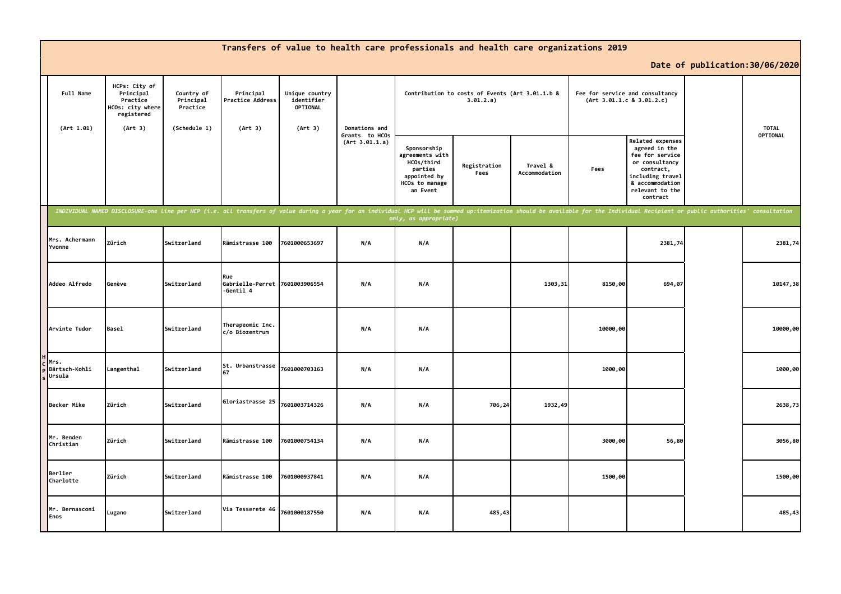|                                 |                                                                                     |                                                     |                                                    |                                                     | Transfers of value to health care professionals and health care organizations 2019                                                                                                                                             |                                                                                                       |                                                              |                           |          |                                                                                                                                                                  |                                 |              |
|---------------------------------|-------------------------------------------------------------------------------------|-----------------------------------------------------|----------------------------------------------------|-----------------------------------------------------|--------------------------------------------------------------------------------------------------------------------------------------------------------------------------------------------------------------------------------|-------------------------------------------------------------------------------------------------------|--------------------------------------------------------------|---------------------------|----------|------------------------------------------------------------------------------------------------------------------------------------------------------------------|---------------------------------|--------------|
|                                 |                                                                                     |                                                     |                                                    |                                                     |                                                                                                                                                                                                                                |                                                                                                       |                                                              |                           |          |                                                                                                                                                                  | Date of publication: 30/06/2020 |              |
| Full Name<br>(Art 1.01)         | HCPs: City of<br>Principal<br>Practice<br>HCOs: city where<br>registered<br>(Art 3) | Country of<br>Principal<br>Practice<br>(Schedule 1) | Principal<br>Practice Address<br>(Art 3)           | Unique country<br>identifier<br>OPTIONAL<br>(Art 3) | Donations and                                                                                                                                                                                                                  |                                                                                                       | Contribution to costs of Events (Art 3.01.1.b &<br>3.01.2.a) |                           |          | Fee for service and consultancy<br>(Art 3.01.1.c 8 3.01.2.c)                                                                                                     |                                 | <b>TOTAL</b> |
|                                 |                                                                                     |                                                     |                                                    |                                                     | Grants to HCOs<br>(Art 3.01.1.a)                                                                                                                                                                                               | Sponsorship<br>agreements with<br>HCOs/third<br>parties<br>appointed by<br>HCOs to manage<br>an Event | Registration<br>Fees                                         | Travel &<br>Accommodation | Fees     | <b>Related expenses</b><br>agreed in the<br>fee for service<br>or consultancy<br>contract,<br>including travel<br>& accommodation<br>relevant to the<br>contract |                                 | OPTIONAL     |
|                                 |                                                                                     |                                                     |                                                    |                                                     | INDIVIDUAL NAMED DISCLOSURE-one line per HCP (i.e. all transfers of value during a year for an individual HCP will be summed up:itemization should be available for the Individual Recipient or public authorities' consultati | only, as appropriate)                                                                                 |                                                              |                           |          |                                                                                                                                                                  |                                 |              |
| Mrs. Achermann<br>Yvonne        | Zürich                                                                              | Switzerland                                         | Rämistrasse 100                                    | 7601000653697                                       | N/A                                                                                                                                                                                                                            | N/A                                                                                                   |                                                              |                           |          | 2381,74                                                                                                                                                          |                                 | 2381,74      |
| Addeo Alfredo                   | Genève                                                                              | Switzerland                                         | Rue<br>Gabrielle-Perret 7601003906554<br>-Gentil 4 |                                                     | N/A                                                                                                                                                                                                                            | N/A                                                                                                   |                                                              | 1303,31                   | 8150,00  | 694,07                                                                                                                                                           |                                 | 10147,38     |
| Arvinte Tudor                   | <b>Basel</b>                                                                        | <b>Switzerland</b>                                  | Therapeomic Inc.<br>c/o Biozentrum                 |                                                     | N/A                                                                                                                                                                                                                            | N/A                                                                                                   |                                                              |                           | 10000,00 |                                                                                                                                                                  |                                 | 10000,00     |
| Mrs.<br>Bärtsch-Kohli<br>Ursula | Langenthal                                                                          | Switzerland                                         | St. Urbanstrasse<br>67                             | 7601000703163                                       | N/A                                                                                                                                                                                                                            | N/A                                                                                                   |                                                              |                           | 1000,00  |                                                                                                                                                                  |                                 | 1000,00      |
| Becker Mike                     | Zürich                                                                              | Switzerland                                         | Gloriastrasse 25                                   | 7601003714326                                       | N/A                                                                                                                                                                                                                            | N/A                                                                                                   | 706,24                                                       | 1932,49                   |          |                                                                                                                                                                  |                                 | 2638,73      |
| Mr. Benden<br>Christian         | Zürich                                                                              | Switzerland                                         | Rämistrasse 100                                    | 7601000754134                                       | N/A                                                                                                                                                                                                                            | N/A                                                                                                   |                                                              |                           | 3000,00  | 56,80                                                                                                                                                            |                                 | 3056,80      |
| Berlier<br>Charlotte            | Zürich                                                                              | Switzerland                                         | Rämistrasse 100                                    | 7601000937841                                       | N/A                                                                                                                                                                                                                            | N/A                                                                                                   |                                                              |                           | 1500,00  |                                                                                                                                                                  |                                 | 1500,00      |
| Mr. Bernasconi<br><b>Enos</b>   | Lugano                                                                              | Switzerland                                         | Via Tesserete 46                                   | 7601000187550                                       | N/A                                                                                                                                                                                                                            | N/A                                                                                                   | 485,43                                                       |                           |          |                                                                                                                                                                  |                                 | 485,43       |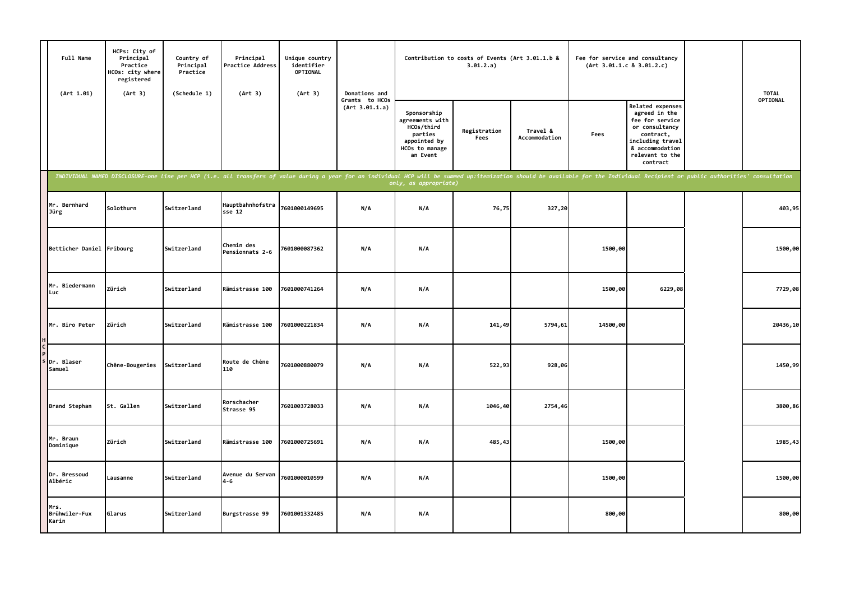| Full Name<br>(Art 1.01)        | HCPs: City of<br>Principal<br>Practice<br>HCOs: city where<br>registered<br>(Art 3) | Country of<br>Principal<br>Practice<br>(Schedule 1) | Principal<br>Practice Address<br>(Art 3) | Unique country<br>identifier<br>OPTIONAL<br>(Art 3)                                                                                                                                                                            | Donations and                    |                                                                                                       | Contribution to costs of Events (Art 3.01.1.b &<br>3.01.2.a) |                           |          | Fee for service and consultancy<br>(Art 3.01.1.c 8 3.01.2.c)                                                                                                     | <b>TOTAL</b> |
|--------------------------------|-------------------------------------------------------------------------------------|-----------------------------------------------------|------------------------------------------|--------------------------------------------------------------------------------------------------------------------------------------------------------------------------------------------------------------------------------|----------------------------------|-------------------------------------------------------------------------------------------------------|--------------------------------------------------------------|---------------------------|----------|------------------------------------------------------------------------------------------------------------------------------------------------------------------|--------------|
|                                |                                                                                     |                                                     |                                          |                                                                                                                                                                                                                                | Grants to HCOs<br>(Art 3.01.1.a) | Sponsorship<br>agreements with<br>HCOs/third<br>parties<br>appointed by<br>HCOs to manage<br>an Event | Registration<br>Fees                                         | Travel &<br>Accommodation | Fees     | <b>Related expenses</b><br>agreed in the<br>fee for service<br>or consultancy<br>contract,<br>including travel<br>& accommodation<br>relevant to the<br>contract | OPTIONAL     |
|                                |                                                                                     |                                                     |                                          | INDIVIDUAL NAMED DISCLOSURE-one line per HCP (i.e. all transfers of value during a year for an individual HCP will be summed up:itemization should be available for the Individual Recipient or public authorities' consultati |                                  |                                                                                                       |                                                              |                           |          |                                                                                                                                                                  |              |
| Mr. Bernhard<br>Jürg           | Solothurn                                                                           | Switzerland                                         | Hauptbahnhofstra<br>$sse$ 12             | 7601000149695                                                                                                                                                                                                                  | N/A                              | N/A                                                                                                   | 76,75                                                        | 327,20                    |          |                                                                                                                                                                  | 403,95       |
| Betticher Daniel Fribourg      |                                                                                     | Switzerland                                         | Chemin des<br>Pensionnats 2-6            | 7601000087362                                                                                                                                                                                                                  | N/A                              | N/A                                                                                                   |                                                              |                           | 1500,00  |                                                                                                                                                                  | 1500,00      |
| Mr. Biedermann<br>Luc          | Zürich                                                                              | Switzerland                                         | Rämistrasse 100                          | 7601000741264                                                                                                                                                                                                                  | N/A                              | N/A                                                                                                   |                                                              |                           | 1500,00  | 6229,08                                                                                                                                                          | 7729,08      |
| Mr. Biro Peter                 | Zürich                                                                              | Switzerland                                         | Rämistrasse 100                          | 7601000221834                                                                                                                                                                                                                  | N/A                              | N/A                                                                                                   | 141,49                                                       | 5794,61                   | 14500,00 |                                                                                                                                                                  | 20436,10     |
| Dr. Blaser<br>Samuel           | Chêne-Bougeries                                                                     | Switzerland                                         | Route de Chêne<br>110                    | 7601000880079                                                                                                                                                                                                                  | N/A                              | N/A                                                                                                   | 522,93                                                       | 928,06                    |          |                                                                                                                                                                  | 1450,99      |
| Brand Stephan                  | St. Gallen                                                                          | Switzerland                                         | Rorschacher<br>Strasse 95                | 7601003728033                                                                                                                                                                                                                  | N/A                              | N/A                                                                                                   | 1046,40                                                      | 2754,46                   |          |                                                                                                                                                                  | 3800,86      |
| Mr. Braun<br>Dominique         | Zürich                                                                              | Switzerland                                         | Rämistrasse 100                          | 7601000725691                                                                                                                                                                                                                  | N/A                              | N/A                                                                                                   | 485,43                                                       |                           | 1500,00  |                                                                                                                                                                  | 1985,43      |
| Dr. Bressoud<br>Albéric        | Lausanne                                                                            | Switzerland                                         | Avenue du Servan<br>4-6                  | 7601000010599                                                                                                                                                                                                                  | N/A                              | N/A                                                                                                   |                                                              |                           | 1500,00  |                                                                                                                                                                  | 1500,00      |
| Mrs.<br>Brühwiler-Fux<br>Karin | Glarus                                                                              | Switzerland                                         | Burgstrasse 99                           | 7601001332485                                                                                                                                                                                                                  | N/A                              | N/A                                                                                                   |                                                              |                           | 800,00   |                                                                                                                                                                  | 800,00       |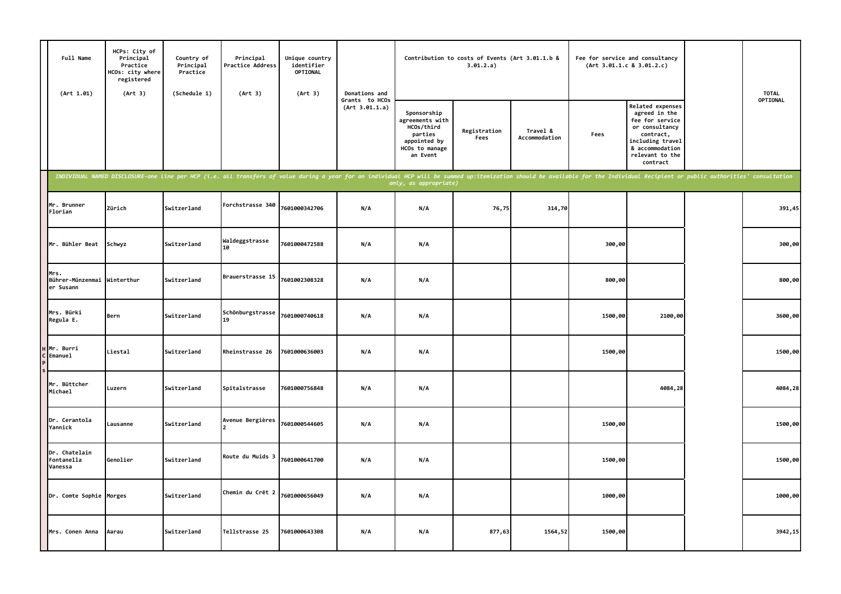| Full Name<br>(Art 1.01)                          | HCPs: City of<br>Principal<br>Practice<br>HCOs: city where<br>registered<br>(Art 3) | Country of<br>Principal<br>Practice<br>(Schedule 1) | Principal<br>Practice Address<br>(Art 3) | Unique country<br>identifier<br>OPTIONAL<br>(Art 3) | Donations and                    |                                                                                                                                                                                                                                                         | Contribution to costs of Events (Art 3.01.1.b &<br>3.01.2.a) |                           | Fee for service and consultancy<br>(Art 3.01.1.c 8 3.01.2.c) |                                                                                                                                                                  | <b>TOTAL</b> |
|--------------------------------------------------|-------------------------------------------------------------------------------------|-----------------------------------------------------|------------------------------------------|-----------------------------------------------------|----------------------------------|---------------------------------------------------------------------------------------------------------------------------------------------------------------------------------------------------------------------------------------------------------|--------------------------------------------------------------|---------------------------|--------------------------------------------------------------|------------------------------------------------------------------------------------------------------------------------------------------------------------------|--------------|
|                                                  |                                                                                     |                                                     |                                          |                                                     | Grants to HCOs<br>(Art 3.01.1.a) | Sponsorship<br>agreements with<br>HCOs/third<br>parties<br>appointed by<br>HCOs to manage<br>an Event                                                                                                                                                   | Registration<br>Fees                                         | Travel &<br>Accommodation | Fees                                                         | <b>Related expenses</b><br>agreed in the<br>fee for service<br>or consultancy<br>contract,<br>including travel<br>& accommodation<br>relevant to the<br>contract | OPTIONAL     |
|                                                  |                                                                                     |                                                     |                                          |                                                     |                                  | INDIVIDUAL NAMED DISCLOSURE-one line per HCP (i.e. all transfers of value during a year for an individual HCP will be summed up:itemization should be available for the Individual Recipient or public authorities' consultati<br>only, as appropriate) |                                                              |                           |                                                              |                                                                                                                                                                  |              |
| Mr. Brunner<br>Florian                           | Zürich                                                                              | Switzerland                                         | Forchstrasse 340                         | 7601000342706                                       | N/A                              | N/A                                                                                                                                                                                                                                                     | 76,75                                                        | 314,70                    |                                                              |                                                                                                                                                                  | 391,45       |
| Mr. Bühler Beat                                  | Schwyz                                                                              | Switzerland                                         | Waldeggstrasse<br>10                     | 7601000472588                                       | N/A                              | N/A                                                                                                                                                                                                                                                     |                                                              |                           | 300,00                                                       |                                                                                                                                                                  | 300,00       |
| Mrs.<br>Bührer-Münzenmai Winterthur<br>er Susann |                                                                                     | Switzerland                                         | Brauerstrasse 15                         | 7601002308328                                       | N/A                              | N/A                                                                                                                                                                                                                                                     |                                                              |                           | 800,00                                                       |                                                                                                                                                                  | 800,00       |
| Mrs. Bürki<br>Regula E.                          | Bern                                                                                | Switzerland                                         | Schönburgstrasse<br>19                   | 7601000740618                                       | N/A                              | N/A                                                                                                                                                                                                                                                     |                                                              |                           | 1500,00                                                      | 2100,00                                                                                                                                                          | 3600,00      |
| H Mr. Burri<br>C Emanuel                         | Liestal                                                                             | Switzerland                                         | Rheinstrasse 26                          | 7601000636003                                       | N/A                              | N/A                                                                                                                                                                                                                                                     |                                                              |                           | 1500,00                                                      |                                                                                                                                                                  | 1500,00      |
| Mr. Büttcher<br>Michael                          | Luzern                                                                              | Switzerland                                         | Spitalstrasse                            | 7601000756848                                       | N/A                              | N/A                                                                                                                                                                                                                                                     |                                                              |                           |                                                              | 4084,28                                                                                                                                                          | 4084,28      |
| Dr. Cerantola<br>Yannick                         | Lausanne                                                                            | Switzerland                                         | Avenue Bergières                         | 7601000544605                                       | N/A                              | N/A                                                                                                                                                                                                                                                     |                                                              |                           | 1500,00                                                      |                                                                                                                                                                  | 1500,00      |
| Dr. Chatelain<br>Fontanella<br>Vanessa           | Genolier                                                                            | Switzerland                                         | Route du Muids 3                         | 7601000641700                                       | N/A                              | N/A                                                                                                                                                                                                                                                     |                                                              |                           | 1500,00                                                      |                                                                                                                                                                  | 1500,00      |
| Dr. Comte Sophie Morges                          |                                                                                     | Switzerland                                         | Chemin du Crêt 2                         | 7601000656049                                       | N/A                              | N/A                                                                                                                                                                                                                                                     |                                                              |                           | 1000,00                                                      |                                                                                                                                                                  | 1000,00      |
| Mrs. Conen Anna                                  | Aarau                                                                               | Switzerland                                         | Tellstrasse 25                           | 7601000643308                                       | N/A                              | N/A                                                                                                                                                                                                                                                     | 877,63                                                       | 1564,52                   | 1500,00                                                      |                                                                                                                                                                  | 3942,15      |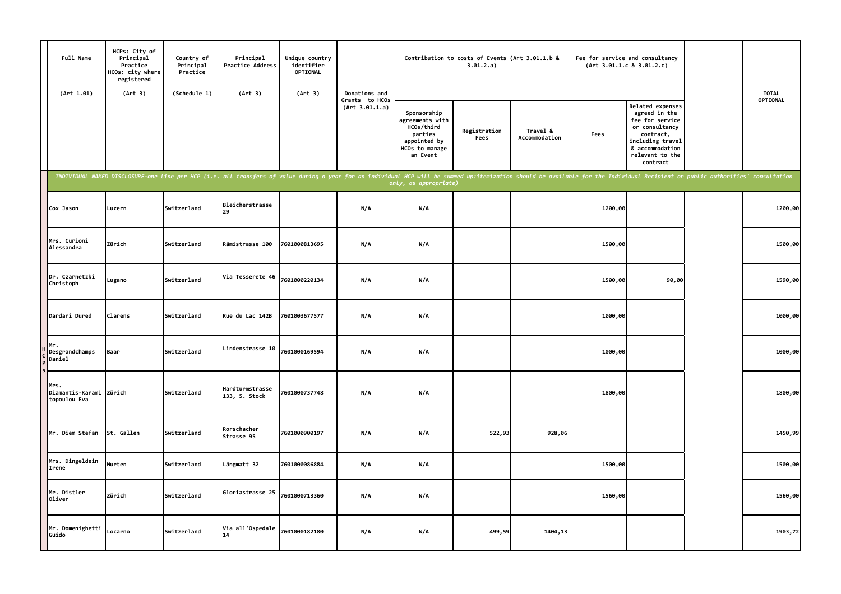| Full Name<br>(Art 1.01)                         | HCPs: City of<br>Principal<br>Practice<br>HCOs: city where<br>registered<br>(Art 3) | Country of<br>Principal<br>Practice<br>(Schedule 1) | Principal<br>Practice Address<br>(Art 3)                                                                                                                                                                                       | Unique country<br>identifier<br><b>OPTIONAL</b><br>(Art 3) | Donations and                    |                                                                                                       | Contribution to costs of Events (Art 3.01.1.b &<br>3.01.2.a) |                           | (Art 3.01.1.c 8 3.01.2.c) | Fee for service and consultancy                                                                                                                                  | <b>TOTAL</b> |
|-------------------------------------------------|-------------------------------------------------------------------------------------|-----------------------------------------------------|--------------------------------------------------------------------------------------------------------------------------------------------------------------------------------------------------------------------------------|------------------------------------------------------------|----------------------------------|-------------------------------------------------------------------------------------------------------|--------------------------------------------------------------|---------------------------|---------------------------|------------------------------------------------------------------------------------------------------------------------------------------------------------------|--------------|
|                                                 |                                                                                     |                                                     |                                                                                                                                                                                                                                |                                                            | Grants to HCOs<br>(Art 3.01.1.a) | Sponsorship<br>agreements with<br>HCOs/third<br>parties<br>appointed by<br>HCOs to manage<br>an Event | Registration<br>Fees                                         | Travel &<br>Accommodation | Fees                      | <b>Related expenses</b><br>agreed in the<br>fee for service<br>or consultancy<br>contract,<br>including travel<br>& accommodation<br>relevant to the<br>contract | OPTIONAL     |
|                                                 |                                                                                     |                                                     | INDIVIDUAL NAMED DISCLOSURE-one line per HCP (i.e. all transfers of value during a year for an individual HCP will be summed up:itemization should be available for the Individual Recipient or public authorities' consultati |                                                            |                                  | only, as appropriate)                                                                                 |                                                              |                           |                           |                                                                                                                                                                  |              |
| Cox Jason                                       | Luzern                                                                              | Switzerland                                         | Bleicherstrasse<br>29                                                                                                                                                                                                          |                                                            | N/A                              | N/A                                                                                                   |                                                              |                           | 1200,00                   |                                                                                                                                                                  | 1200,00      |
| Mrs. Curioni<br>Alessandra                      | Zürich                                                                              | Switzerland                                         | Rämistrasse 100                                                                                                                                                                                                                | 7601000813695                                              | N/A                              | N/A                                                                                                   |                                                              |                           | 1500,00                   |                                                                                                                                                                  | 1500,00      |
| Dr. Czarnetzki<br>Christoph                     | Lugano                                                                              | Switzerland                                         | Via Tesserete 46                                                                                                                                                                                                               | 7601000220134                                              | N/A                              | N/A                                                                                                   |                                                              |                           | 1500,00                   | 90,00                                                                                                                                                            | 1590,00      |
| Dardari Dured                                   | Clarens                                                                             | Switzerland                                         | Rue du Lac 142B                                                                                                                                                                                                                | 7601003677577                                              | N/A                              | N/A                                                                                                   |                                                              |                           | 1000,00                   |                                                                                                                                                                  | 1000,00      |
| Mr.<br>Desgrandchamps<br>Daniel                 | Baar                                                                                | Switzerland                                         | Lindenstrasse 10                                                                                                                                                                                                               | 7601000169594                                              | N/A                              | N/A                                                                                                   |                                                              |                           | 1000,00                   |                                                                                                                                                                  | 1000,00      |
| Mrs.<br>Diamantis-Karami Zürich<br>topoulou Eva |                                                                                     | Switzerland                                         | Hardturmstrasse<br>133, 5. Stock                                                                                                                                                                                               | 7601000737748                                              | N/A                              | N/A                                                                                                   |                                                              |                           | 1800,00                   |                                                                                                                                                                  | 1800,00      |
| Mr. Diem Stefan                                 | St. Gallen                                                                          | Switzerland                                         | Rorschacher<br>Strasse 95                                                                                                                                                                                                      | 7601000900197                                              | N/A                              | N/A                                                                                                   | 522,93                                                       | 928,06                    |                           |                                                                                                                                                                  | 1450,99      |
| Mrs. Dingeldein<br>Irene                        | Murten                                                                              | Switzerland                                         | Längmatt 32                                                                                                                                                                                                                    | 7601000086884                                              | N/A                              | N/A                                                                                                   |                                                              |                           | 1500,00                   |                                                                                                                                                                  | 1500,00      |
| Mr. Distler<br>Oliver                           | Zürich                                                                              | Switzerland                                         | Gloriastrasse 25                                                                                                                                                                                                               | 7601000713360                                              | N/A                              | N/A                                                                                                   |                                                              |                           | 1560,00                   |                                                                                                                                                                  | 1560,00      |
| Mr. Domenighetti<br>Guido                       | Locarno                                                                             | Switzerland                                         | Via all'Ospedale<br>14                                                                                                                                                                                                         | 7601000182180                                              | N/A                              | N/A                                                                                                   | 499,59                                                       | 1404,13                   |                           |                                                                                                                                                                  | 1903,72      |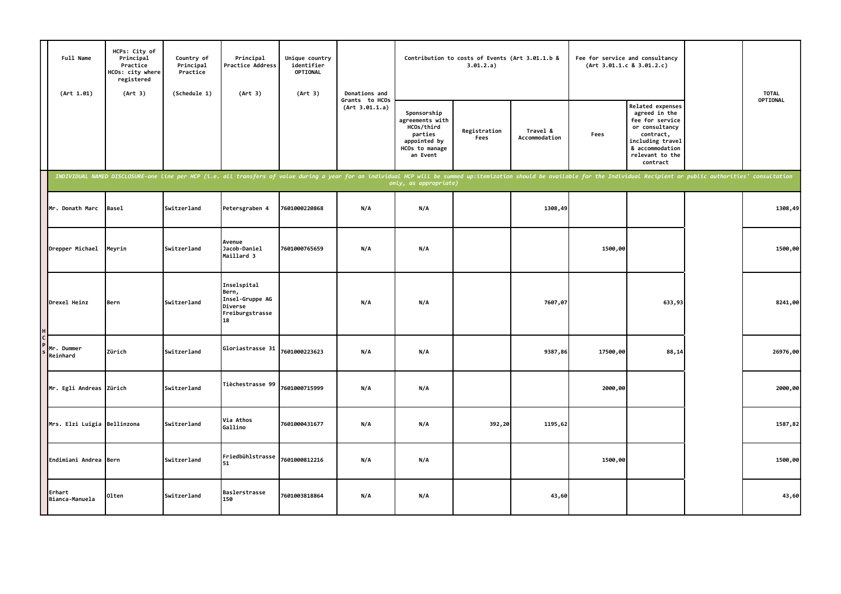| Full Name<br>(Art 1.01)     | HCPs: City of<br>Principal<br>Practice<br>HCOs: city where<br>registered<br>(Art 3) | Country of<br>Principal<br>Practice<br>(Schedule 1) | Principal<br><b>Practice Address</b><br>(Art 3)                             | Unique country<br>identifier<br>OPTIONAL<br>(Art 3)                                                                                                                                                                            | Donations and                    |                                                                                                       | Contribution to costs of Events (Art 3.01.1.b &<br>3.01.2.a) |                           |          | Fee for service and consultancy<br>(Art 3.01.1.c 8 3.01.2.c)                                                                                              | <b>TOTAL</b> |
|-----------------------------|-------------------------------------------------------------------------------------|-----------------------------------------------------|-----------------------------------------------------------------------------|--------------------------------------------------------------------------------------------------------------------------------------------------------------------------------------------------------------------------------|----------------------------------|-------------------------------------------------------------------------------------------------------|--------------------------------------------------------------|---------------------------|----------|-----------------------------------------------------------------------------------------------------------------------------------------------------------|--------------|
|                             |                                                                                     |                                                     |                                                                             |                                                                                                                                                                                                                                | Grants to HCOs<br>(Art 3.01.1.a) | Sponsorship<br>agreements with<br>HCOs/third<br>parties<br>appointed by<br>HCOs to manage<br>an Event | Registration<br>Fees                                         | Travel &<br>Accommodation | Fees     | Related expenses<br>agreed in the<br>fee for service<br>or consultancy<br>contract,<br>including travel<br>& accommodation<br>relevant to the<br>contract | OPTIONAL     |
|                             |                                                                                     |                                                     |                                                                             | INDIVIDUAL NAMED DISCLOSURE-one line per HCP (i.e. all transfers of value during a year for an individual HCP will be summed up:itemization should be available for the Individual Recipient or public authorities' consultati |                                  | only, as appropriate)                                                                                 |                                                              |                           |          |                                                                                                                                                           |              |
| Mr. Donath Marc             | <b>Basel</b>                                                                        | Switzerland                                         | Petersgraben 4                                                              | 7601000220868                                                                                                                                                                                                                  | N/A                              | N/A                                                                                                   |                                                              | 1308,49                   |          |                                                                                                                                                           | 1308,49      |
| Drepper Michael             | Meyrin                                                                              | Switzerland                                         | Avenue<br>Jacob-Daniel<br>Maillard 3                                        | 7601000765659                                                                                                                                                                                                                  | N/A                              | N/A                                                                                                   |                                                              |                           | 1500,00  |                                                                                                                                                           | 1500,00      |
| Drexel Heinz                | Bern                                                                                | Switzerland                                         | Inselspital<br>Bern,<br>Insel-Gruppe AG<br>Diverse<br>Freiburgstrasse<br>18 |                                                                                                                                                                                                                                | N/A                              | N/A                                                                                                   |                                                              | 7607,07                   |          | 633,93                                                                                                                                                    | 8241,00      |
| Mr. Dummer<br>Reinhard      | Zürich                                                                              | Switzerland                                         | Gloriastrasse 31                                                            | 7601000223623                                                                                                                                                                                                                  | N/A                              | N/A                                                                                                   |                                                              | 9387,86                   | 17500,00 | 88,14                                                                                                                                                     | 26976,00     |
| Mr. Egli Andreas Zürich     |                                                                                     | Switzerland                                         | Tièchestrasse 99                                                            | 7601000715999                                                                                                                                                                                                                  | N/A                              | N/A                                                                                                   |                                                              |                           | 2000,00  |                                                                                                                                                           | 2000,00      |
| Mrs. Elzi Luigia Bellinzona |                                                                                     | Switzerland                                         | Via Athos<br>Gallino                                                        | 7601000431677                                                                                                                                                                                                                  | N/A                              | N/A                                                                                                   | 392,20                                                       | 1195,62                   |          |                                                                                                                                                           | 1587,82      |
| Endimiani Andrea Bern       |                                                                                     | Switzerland                                         | Friedbühlstrasse<br>51                                                      | 7601000812216                                                                                                                                                                                                                  | N/A                              | N/A                                                                                                   |                                                              |                           | 1500,00  |                                                                                                                                                           | 1500,00      |
| Erhart<br>Bianca-Manuela    | Olten                                                                               | Switzerland                                         | Baslerstrasse<br>150                                                        | 7601003818864                                                                                                                                                                                                                  | N/A                              | N/A                                                                                                   |                                                              | 43,60                     |          |                                                                                                                                                           | 43,60        |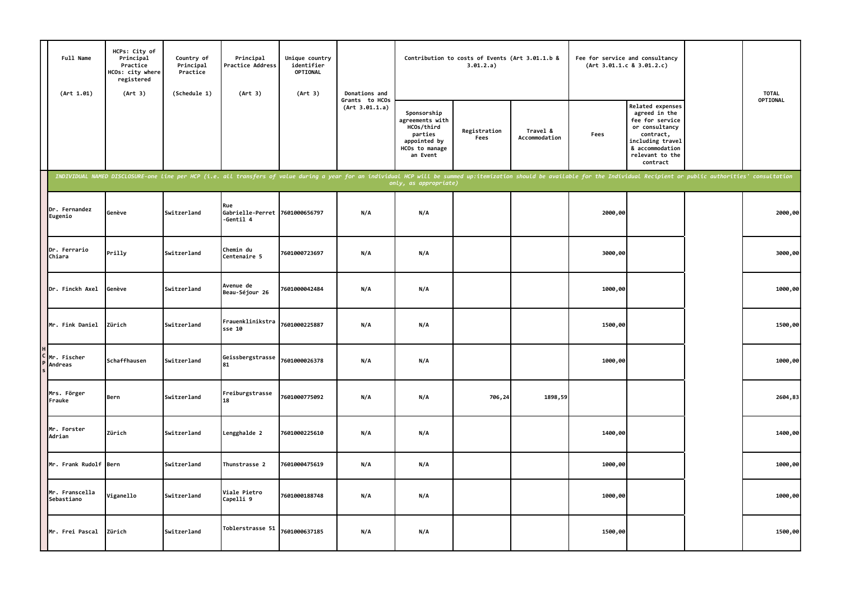| Full Name<br>(Art 1.01)      | HCPs: City of<br>Principal<br>Practice<br>HCOs: city where<br>registered<br>(Art 3) | Country of<br>Principal<br>Practice<br>(Schedule 1) | Principal<br>Practice Address<br>(Art 3)                                                                                                                                                                                       | Unique country<br>identifier<br>OPTIONAL<br>(Art 3) | Donations and                    |                                                                                                       | Contribution to costs of Events (Art 3.01.1.b &<br>3.01.2.a) |                           | Fee for service and consultancy<br>(Art 3.01.1.c 8 3.01.2.c) |                                                                                                                                                                  | <b>TOTAL</b> |
|------------------------------|-------------------------------------------------------------------------------------|-----------------------------------------------------|--------------------------------------------------------------------------------------------------------------------------------------------------------------------------------------------------------------------------------|-----------------------------------------------------|----------------------------------|-------------------------------------------------------------------------------------------------------|--------------------------------------------------------------|---------------------------|--------------------------------------------------------------|------------------------------------------------------------------------------------------------------------------------------------------------------------------|--------------|
|                              |                                                                                     |                                                     |                                                                                                                                                                                                                                |                                                     | Grants to HCOs<br>(Art 3.01.1.a) | Sponsorship<br>agreements with<br>HCOs/third<br>parties<br>appointed by<br>HCOs to manage<br>an Event | Registration<br>Fees                                         | Travel &<br>Accommodation | Fees                                                         | <b>Related expenses</b><br>agreed in the<br>fee for service<br>or consultancy<br>contract,<br>including travel<br>& accommodation<br>relevant to the<br>contract | OPTIONAL     |
|                              |                                                                                     |                                                     | INDIVIDUAL NAMED DISCLOSURE-one line per HCP (i.e. all transfers of value during a year for an individual HCP will be summed up:itemization should be available for the Individual Recipient or public authorities' consultati |                                                     |                                  | only, as appropriate)                                                                                 |                                                              |                           |                                                              |                                                                                                                                                                  |              |
| Dr. Fernandez<br>Eugenio     | Genève                                                                              | Switzerland                                         | Rue<br>Gabrielle-Perret 7601000656797<br>$-Gentil4$                                                                                                                                                                            |                                                     | N/A                              | N/A                                                                                                   |                                                              |                           | 2000,00                                                      |                                                                                                                                                                  | 2000,00      |
| Dr. Ferrario<br>Chiara       | Prilly                                                                              | Switzerland                                         | Chemin du<br>Centenaire 5                                                                                                                                                                                                      | 7601000723697                                       | N/A                              | N/A                                                                                                   |                                                              |                           | 3000,00                                                      |                                                                                                                                                                  | 3000,00      |
| Dr. Finckh Axel              | Genève                                                                              | Switzerland                                         | Avenue de<br>Beau-Séjour 26                                                                                                                                                                                                    | 7601000042484                                       | N/A                              | N/A                                                                                                   |                                                              |                           | 1000,00                                                      |                                                                                                                                                                  | 1000,00      |
| Mr. Fink Daniel              | Zürich                                                                              | Switzerland                                         | Frauenklinikstra<br>sse 10                                                                                                                                                                                                     | 7601000225887                                       | N/A                              | N/A                                                                                                   |                                                              |                           | 1500,00                                                      |                                                                                                                                                                  | 1500,00      |
| Mr. Fischer<br>Andreas       | Schaffhausen                                                                        | Switzerland                                         | Geissbergstrasse<br>81                                                                                                                                                                                                         | 7601000026378                                       | N/A                              | N/A                                                                                                   |                                                              |                           | 1000,00                                                      |                                                                                                                                                                  | 1000,00      |
| Mrs. Förger<br>Frauke        | Bern                                                                                | Switzerland                                         | Freiburgstrasse<br>18                                                                                                                                                                                                          | 7601000775092                                       | N/A                              | N/A                                                                                                   | 706,24                                                       | 1898,59                   |                                                              |                                                                                                                                                                  | 2604,83      |
| Mr. Forster<br>Adrian        | Zürich                                                                              | Switzerland                                         | Lengghalde 2                                                                                                                                                                                                                   | 7601000225610                                       | N/A                              | N/A                                                                                                   |                                                              |                           | 1400,00                                                      |                                                                                                                                                                  | 1400,00      |
| Mr. Frank Rudolf Bern        |                                                                                     | Switzerland                                         | Thunstrasse 2                                                                                                                                                                                                                  | 7601000475619                                       | N/A                              | N/A                                                                                                   |                                                              |                           | 1000,00                                                      |                                                                                                                                                                  | 1000,00      |
| Mr. Franscella<br>Sebastiano | Viganello                                                                           | Switzerland                                         | Viale Pietro<br>Capelli 9                                                                                                                                                                                                      | 7601000188748                                       | N/A                              | N/A                                                                                                   |                                                              |                           | 1000,00                                                      |                                                                                                                                                                  | 1000,00      |
| Mr. Frei Pascal              | Zürich                                                                              | Switzerland                                         | Toblerstrasse 51                                                                                                                                                                                                               | 7601000637185                                       | N/A                              | N/A                                                                                                   |                                                              |                           | 1500,00                                                      |                                                                                                                                                                  | 1500,00      |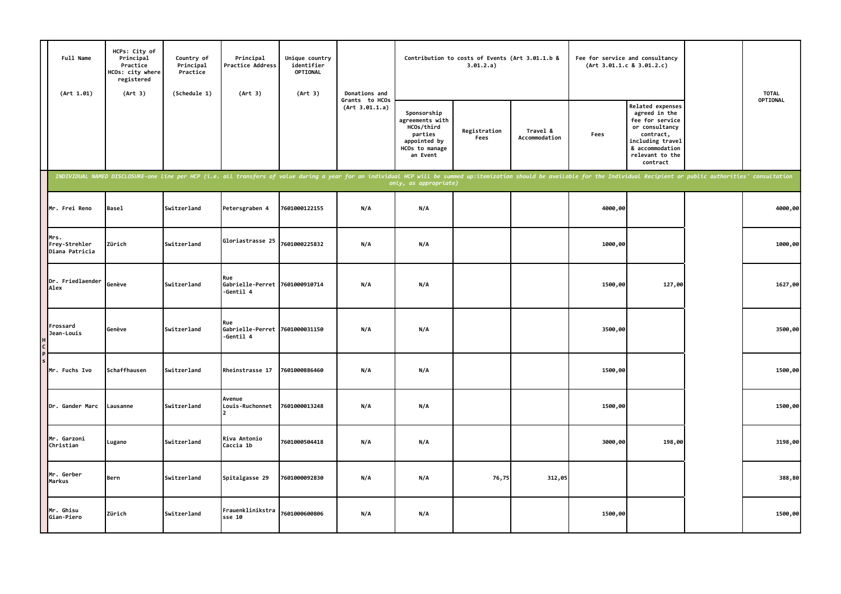| Full Name<br>(Art 1.01)                 | HCPs: City of<br>Principal<br>Practice<br>HCOs: city where<br>registered<br>(Art 3) | Country of<br>Principal<br>Practice<br>(Schedule 1) | Principal<br>Practice Address<br>(Art 3)           | Unique country<br>identifier<br>OPTIONAL<br>(Art 3)                                                                                                                                                                            | Donations and                    |                                                                                                       | Contribution to costs of Events (Art 3.01.1.b &<br>3.01.2.a) |                           |         | Fee for service and consultancy<br>(Art 3.01.1.c 8 3.01.2.c)                                                                                                     | <b>TOTAL</b> |
|-----------------------------------------|-------------------------------------------------------------------------------------|-----------------------------------------------------|----------------------------------------------------|--------------------------------------------------------------------------------------------------------------------------------------------------------------------------------------------------------------------------------|----------------------------------|-------------------------------------------------------------------------------------------------------|--------------------------------------------------------------|---------------------------|---------|------------------------------------------------------------------------------------------------------------------------------------------------------------------|--------------|
|                                         |                                                                                     |                                                     |                                                    |                                                                                                                                                                                                                                | Grants to HCOs<br>(Art 3.01.1.a) | Sponsorship<br>agreements with<br>HCOs/third<br>parties<br>appointed by<br>HCOs to manage<br>an Event | Registration<br>Fees                                         | Travel &<br>Accommodation | Fees    | <b>Related expenses</b><br>agreed in the<br>fee for service<br>or consultancy<br>contract,<br>including travel<br>& accommodation<br>relevant to the<br>contract | OPTIONAL     |
|                                         |                                                                                     |                                                     |                                                    | INDIVIDUAL NAMED DISCLOSURE-one line per HCP (i.e. all transfers of value during a year for an individual HCP will be summed up:itemization should be available for the Individual Recipient or public authorities' consultati |                                  |                                                                                                       |                                                              |                           |         |                                                                                                                                                                  |              |
| Mr. Frei Reno                           | Basel                                                                               | Switzerland                                         | Petersgraben 4                                     | 7601000122155                                                                                                                                                                                                                  | N/A                              | N/A                                                                                                   |                                                              |                           | 4000,00 |                                                                                                                                                                  | 4000,00      |
| Mrs.<br>Frey-Strehler<br>Diana Patricia | Zürich                                                                              | Switzerland                                         | Gloriastrasse 25                                   | 7601000225832                                                                                                                                                                                                                  | N/A                              | N/A                                                                                                   |                                                              |                           | 1000,00 |                                                                                                                                                                  | 1000,00      |
| Dr. Friedlaender<br>Alex                | Genève                                                                              | Switzerland                                         | Rue<br>Gabrielle-Perret 7601000910714<br>-Gentil 4 |                                                                                                                                                                                                                                | N/A                              | N/A                                                                                                   |                                                              |                           | 1500,00 | 127,00                                                                                                                                                           | 1627,00      |
| Frossard<br>Jean-Louis                  | Genève                                                                              | Switzerland                                         | Rue<br>Gabrielle-Perret 7601000031150<br>-Gentil 4 |                                                                                                                                                                                                                                | N/A                              | N/A                                                                                                   |                                                              |                           | 3500,00 |                                                                                                                                                                  | 3500,00      |
| Mr. Fuchs Ivo                           | Schaffhausen                                                                        | Switzerland                                         | Rheinstrasse 17                                    | 7601000886460                                                                                                                                                                                                                  | N/A                              | N/A                                                                                                   |                                                              |                           | 1500,00 |                                                                                                                                                                  | 1500,00      |
| Dr. Gander Marc                         | Lausanne                                                                            | Switzerland                                         | Avenue<br>Louis-Ruchonnet                          | 7601000013248                                                                                                                                                                                                                  | N/A                              | N/A                                                                                                   |                                                              |                           | 1500,00 |                                                                                                                                                                  | 1500,00      |
| Mr. Garzoni<br>Christian                | Lugano                                                                              | Switzerland                                         | Riva Antonio<br>Caccia 1b                          | 7601000504418                                                                                                                                                                                                                  | N/A                              | N/A                                                                                                   |                                                              |                           | 3000,00 | 198,00                                                                                                                                                           | 3198,00      |
| Mr. Gerber<br>Markus                    | Bern                                                                                | Switzerland                                         | Spitalgasse 29                                     | 7601000092830                                                                                                                                                                                                                  | N/A                              | N/A                                                                                                   | 76,75                                                        | 312,05                    |         |                                                                                                                                                                  | 388,80       |
| Mr. Ghisu<br>Gian-Piero                 | Zürich                                                                              | Switzerland                                         | Frauenklinikstra<br>sse 10                         | 7601000600806                                                                                                                                                                                                                  | N/A                              | N/A                                                                                                   |                                                              |                           | 1500,00 |                                                                                                                                                                  | 1500,00      |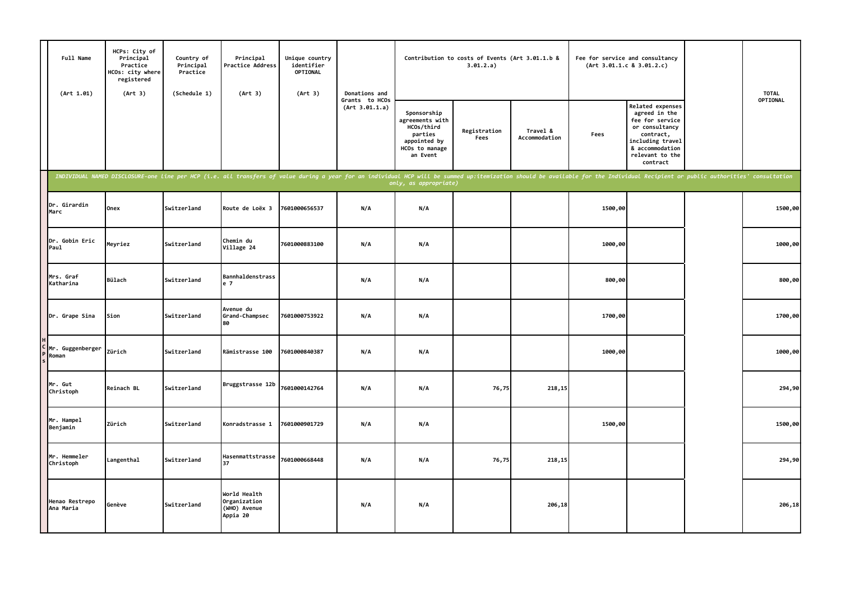| Full Name<br>(Art 1.01)     | HCPs: City of<br>Principal<br>Practice<br>HCOs: city where<br>registered<br>(Art 3)                                                                                                                                            | Country of<br>Principal<br>Practice<br>(Schedule 1) | Principal<br>Practice Address<br>(Art 3)                 | Unique country<br>identifier<br>OPTIONAL<br>(Art 3) | Donations and                    |                                                                                                       | Contribution to costs of Events (Art 3.01.1.b &<br>3.01.2.a) |                           | (Art 3.01.1.c 8 3.01.2.c) | Fee for service and consultancy                                                                                                                                  | <b>TOTAL</b> |
|-----------------------------|--------------------------------------------------------------------------------------------------------------------------------------------------------------------------------------------------------------------------------|-----------------------------------------------------|----------------------------------------------------------|-----------------------------------------------------|----------------------------------|-------------------------------------------------------------------------------------------------------|--------------------------------------------------------------|---------------------------|---------------------------|------------------------------------------------------------------------------------------------------------------------------------------------------------------|--------------|
|                             |                                                                                                                                                                                                                                |                                                     |                                                          |                                                     | Grants to HCOs<br>(Art 3.01.1.a) | Sponsorship<br>agreements with<br>HCOs/third<br>parties<br>appointed by<br>HCOs to manage<br>an Event | Registration<br>Fees                                         | Travel &<br>Accommodation | Fees                      | <b>Related expenses</b><br>agreed in the<br>fee for service<br>or consultancy<br>contract,<br>including travel<br>& accommodation<br>relevant to the<br>contract | OPTIONAL     |
|                             | INDIVIDUAL NAMED DISCLOSURE-one line per HCP (i.e. all transfers of value during a year for an individual HCP will be summed up:itemization should be available for the Individual Recipient or public authorities' consultati |                                                     |                                                          |                                                     |                                  | only, as appropriate)                                                                                 |                                                              |                           |                           |                                                                                                                                                                  |              |
| Dr. Girardin<br>Marc        | Onex                                                                                                                                                                                                                           | Switzerland                                         | Route de Loëx 3                                          | 7601000656537                                       | N/A                              | N/A                                                                                                   |                                                              |                           | 1500,00                   |                                                                                                                                                                  | 1500,00      |
| Dr. Gobin Eric<br>Paul      | Meyriez                                                                                                                                                                                                                        | Switzerland                                         | Chemin du<br>Village 24                                  | 7601000883100                                       | N/A                              | N/A                                                                                                   |                                                              |                           | 1000,00                   |                                                                                                                                                                  | 1000,00      |
| Mrs. Graf<br>Katharina      | <b>Bülach</b>                                                                                                                                                                                                                  | Switzerland                                         | Bannhaldenstrass<br>e 7                                  |                                                     | N/A                              | N/A                                                                                                   |                                                              |                           | 800,00                    |                                                                                                                                                                  | 800,00       |
| Dr. Grape Sina              | Sion                                                                                                                                                                                                                           | Switzerland                                         | Avenue du<br>Grand-Champsec<br>80                        | 7601000753922                                       | N/A                              | N/A                                                                                                   |                                                              |                           | 1700,00                   |                                                                                                                                                                  | 1700,00      |
| C Mr. Guggenberger<br>Roman | Zürich                                                                                                                                                                                                                         | Switzerland                                         | Rämistrasse 100                                          | 7601000840387                                       | N/A                              | N/A                                                                                                   |                                                              |                           | 1000,00                   |                                                                                                                                                                  | 1000,00      |
| Mr. Gut<br>Christoph        | Reinach BL                                                                                                                                                                                                                     | Switzerland                                         | Bruggstrasse 12b                                         | 7601000142764                                       | N/A                              | N/A                                                                                                   | 76,75                                                        | 218,15                    |                           |                                                                                                                                                                  | 294,90       |
| Mr. Hampel<br>Benjamin      | Zürich                                                                                                                                                                                                                         | Switzerland                                         | Konradstrasse 1                                          | 7601000901729                                       | N/A                              | N/A                                                                                                   |                                                              |                           | 1500,00                   |                                                                                                                                                                  | 1500,00      |
| Mr. Hemmeler<br>Christoph   | Langenthal                                                                                                                                                                                                                     | Switzerland                                         | Hasenmattstrasse<br>37                                   | 7601000668448                                       | N/A                              | N/A                                                                                                   | 76,75                                                        | 218, 15                   |                           |                                                                                                                                                                  | 294,90       |
| Henao Restrepo<br>Ana Maria | Genève                                                                                                                                                                                                                         | Switzerland                                         | World Health<br>Organization<br>(WHO) Avenue<br>Appia 20 |                                                     | N/A                              | N/A                                                                                                   |                                                              | 206,18                    |                           |                                                                                                                                                                  | 206,18       |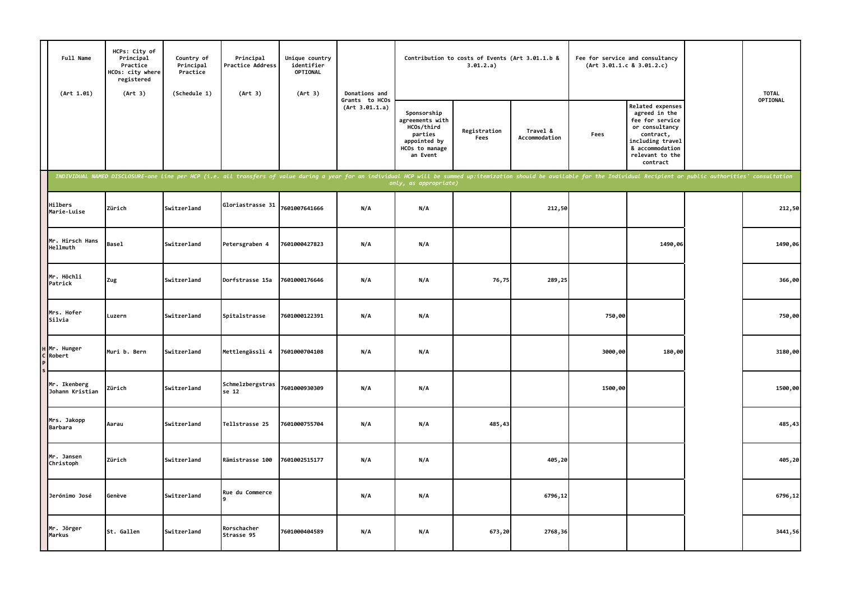| Full Name<br>(Art 1.01)         | HCPs: City of<br>Principal<br>Practice<br>HCOs: city where<br>registered<br>(Art 3) | Country of<br>Principal<br>Practice<br>(Schedule 1) | Principal<br>Practice Address<br>(Art 3) | Unique country<br>identifier<br><b>OPTIONAL</b><br>(Art 3) | Donations and                    |                                                                                                                                                                                                                                                         | Contribution to costs of Events (Art 3.01.1.b &<br>3.01.2.a) |                           | (Art 3.01.1.c 8 3.01.2.c) | Fee for service and consultancy                                                                                                                                  | <b>TOTAL</b> |
|---------------------------------|-------------------------------------------------------------------------------------|-----------------------------------------------------|------------------------------------------|------------------------------------------------------------|----------------------------------|---------------------------------------------------------------------------------------------------------------------------------------------------------------------------------------------------------------------------------------------------------|--------------------------------------------------------------|---------------------------|---------------------------|------------------------------------------------------------------------------------------------------------------------------------------------------------------|--------------|
|                                 |                                                                                     |                                                     |                                          |                                                            | Grants to HCOs<br>(Art 3.01.1.a) | Sponsorship<br>agreements with<br>HCOs/third<br>parties<br>appointed by<br>HCOs to manage<br>an Event                                                                                                                                                   | Registration<br>Fees                                         | Travel &<br>Accommodation | Fees                      | <b>Related expenses</b><br>agreed in the<br>fee for service<br>or consultancy<br>contract,<br>including travel<br>& accommodation<br>relevant to the<br>contract | OPTIONAL     |
|                                 |                                                                                     |                                                     |                                          |                                                            |                                  | INDIVIDUAL NAMED DISCLOSURE-one line per HCP (i.e. all transfers of value during a year for an individual HCP will be summed up:itemization should be available for the Individual Recipient or public authorities' consultati<br>only, as appropriate) |                                                              |                           |                           |                                                                                                                                                                  |              |
| <b>Hilbers</b><br>Marie-Luise   | Zürich                                                                              | Switzerland                                         | Gloriastrasse 31                         | 7601007641666                                              | N/A                              | N/A                                                                                                                                                                                                                                                     |                                                              | 212,50                    |                           |                                                                                                                                                                  | 212,50       |
| Mr. Hirsch Hans<br>Hellmuth     | <b>Basel</b>                                                                        | Switzerland                                         | Petersgraben 4                           | 7601000427823                                              | N/A                              | N/A                                                                                                                                                                                                                                                     |                                                              |                           |                           | 1490,06                                                                                                                                                          | 1490,06      |
| Mr. Höchli<br>Patrick           | Zug                                                                                 | Switzerland                                         | Dorfstrasse 15a                          | 7601000176646                                              | N/A                              | N/A                                                                                                                                                                                                                                                     | 76,75                                                        | 289,25                    |                           |                                                                                                                                                                  | 366,00       |
| Mrs. Hofer<br>Silvia            | Luzern                                                                              | Switzerland                                         | Spitalstrasse                            | 7601000122391                                              | N/A                              | N/A                                                                                                                                                                                                                                                     |                                                              |                           | 750,00                    |                                                                                                                                                                  | 750,00       |
| H Mr. Hunger<br>C Robert        | Muri b. Bern                                                                        | Switzerland                                         | Mettlengässli 4                          | 7601000704108                                              | N/A                              | N/A                                                                                                                                                                                                                                                     |                                                              |                           | 3000,00                   | 180,00                                                                                                                                                           | 3180,00      |
| Mr. Ikenberg<br>Johann Kristian | Zürich                                                                              | Switzerland                                         | Schmelzbergstras<br>se 12                | 7601000930309                                              | N/A                              | N/A                                                                                                                                                                                                                                                     |                                                              |                           | 1500,00                   |                                                                                                                                                                  | 1500,00      |
| Mrs. Jakopp<br>Barbara          | Aarau                                                                               | Switzerland                                         | Tellstrasse 25                           | 7601000755704                                              | N/A                              | N/A                                                                                                                                                                                                                                                     | 485,43                                                       |                           |                           |                                                                                                                                                                  | 485,43       |
| Mr. Jansen<br>Christoph         | Zürich                                                                              | Switzerland                                         | Rämistrasse 100                          | 7601002515177                                              | N/A                              | N/A                                                                                                                                                                                                                                                     |                                                              | 405,20                    |                           |                                                                                                                                                                  | 405,20       |
| Jerónimo José                   | Genève                                                                              | Switzerland                                         | Rue du Commerce                          |                                                            | N/A                              | N/A                                                                                                                                                                                                                                                     |                                                              | 6796,12                   |                           |                                                                                                                                                                  | 6796,12      |
| Mr. Jörger<br>Markus            | St. Gallen                                                                          | Switzerland                                         | Rorschacher<br>Strasse 95                | 7601000404589                                              | N/A                              | N/A                                                                                                                                                                                                                                                     | 673,20                                                       | 2768,36                   |                           |                                                                                                                                                                  | 3441,56      |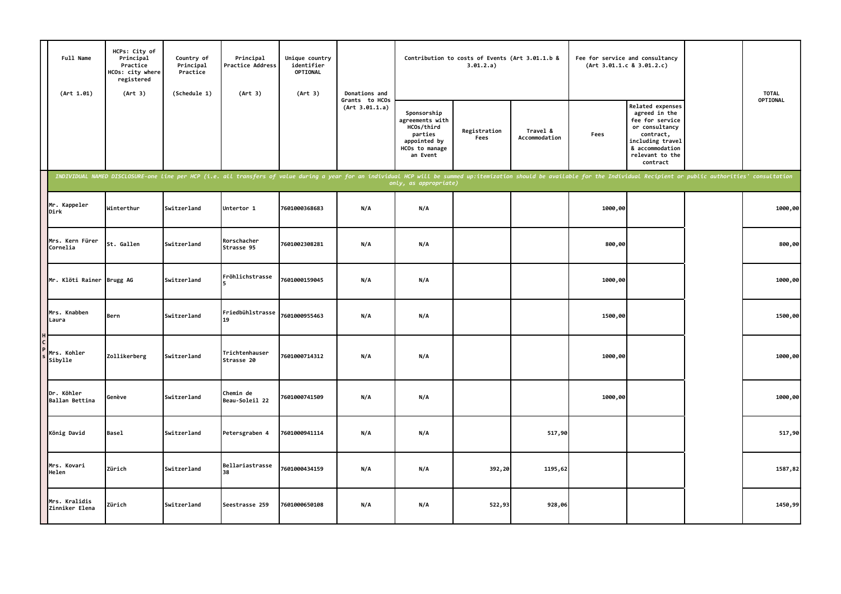| Full Name<br>(Art 1.01)         | HCPs: City of<br>Principal<br>Practice<br>HCOs: city where<br>registered<br>(Art 3) | Country of<br>Principal<br>Practice<br>(Schedule 1) | Principal<br>Practice Address<br>(Art 3)                                                                                                                                                                                       | Unique country<br>identifier<br>OPTIONAL<br>(Art 3) | Donations and                    |                                                                                                       | Contribution to costs of Events (Art 3.01.1.b &<br>3.01.2.a) |                           |         | Fee for service and consultancy<br>(Art 3.01.1.c 8 3.01.2.c)                                                                                                     | <b>TOTAL</b> |
|---------------------------------|-------------------------------------------------------------------------------------|-----------------------------------------------------|--------------------------------------------------------------------------------------------------------------------------------------------------------------------------------------------------------------------------------|-----------------------------------------------------|----------------------------------|-------------------------------------------------------------------------------------------------------|--------------------------------------------------------------|---------------------------|---------|------------------------------------------------------------------------------------------------------------------------------------------------------------------|--------------|
|                                 |                                                                                     |                                                     |                                                                                                                                                                                                                                |                                                     | Grants to HCOs<br>(Art 3.01.1.a) | Sponsorship<br>agreements with<br>HCOs/third<br>parties<br>appointed by<br>HCOs to manage<br>an Event | Registration<br>Fees                                         | Travel &<br>Accommodation | Fees    | <b>Related expenses</b><br>agreed in the<br>fee for service<br>or consultancy<br>contract,<br>including travel<br>& accommodation<br>relevant to the<br>contract | OPTIONAL     |
|                                 |                                                                                     |                                                     | INDIVIDUAL NAMED DISCLOSURE-one line per HCP (i.e. all transfers of value during a year for an individual HCP will be summed up:itemization should be available for the Individual Recipient or public authorities' consultati |                                                     |                                  | only, as appropriate)                                                                                 |                                                              |                           |         |                                                                                                                                                                  |              |
| Mr. Kappeler<br>Dirk            | Winterthur                                                                          | Switzerland                                         | Untertor 1                                                                                                                                                                                                                     | 7601000368683                                       | N/A                              | N/A                                                                                                   |                                                              |                           | 1000,00 |                                                                                                                                                                  | 1000,00      |
| Mrs. Kern Fürer<br>Cornelia     | St. Gallen                                                                          | Switzerland                                         | Rorschacher<br>Strasse 95                                                                                                                                                                                                      | 7601002308281                                       | N/A                              | N/A                                                                                                   |                                                              |                           | 800,00  |                                                                                                                                                                  | 800,00       |
| Mr. Klöti Rainer Brugg AG       |                                                                                     | Switzerland                                         | Fröhlichstrasse                                                                                                                                                                                                                | 7601000159045                                       | N/A                              | N/A                                                                                                   |                                                              |                           | 1000,00 |                                                                                                                                                                  | 1000,00      |
| Mrs. Knabben<br>Laura           | Bern                                                                                | Switzerland                                         | Friedbühlstrasse<br>19                                                                                                                                                                                                         | 7601000955463                                       | N/A                              | N/A                                                                                                   |                                                              |                           | 1500,00 |                                                                                                                                                                  | 1500,00      |
| Mrs. Kohler<br>Sibylle          | Zollikerberg                                                                        | Switzerland                                         | Trichtenhauser<br>Strasse 20                                                                                                                                                                                                   | 7601000714312                                       | N/A                              | N/A                                                                                                   |                                                              |                           | 1000,00 |                                                                                                                                                                  | 1000,00      |
| Dr. Köhler<br>Ballan Bettina    | Genève                                                                              | Switzerland                                         | Chemin de<br>Beau-Soleil 22                                                                                                                                                                                                    | 7601000741509                                       | N/A                              | N/A                                                                                                   |                                                              |                           | 1000,00 |                                                                                                                                                                  | 1000,00      |
| König David                     | <b>Basel</b>                                                                        | Switzerland                                         | Petersgraben 4                                                                                                                                                                                                                 | 7601000941114                                       | N/A                              | N/A                                                                                                   |                                                              | 517,90                    |         |                                                                                                                                                                  | 517,90       |
| Mrs. Kovari<br>Helen            | Zürich                                                                              | Switzerland                                         | Bellariastrasse<br>38                                                                                                                                                                                                          | 7601000434159                                       | N/A                              | N/A                                                                                                   | 392,20                                                       | 1195,62                   |         |                                                                                                                                                                  | 1587,82      |
| Mrs. Kralidis<br>Zinniker Elena | Zürich                                                                              | Switzerland                                         | Seestrasse 259                                                                                                                                                                                                                 | 7601000650108                                       | N/A                              | N/A                                                                                                   | 522,93                                                       | 928,06                    |         |                                                                                                                                                                  | 1450,99      |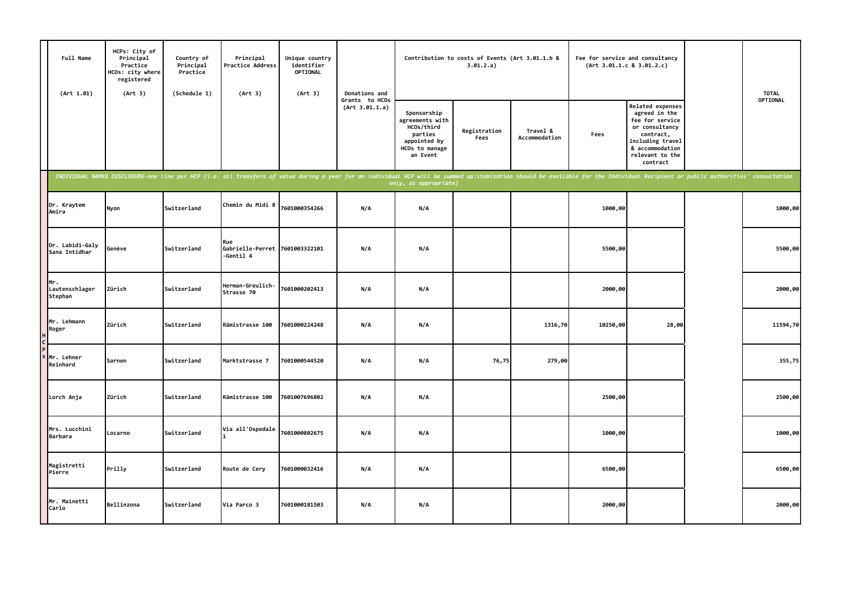| Full Name<br>(Art 1.01)          | HCPs: City of<br>Principal<br>Practice<br>HCOs: city where<br>registered<br>(Art 3) | Country of<br>Principal<br>Practice<br>(Schedule 1) | Principal<br><b>Practice Address</b><br>(Art 3)    | Unique country<br>identifier<br><b>OPTIONAL</b><br>(Art 3) | Donations and                    |                                                                                                       | Contribution to costs of Events (Art 3.01.1.b &<br>3.01.2.a) |                           | Fee for service and consultancy<br>(Art 3.01.1.c 8 3.01.2.c) |                                                                                                                                                           |                                                                                                                                                                                                                                | <b>TOTAL</b> |
|----------------------------------|-------------------------------------------------------------------------------------|-----------------------------------------------------|----------------------------------------------------|------------------------------------------------------------|----------------------------------|-------------------------------------------------------------------------------------------------------|--------------------------------------------------------------|---------------------------|--------------------------------------------------------------|-----------------------------------------------------------------------------------------------------------------------------------------------------------|--------------------------------------------------------------------------------------------------------------------------------------------------------------------------------------------------------------------------------|--------------|
|                                  |                                                                                     |                                                     |                                                    |                                                            | Grants to HCOs<br>(Art 3.01.1.a) | Sponsorship<br>agreements with<br>HCOs/third<br>parties<br>appointed by<br>HCOs to manage<br>an Event | Registration<br>Fees                                         | Travel &<br>Accommodation | Fees                                                         | Related expenses<br>agreed in the<br>fee for service<br>or consultancy<br>contract,<br>including travel<br>& accommodation<br>relevant to the<br>contract |                                                                                                                                                                                                                                | OPTIONAL     |
|                                  |                                                                                     |                                                     |                                                    |                                                            |                                  | only, as appropriate)                                                                                 |                                                              |                           |                                                              |                                                                                                                                                           | INDIVIDUAL NAMED DISCLOSURE-one line per HCP (i.e. all transfers of value during a year for an individual HCP will be summed up:itemization should be available for the Individual Recipient or public authorities' consultati |              |
| Dr. Kraytem<br>Amira             | Nyon                                                                                | Switzerland                                         | Chemin du Midi 8                                   | 7601000354266                                              | N/A                              | N/A                                                                                                   |                                                              |                           | 1000,00                                                      |                                                                                                                                                           |                                                                                                                                                                                                                                | 1000,00      |
| Dr. Labidi-Galy<br>Sana Intidhar | Genève                                                                              | Switzerland                                         | Rue<br>Gabrielle-Perret 7601003322101<br>-Gentil 4 |                                                            | N/A                              | N/A                                                                                                   |                                                              |                           | 5500,00                                                      |                                                                                                                                                           |                                                                                                                                                                                                                                | 5500,00      |
| Mr.<br>Lautenschlager<br>Stephan | Zürich                                                                              | Switzerland                                         | Herman-Greulich-<br>Strasse 70                     | 7601000202413                                              | N/A                              | N/A                                                                                                   |                                                              |                           | 2000,00                                                      |                                                                                                                                                           |                                                                                                                                                                                                                                | 2000,00      |
| Mr. Lehmann<br>Roger             | Zürich                                                                              | Switzerland                                         | Rämistrasse 100                                    | 7601000224248                                              | N/A                              | N/A                                                                                                   |                                                              | 1316,70                   | 10250,00                                                     | 28,00                                                                                                                                                     |                                                                                                                                                                                                                                | 11594,70     |
| Mr. Lehner<br>Reinhard           | Sarnen                                                                              | Switzerland                                         | Marktstrasse 7                                     | 7601000544520                                              | N/A                              | N/A                                                                                                   | 76,75                                                        | 279,00                    |                                                              |                                                                                                                                                           |                                                                                                                                                                                                                                | 355,75       |
| Lorch Anja                       | Zürich                                                                              | Switzerland                                         | Rämistrasse 100                                    | 7601007696802                                              | N/A                              | N/A                                                                                                   |                                                              |                           | 2500,00                                                      |                                                                                                                                                           |                                                                                                                                                                                                                                | 2500,00      |
| Mrs. Lucchini<br>Barbara         | Locarno                                                                             | Switzerland                                         | Via all'Ospedale                                   | 7601000802675                                              | N/A                              | N/A                                                                                                   |                                                              |                           | 1000,00                                                      |                                                                                                                                                           |                                                                                                                                                                                                                                | 1000,00      |
| Magistretti<br>Pierre            | Prilly                                                                              | Switzerland                                         | Route de Cery                                      | 7601000032416                                              | N/A                              | N/A                                                                                                   |                                                              |                           | 6500,00                                                      |                                                                                                                                                           |                                                                                                                                                                                                                                | 6500,00      |
| Mr. Mainetti<br>Carlo            | Bellinzona                                                                          | Switzerland                                         | Via Parco 3                                        | 7601000181503                                              | N/A                              | N/A                                                                                                   |                                                              |                           | 2000,00                                                      |                                                                                                                                                           |                                                                                                                                                                                                                                | 2000,00      |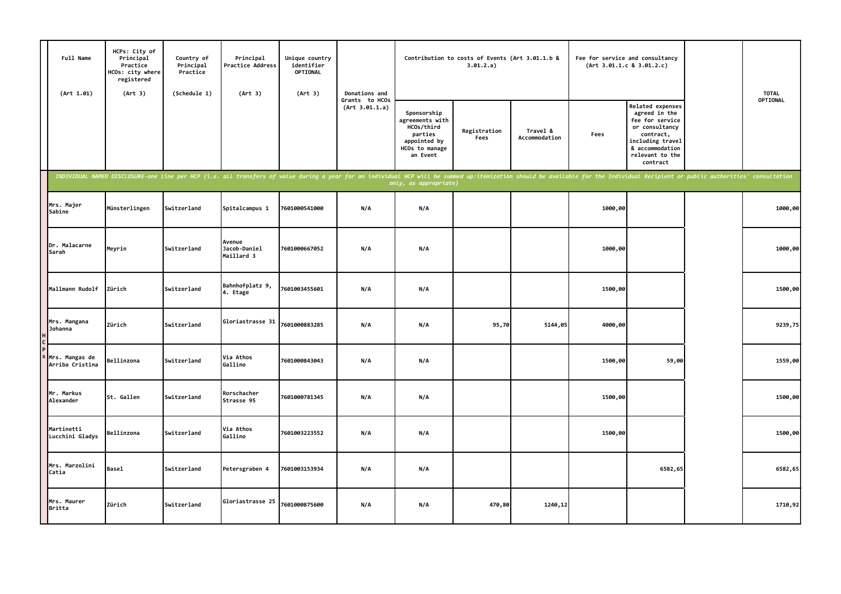| Full Name<br>(Art 1.01)           | HCPs: City of<br>Principal<br>Practice<br>HCOs: city where<br>registered<br>(Art 3) | Country of<br>Principal<br>Practice<br>(Schedule 1) | Principal<br>Practice Address<br>(Art 3)                                                                                                                                                                                       | Unique country<br>identifier<br><b>OPTIONAL</b><br>(Art 3) | Donations and                    |                                                                                                       | Contribution to costs of Events (Art 3.01.1.b &<br>3.01.2.a) |                           |         | Fee for service and consultancy<br>(Art 3.01.1.c 8 3.01.2.c)                                                                                                     | <b>TOTAL</b> |
|-----------------------------------|-------------------------------------------------------------------------------------|-----------------------------------------------------|--------------------------------------------------------------------------------------------------------------------------------------------------------------------------------------------------------------------------------|------------------------------------------------------------|----------------------------------|-------------------------------------------------------------------------------------------------------|--------------------------------------------------------------|---------------------------|---------|------------------------------------------------------------------------------------------------------------------------------------------------------------------|--------------|
|                                   |                                                                                     |                                                     |                                                                                                                                                                                                                                |                                                            | Grants to HCOs<br>(Art 3.01.1.a) | Sponsorship<br>agreements with<br>HCOs/third<br>parties<br>appointed by<br>HCOs to manage<br>an Event | Registration<br>Fees                                         | Travel &<br>Accommodation | Fees    | <b>Related expenses</b><br>agreed in the<br>fee for service<br>or consultancy<br>contract,<br>including travel<br>& accommodation<br>relevant to the<br>contract | OPTIONAL     |
|                                   |                                                                                     |                                                     | INDIVIDUAL NAMED DISCLOSURE-one line per HCP (i.e. all transfers of value during a year for an individual HCP will be summed up:itemization should be available for the Individual Recipient or public authorities' consultati |                                                            |                                  | only, as appropr <u>iate)</u>                                                                         |                                                              |                           |         |                                                                                                                                                                  |              |
| Mrs. Majer<br>Sabine              | Münsterlingen                                                                       | Switzerland                                         | Spitalcampus 1                                                                                                                                                                                                                 | 7601000541000                                              | N/A                              | N/A                                                                                                   |                                                              |                           | 1000,00 |                                                                                                                                                                  | 1000,00      |
| Dr. Malacarne<br>Sarah            | Meyrin                                                                              | Switzerland                                         | Avenue<br>Jacob-Daniel<br>Maillard 3                                                                                                                                                                                           | 7601000667052                                              | N/A                              | N/A                                                                                                   |                                                              |                           | 1000,00 |                                                                                                                                                                  | 1000,00      |
| Mallmann Rudolf                   | Zürich                                                                              | Switzerland                                         | Bahnhofplatz 9,<br>4. Etage                                                                                                                                                                                                    | 7601003455601                                              | N/A                              | N/A                                                                                                   |                                                              |                           | 1500,00 |                                                                                                                                                                  | 1500,00      |
| Mrs. Mangana<br>Johanna           | Zürich                                                                              | Switzerland                                         | Gloriastrasse 31                                                                                                                                                                                                               | 7601000883285                                              | N/A                              | N/A                                                                                                   | 95,70                                                        | 5144,05                   | 4000,00 |                                                                                                                                                                  | 9239,75      |
| Mrs. Mangas de<br>Arriba Cristina | Bellinzona                                                                          | Switzerland                                         | Via Athos<br>Gallino                                                                                                                                                                                                           | 7601000843043                                              | N/A                              | N/A                                                                                                   |                                                              |                           | 1500,00 | 59,00                                                                                                                                                            | 1559,00      |
| Mr. Markus<br>Alexander           | St. Gallen                                                                          | Switzerland                                         | Rorschacher<br>Strasse 95                                                                                                                                                                                                      | 7601000781345                                              | N/A                              | N/A                                                                                                   |                                                              |                           | 1500,00 |                                                                                                                                                                  | 1500,00      |
| Martinetti<br>Lucchini Gladys     | Bellinzona                                                                          | Switzerland                                         | Via Athos<br>Gallino                                                                                                                                                                                                           | 7601003223552                                              | N/A                              | N/A                                                                                                   |                                                              |                           | 1500,00 |                                                                                                                                                                  | 1500,00      |
| Mrs. Marzolini<br>Catia           | Basel                                                                               | Switzerland                                         | Petersgraben 4                                                                                                                                                                                                                 | 7601003153934                                              | N/A                              | N/A                                                                                                   |                                                              |                           |         | 6582,65                                                                                                                                                          | 6582,65      |
| Mrs. Maurer<br><b>Britta</b>      | Zürich                                                                              | Switzerland                                         | Gloriastrasse 25                                                                                                                                                                                                               | 7601000875600                                              | N/A                              | N/A                                                                                                   | 470,80                                                       | 1240,12                   |         |                                                                                                                                                                  | 1710,92      |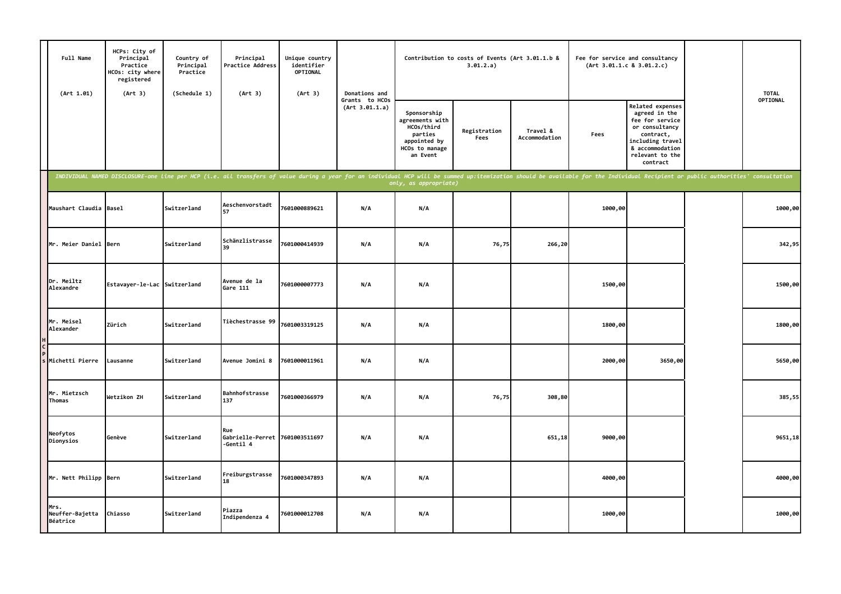| Full Name<br>(Art 1.01)             | HCPs: City of<br>Principal<br>Practice<br>HCOs: city where<br>registered<br>(Art 3) | Country of<br>Principal<br>Practice<br>(Schedule 1) | Principal<br>Practice Address<br>(Art 3)           | Unique country<br>identifier<br>OPTIONAL<br>(Art 3)                                                                                                                                                                            | Donations and                    |                                                                                                       | Contribution to costs of Events (Art 3.01.1.b &<br>3.01.2.a) |                           |         | Fee for service and consultancy<br>(Art 3.01.1.c 8 3.01.2.c)                                                                                              | <b>TOTAL</b> |
|-------------------------------------|-------------------------------------------------------------------------------------|-----------------------------------------------------|----------------------------------------------------|--------------------------------------------------------------------------------------------------------------------------------------------------------------------------------------------------------------------------------|----------------------------------|-------------------------------------------------------------------------------------------------------|--------------------------------------------------------------|---------------------------|---------|-----------------------------------------------------------------------------------------------------------------------------------------------------------|--------------|
|                                     |                                                                                     |                                                     |                                                    |                                                                                                                                                                                                                                | Grants to HCOs<br>(Art 3.01.1.a) | Sponsorship<br>agreements with<br>HCOs/third<br>parties<br>appointed by<br>HCOs to manage<br>an Event | Registration<br>Fees                                         | Travel &<br>Accommodation | Fees    | Related expenses<br>agreed in the<br>fee for service<br>or consultancy<br>contract,<br>including travel<br>& accommodation<br>relevant to the<br>contract | OPTIONAL     |
|                                     |                                                                                     |                                                     |                                                    | INDIVIDUAL NAMED DISCLOSURE-one line per HCP (i.e. all transfers of value during a year for an individual HCP will be summed up:itemization should be available for the Individual Recipient or public authorities' consultati |                                  |                                                                                                       |                                                              |                           |         |                                                                                                                                                           |              |
| Maushart Claudia Basel              |                                                                                     | Switzerland                                         | Aeschenvorstadt<br>57                              | 7601000889621                                                                                                                                                                                                                  | N/A                              | N/A                                                                                                   |                                                              |                           | 1000,00 |                                                                                                                                                           | 1000,00      |
| Mr. Meier Daniel Bern               |                                                                                     | Switzerland                                         | Schänzlistrasse<br>39                              | 7601000414939                                                                                                                                                                                                                  | N/A                              | N/A                                                                                                   | 76,75                                                        | 266,20                    |         |                                                                                                                                                           | 342,95       |
| Dr. Meiltz<br>Alexandre             | Estavayer-le-Lac Switzerland                                                        |                                                     | Avenue de la<br>Gare 111                           | 7601000007773                                                                                                                                                                                                                  | N/A                              | N/A                                                                                                   |                                                              |                           | 1500,00 |                                                                                                                                                           | 1500,00      |
| Mr. Meisel<br>Alexander             | Zürich                                                                              | Switzerland                                         | Tièchestrasse 99                                   | 7601003319125                                                                                                                                                                                                                  | N/A                              | N/A                                                                                                   |                                                              |                           | 1800,00 |                                                                                                                                                           | 1800,00      |
| Michetti Pierre                     | Lausanne                                                                            | Switzerland                                         | Avenue Jomini 8                                    | 7601000011961                                                                                                                                                                                                                  | N/A                              | N/A                                                                                                   |                                                              |                           | 2000,00 | 3650,00                                                                                                                                                   | 5650,00      |
| Mr. Mietzsch<br>Thomas              | Wetzikon ZH                                                                         | Switzerland                                         | Bahnhofstrasse<br>137                              | 7601000366979                                                                                                                                                                                                                  | N/A                              | N/A                                                                                                   | 76,75                                                        | 308,80                    |         |                                                                                                                                                           | 385,55       |
| Neofytos<br>Dionysios               | Genève                                                                              | Switzerland                                         | Rue<br>Gabrielle-Perret 7601003511697<br>-Gentil 4 |                                                                                                                                                                                                                                | N/A                              | N/A                                                                                                   |                                                              | 651,18                    | 9000,00 |                                                                                                                                                           | 9651,18      |
| Mr. Nett Philipp Bern               |                                                                                     | Switzerland                                         | Freiburgstrasse<br>18                              | 7601000347893                                                                                                                                                                                                                  | N/A                              | N/A                                                                                                   |                                                              |                           | 4000,00 |                                                                                                                                                           | 4000,00      |
| Mrs.<br>Neuffer-Bajetta<br>Béatrice | Chiasso                                                                             | Switzerland                                         | Piazza<br>Indipendenza 4                           | 7601000012708                                                                                                                                                                                                                  | N/A                              | N/A                                                                                                   |                                                              |                           | 1000,00 |                                                                                                                                                           | 1000,00      |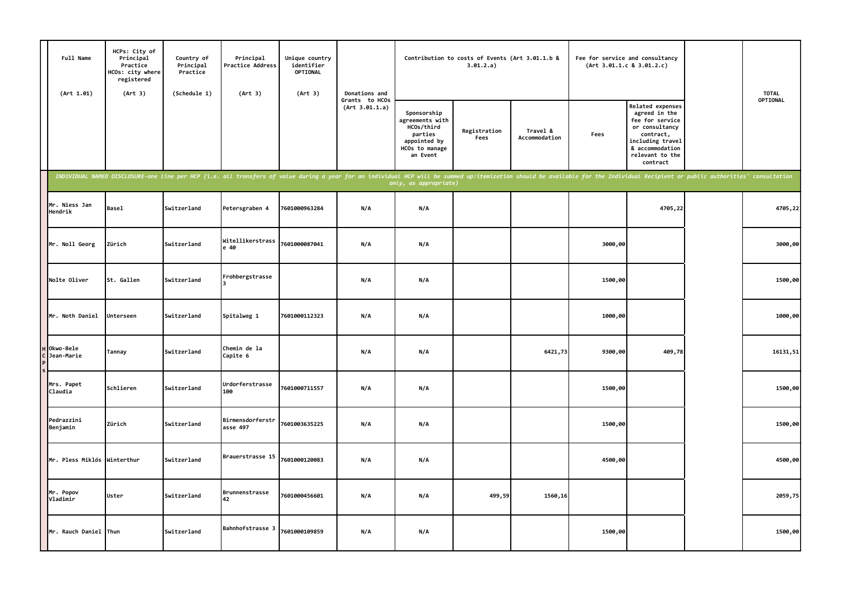|                         | Full Name<br>(Art 1.01) | HCPs: City of<br>Principal<br>Practice<br>HCOs: city where<br>registered<br>(Art 3) | Country of<br>Principal<br>Practice<br>(Schedule 1) | Principal<br>Practice Address<br>(Art 3) | Unique country<br>identifier<br><b>OPTIONAL</b><br>(Art 3) | Donations and                    |                                                                                                                                                                                                                                                         | Contribution to costs of Events (Art 3.01.1.b &<br>3.01.2.a) |                           | (Art 3.01.1.c 8 3.01.2.c) | Fee for service and consultancy                                                                                                                           | <b>TOTAL</b> |
|-------------------------|-------------------------|-------------------------------------------------------------------------------------|-----------------------------------------------------|------------------------------------------|------------------------------------------------------------|----------------------------------|---------------------------------------------------------------------------------------------------------------------------------------------------------------------------------------------------------------------------------------------------------|--------------------------------------------------------------|---------------------------|---------------------------|-----------------------------------------------------------------------------------------------------------------------------------------------------------|--------------|
|                         |                         |                                                                                     |                                                     |                                          |                                                            | Grants to HCOs<br>(Art 3.01.1.a) | Sponsorship<br>agreements with<br>HCOs/third<br>parties<br>appointed by<br>HCOs to manage<br>an Event                                                                                                                                                   | Registration<br>Fees                                         | Travel &<br>Accommodation | Fees                      | Related expenses<br>agreed in the<br>fee for service<br>or consultancy<br>contract,<br>including travel<br>& accommodation<br>relevant to the<br>contract | OPTIONAL     |
|                         |                         |                                                                                     |                                                     |                                          |                                                            |                                  | INDIVIDUAL NAMED DISCLOSURE-one line per HCP (i.e. all transfers of value during a year for an individual HCP will be summed up:itemization should be available for the Individual Recipient or public authorities' consultati<br>only, as appropriate) |                                                              |                           |                           |                                                                                                                                                           |              |
| Hendrik                 | Mr. Niess Jan           | <b>Basel</b>                                                                        | Switzerland                                         | Petersgraben 4                           | 7601000963284                                              | N/A                              | N/A                                                                                                                                                                                                                                                     |                                                              |                           |                           | 4705,22                                                                                                                                                   | 4705,22      |
|                         | Mr. Noll Georg          | Zürich                                                                              | Switzerland                                         | Witellikerstrass<br>e 40                 | 7601000087041                                              | N/A                              | N/A                                                                                                                                                                                                                                                     |                                                              |                           | 3000,00                   |                                                                                                                                                           | 3000,00      |
|                         | Nolte Oliver            | St. Gallen                                                                          | Switzerland                                         | Frohbergstrasse                          |                                                            | N/A                              | N/A                                                                                                                                                                                                                                                     |                                                              |                           | 1500,00                   |                                                                                                                                                           | 1500,00      |
|                         | Mr. Noth Daniel         | Unterseen                                                                           | Switzerland                                         | Spitalweg 1                              | 7601000112323                                              | N/A                              | N/A                                                                                                                                                                                                                                                     |                                                              |                           | 1000,00                   |                                                                                                                                                           | 1000,00      |
| Okwo-Bele<br>Jean-Marie |                         | Tannay                                                                              | Switzerland                                         | Chemin de la<br>Capite 6                 |                                                            | N/A                              | N/A                                                                                                                                                                                                                                                     |                                                              | 6421,73                   | 9300,00                   | 409,78                                                                                                                                                    | 16131,51     |
| Mrs. Papet<br>Claudia   |                         | Schlieren                                                                           | Switzerland                                         | Urdorferstrasse<br>100                   | 7601000711557                                              | N/A                              | N/A                                                                                                                                                                                                                                                     |                                                              |                           | 1500,00                   |                                                                                                                                                           | 1500,00      |
| Pedrazzini<br>Benjamin  |                         | Zürich                                                                              | Switzerland                                         | Birmensdorferstr<br>asse 497             | 7601003635225                                              | N/A                              | N/A                                                                                                                                                                                                                                                     |                                                              |                           | 1500,00                   |                                                                                                                                                           | 1500,00      |
|                         |                         | Mr. Pless Miklós Winterthur                                                         | Switzerland                                         | Brauerstrasse 15                         | 7601000120083                                              | N/A                              | N/A                                                                                                                                                                                                                                                     |                                                              |                           | 4500,00                   |                                                                                                                                                           | 4500,00      |
| Mr. Popov<br>Vladimir   |                         | Uster                                                                               | Switzerland                                         | Brunnenstrasse<br>42                     | 7601000456601                                              | N/A                              | N/A                                                                                                                                                                                                                                                     | 499,59                                                       | 1560,16                   |                           |                                                                                                                                                           | 2059,75      |
|                         | Mr. Rauch Daniel Thun   |                                                                                     | Switzerland                                         | Bahnhofstrasse 3                         | 7601000109859                                              | N/A                              | N/A                                                                                                                                                                                                                                                     |                                                              |                           | 1500,00                   |                                                                                                                                                           | 1500,00      |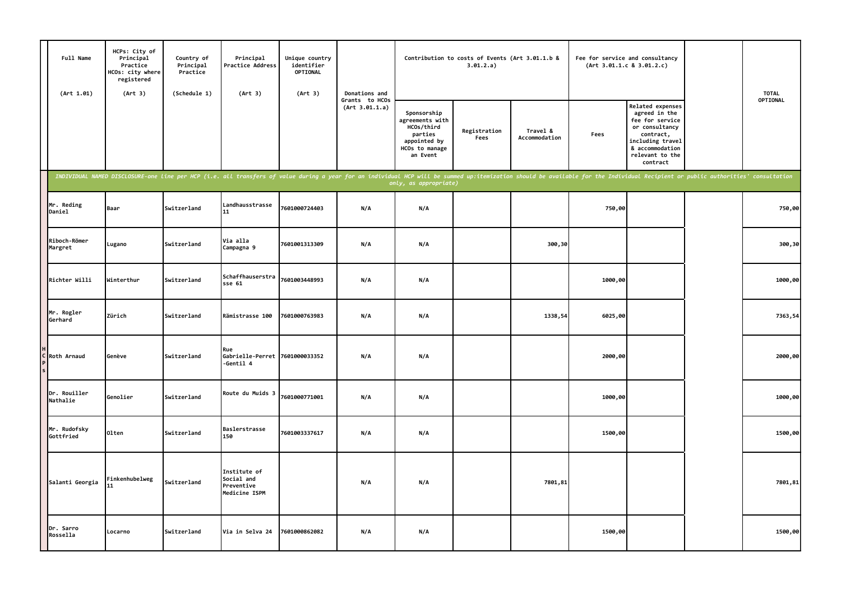| Full Name<br>(Art 1.01)   | HCPs: City of<br>Principal<br>Practice<br>HCOs: city where<br>registered<br>(Art 3) | Country of<br>Principal<br>Practice<br>(Schedule 1) | Principal<br>Practice Address<br>(Art 3)                  | Unique country<br>identifier<br><b>OPTIONAL</b><br>(Art 3) | Donations and                    |                                                                                                       | Contribution to costs of Events (Art 3.01.1.b &<br>3.01.2.a) |                           | (Art 3.01.1.c 8 3.01.2.c) | Fee for service and consultancy                                                                                                                           |                                                                                                                                                                                                                                | <b>TOTAL</b> |
|---------------------------|-------------------------------------------------------------------------------------|-----------------------------------------------------|-----------------------------------------------------------|------------------------------------------------------------|----------------------------------|-------------------------------------------------------------------------------------------------------|--------------------------------------------------------------|---------------------------|---------------------------|-----------------------------------------------------------------------------------------------------------------------------------------------------------|--------------------------------------------------------------------------------------------------------------------------------------------------------------------------------------------------------------------------------|--------------|
|                           |                                                                                     |                                                     |                                                           |                                                            | Grants to HCOs<br>(Art 3.01.1.a) | Sponsorship<br>agreements with<br>HCOs/third<br>parties<br>appointed by<br>HCOs to manage<br>an Event | Registration<br>Fees                                         | Travel &<br>Accommodation | Fees                      | Related expenses<br>agreed in the<br>fee for service<br>or consultancy<br>contract,<br>including travel<br>& accommodation<br>relevant to the<br>contract |                                                                                                                                                                                                                                | OPTIONAL     |
|                           |                                                                                     |                                                     |                                                           |                                                            |                                  | only, as appropriate)                                                                                 |                                                              |                           |                           |                                                                                                                                                           | INDIVIDUAL NAMED DISCLOSURE-one line per HCP (i.e. all transfers of value during a year for an individual HCP will be summed up:itemization should be available for the Individual Recipient or public authorities' consultati |              |
| Mr. Reding<br>Daniel      | Baar                                                                                | Switzerland                                         | Landhausstrasse<br>11                                     | 7601000724403                                              | N/A                              | N/A                                                                                                   |                                                              |                           | 750,00                    |                                                                                                                                                           |                                                                                                                                                                                                                                | 750,00       |
| Riboch-Römer<br>Margret   | Lugano                                                                              | Switzerland                                         | Via alla<br>Campagna 9                                    | 7601001313309                                              | N/A                              | N/A                                                                                                   |                                                              | 300,30                    |                           |                                                                                                                                                           |                                                                                                                                                                                                                                | 300,30       |
| Richter Willi             | Winterthur                                                                          | Switzerland                                         | Schaffhauserstra<br>sse <sub>61</sub>                     | 7601003448993                                              | N/A                              | N/A                                                                                                   |                                                              |                           | 1000,00                   |                                                                                                                                                           |                                                                                                                                                                                                                                | 1000,00      |
| Mr. Rogler<br>Gerhard     | Zürich                                                                              | Switzerland                                         | Rämistrasse 100                                           | 7601000763983                                              | N/A                              | N/A                                                                                                   |                                                              | 1338,54                   | 6025,00                   |                                                                                                                                                           |                                                                                                                                                                                                                                | 7363,54      |
| C Roth Arnaud             | Genève                                                                              | Switzerland                                         | Rue<br>Gabrielle-Perret 7601000033352<br>-Gentil 4        |                                                            | N/A                              | N/A                                                                                                   |                                                              |                           | 2000,00                   |                                                                                                                                                           |                                                                                                                                                                                                                                | 2000,00      |
| Dr. Rouiller<br>Nathalie  | Genolier                                                                            | Switzerland                                         | Route du Muids 3                                          | 7601000771001                                              | N/A                              | N/A                                                                                                   |                                                              |                           | 1000,00                   |                                                                                                                                                           |                                                                                                                                                                                                                                | 1000,00      |
| Mr. Rudofsky<br>Gottfried | 01ten                                                                               | Switzerland                                         | Baslerstrasse<br>150                                      | 7601003337617                                              | N/A                              | N/A                                                                                                   |                                                              |                           | 1500,00                   |                                                                                                                                                           |                                                                                                                                                                                                                                | 1500,00      |
| Salanti Georgia           | Finkenhubelweg<br>11                                                                | Switzerland                                         | Institute of<br>Social and<br>Preventive<br>Medicine ISPM |                                                            | N/A                              | N/A                                                                                                   |                                                              | 7801,81                   |                           |                                                                                                                                                           |                                                                                                                                                                                                                                | 7801,81      |
| Dr. Sarro<br>Rossella     | Locarno                                                                             | Switzerland                                         | Via in Selva 24                                           | 7601000862082                                              | N/A                              | N/A                                                                                                   |                                                              |                           | 1500,00                   |                                                                                                                                                           |                                                                                                                                                                                                                                | 1500,00      |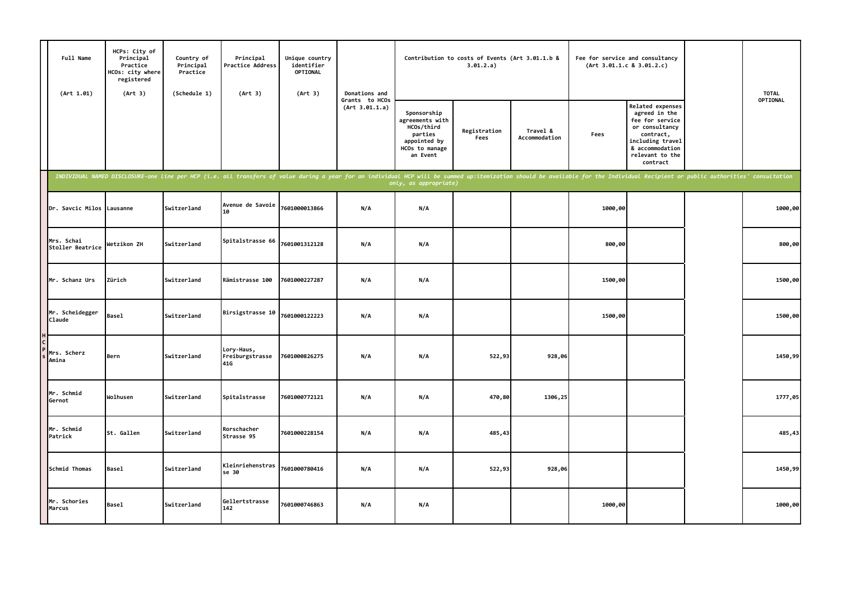| Full Name<br>(Art 1.01)        | HCPs: City of<br>Principal<br>Practice<br>HCOs: city where<br>registered<br>(Art 3) | Country of<br>Principal<br>Practice<br>(Schedule 1) | Principal<br>Practice Address<br>(Art 3) | Unique country<br>identifier<br>OPTIONAL<br>(Art 3)                                                                                                                                                                            | Donations and                    |                                                                                                       | Contribution to costs of Events (Art 3.01.1.b &<br>3.01.2.a) |                           |         | Fee for service and consultancy<br>(Art 3.01.1.c 8 3.01.2.c)                                                                                                     | <b>TOTAL</b> |
|--------------------------------|-------------------------------------------------------------------------------------|-----------------------------------------------------|------------------------------------------|--------------------------------------------------------------------------------------------------------------------------------------------------------------------------------------------------------------------------------|----------------------------------|-------------------------------------------------------------------------------------------------------|--------------------------------------------------------------|---------------------------|---------|------------------------------------------------------------------------------------------------------------------------------------------------------------------|--------------|
|                                |                                                                                     |                                                     |                                          |                                                                                                                                                                                                                                | Grants to HCOs<br>(Art 3.01.1.a) | Sponsorship<br>agreements with<br>HCOs/third<br>parties<br>appointed by<br>HCOs to manage<br>an Event | Registration<br>Fees                                         | Travel &<br>Accommodation | Fees    | <b>Related expenses</b><br>agreed in the<br>fee for service<br>or consultancy<br>contract,<br>including travel<br>& accommodation<br>relevant to the<br>contract | OPTIONAL     |
|                                |                                                                                     |                                                     |                                          | INDIVIDUAL NAMED DISCLOSURE-one line per HCP (i.e. all transfers of value during a year for an individual HCP will be summed up:itemization should be available for the Individual Recipient or public authorities' consultati |                                  | only, as appropriate)                                                                                 |                                                              |                           |         |                                                                                                                                                                  |              |
| Dr. Savcic Milos Lausanne      |                                                                                     | Switzerland                                         | Avenue de Savoie<br>10                   | 7601000013866                                                                                                                                                                                                                  | N/A                              | N/A                                                                                                   |                                                              |                           | 1000,00 |                                                                                                                                                                  | 1000,00      |
| Mrs. Schai<br>Stoller Beatrice | Wetzikon ZH                                                                         | Switzerland                                         | Spitalstrasse 66                         | 7601001312128                                                                                                                                                                                                                  | N/A                              | N/A                                                                                                   |                                                              |                           | 800,00  |                                                                                                                                                                  | 800,00       |
| Mr. Schanz Urs                 | Zürich                                                                              | Switzerland                                         | Rämistrasse 100                          | 7601000227287                                                                                                                                                                                                                  | N/A                              | N/A                                                                                                   |                                                              |                           | 1500,00 |                                                                                                                                                                  | 1500,00      |
| Mr. Scheidegger<br>Claude      | <b>Basel</b>                                                                        | Switzerland                                         | Birsigstrasse 10                         | 7601000122223                                                                                                                                                                                                                  | N/A                              | N/A                                                                                                   |                                                              |                           | 1500,00 |                                                                                                                                                                  | 1500,00      |
| Mrs. Scherz<br>Amina           | Bern                                                                                | Switzerland                                         | Lory-Haus,<br>Freiburgstrasse<br>41G     | 7601000826275                                                                                                                                                                                                                  | N/A                              | N/A                                                                                                   | 522,93                                                       | 928,06                    |         |                                                                                                                                                                  | 1450,99      |
| Mr. Schmid<br>Gernot           | Wolhusen                                                                            | Switzerland                                         | Spitalstrasse                            | 7601000772121                                                                                                                                                                                                                  | N/A                              | N/A                                                                                                   | 470,80                                                       | 1306,25                   |         |                                                                                                                                                                  | 1777,05      |
| Mr. Schmid<br>Patrick          | St. Gallen                                                                          | Switzerland                                         | Rorschacher<br>Strasse 95                | 7601000228154                                                                                                                                                                                                                  | N/A                              | N/A                                                                                                   | 485,43                                                       |                           |         |                                                                                                                                                                  | 485,43       |
| Schmid Thomas                  | <b>Basel</b>                                                                        | Switzerland                                         | Kleinriehenstras<br>se 30                | 7601000780416                                                                                                                                                                                                                  | N/A                              | N/A                                                                                                   | 522,93                                                       | 928,06                    |         |                                                                                                                                                                  | 1450,99      |
| Mr. Schories<br>Marcus         | <b>Basel</b>                                                                        | Switzerland                                         | Gellertstrasse<br>142                    | 7601000746863                                                                                                                                                                                                                  | N/A                              | N/A                                                                                                   |                                                              |                           | 1000,00 |                                                                                                                                                                  | 1000,00      |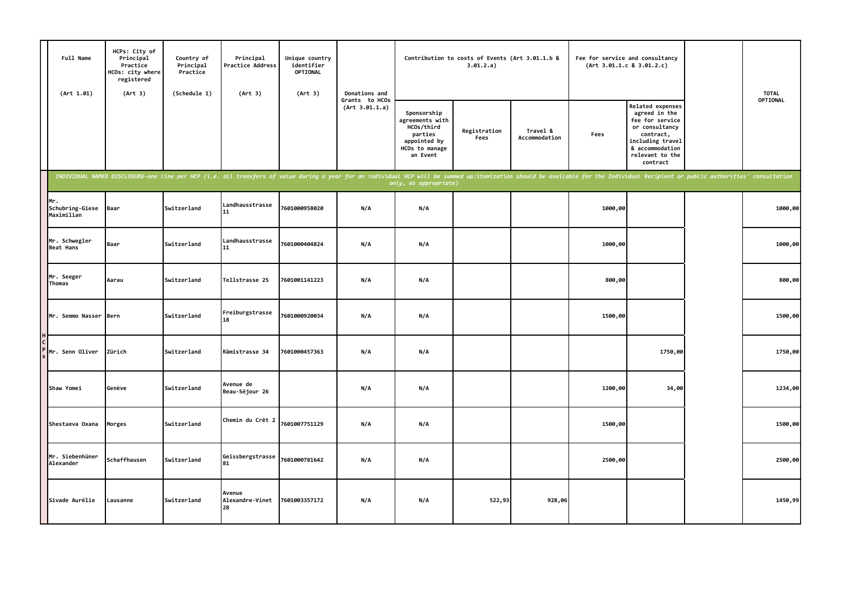| Full Name<br>(Art 1.01)              | HCPs: City of<br>Principal<br>Practice<br><b>ICOs: city where</b><br>registered<br>(Art 3) | Country of<br>Principal<br>Practice<br>(Schedule 1) | Principal<br><b>Practice Address</b><br>(Art 3) | Unique country<br>identifier<br>OPTIONAL<br>(Art 3) | Donations and                    |                                                                                                       | Contribution to costs of Events (Art 3.01.1.b &<br>3.01.2.a) |                           |         | Fee for service and consultancy<br>(Art 3.01.1.c 8 3.01.2.c)                                                                                              |                                                                                                                                                                                                                                | <b>TOTAL</b> |
|--------------------------------------|--------------------------------------------------------------------------------------------|-----------------------------------------------------|-------------------------------------------------|-----------------------------------------------------|----------------------------------|-------------------------------------------------------------------------------------------------------|--------------------------------------------------------------|---------------------------|---------|-----------------------------------------------------------------------------------------------------------------------------------------------------------|--------------------------------------------------------------------------------------------------------------------------------------------------------------------------------------------------------------------------------|--------------|
|                                      |                                                                                            |                                                     |                                                 |                                                     | Grants to HCOs<br>(Art 3.01.1.a) | Sponsorship<br>agreements with<br>HCOs/third<br>parties<br>appointed by<br>HCOs to manage<br>an Event | Registration<br>Fees                                         | Travel &<br>Accommodation | Fees    | Related expenses<br>agreed in the<br>fee for service<br>or consultancy<br>contract,<br>including travel<br>& accommodation<br>relevant to the<br>contract |                                                                                                                                                                                                                                | OPTIONAL     |
|                                      |                                                                                            |                                                     |                                                 |                                                     |                                  | only, as appropriate)                                                                                 |                                                              |                           |         |                                                                                                                                                           | INDIVIDUAL NAMED DISCLOSURE-one line per HCP (i.e. all transfers of value during a year for an individual HCP will be summed up:itemization should be available for the Individual Recipient or public authorities' consultati |              |
| Mr.<br>Schubring-Giese<br>Maximilian | Baar                                                                                       | Switzerland                                         | Landhausstrasse<br>11                           | 7601000958020                                       | N/A                              | N/A                                                                                                   |                                                              |                           | 1000,00 |                                                                                                                                                           |                                                                                                                                                                                                                                | 1000,00      |
| Mr. Schwegler<br>Beat Hans           | Baar                                                                                       | Switzerland                                         | Landhausstrasse<br>11                           | 7601000404824                                       | N/A                              | N/A                                                                                                   |                                                              |                           | 1000,00 |                                                                                                                                                           |                                                                                                                                                                                                                                | 1000,00      |
| Mr. Seeger<br>Thomas                 | Aarau                                                                                      | Switzerland                                         | Tellstrasse 25                                  | 7601001141223                                       | N/A                              | N/A                                                                                                   |                                                              |                           | 800,00  |                                                                                                                                                           |                                                                                                                                                                                                                                | 800,00       |
| Mr. Semmo Nasser Bern                |                                                                                            | Switzerland                                         | Freiburgstrasse<br>18                           | 7601000920034                                       | N/A                              | N/A                                                                                                   |                                                              |                           | 1500,00 |                                                                                                                                                           |                                                                                                                                                                                                                                | 1500,00      |
| Mr. Senn Oliver                      | Zürich                                                                                     | Switzerland                                         | Rämistrasse 34                                  | 7601000457363                                       | N/A                              | N/A                                                                                                   |                                                              |                           |         | 1750,00                                                                                                                                                   |                                                                                                                                                                                                                                | 1750,00      |
| Shaw Yomei                           | Genève                                                                                     | Switzerland                                         | Avenue de<br>Beau-Séjour 26                     |                                                     | N/A                              | N/A                                                                                                   |                                                              |                           | 1200,00 | 34,00                                                                                                                                                     |                                                                                                                                                                                                                                | 1234,00      |
| Shestaeva Oxana                      | Morges                                                                                     | Switzerland                                         | Chemin du Crêt 2                                | 7601007751129                                       | N/A                              | N/A                                                                                                   |                                                              |                           | 1500,00 |                                                                                                                                                           |                                                                                                                                                                                                                                | 1500,00      |
| Mr. Siebenhüner<br>Alexander         | Schaffhausen                                                                               | Switzerland                                         | Geissbergstrasse<br>81                          | 7601000781642                                       | N/A                              | N/A                                                                                                   |                                                              |                           | 2500,00 |                                                                                                                                                           |                                                                                                                                                                                                                                | 2500,00      |
| Sivade Aurélie                       | Lausanne                                                                                   | Switzerland                                         | Avenue<br>Alexandre-Vinet<br>28                 | 7601003357172                                       | N/A                              | N/A                                                                                                   | 522,93                                                       | 928,06                    |         |                                                                                                                                                           |                                                                                                                                                                                                                                | 1450,99      |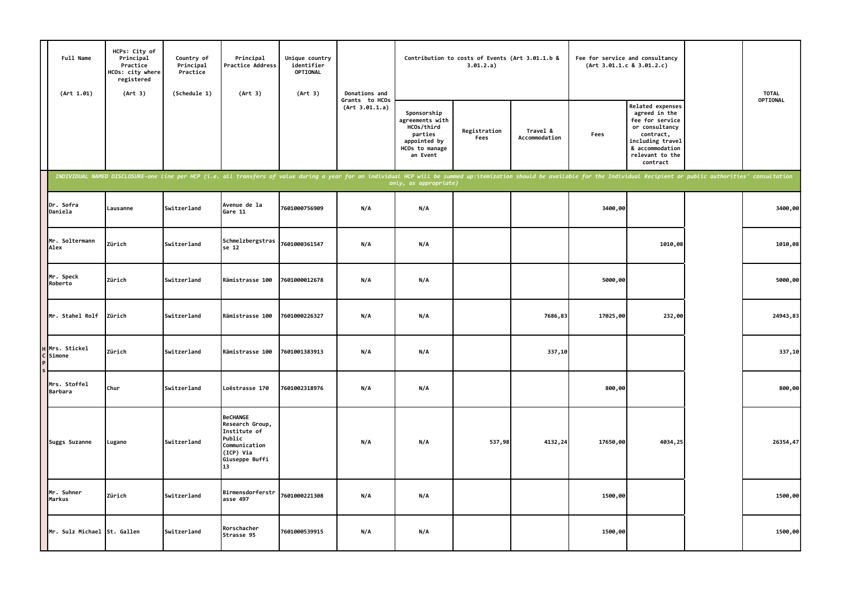| Full Name<br>(Art 1.01)        | HCPs: City of<br>Principal<br>Practice<br>HCOs: city where<br>registered<br>(Art 3) | Country of<br>Principal<br>Practice<br>(Schedule 1) | Principal<br><b>Practice Address</b><br>(Art 3)                                                                    | Unique country<br>identifier<br><b>OPTIONAL</b><br>(Art 3) | Donations and                    |                                                                                                                                                                                                                                                         | Contribution to costs of Events (Art 3.01.1.b &<br>3.01.2.a) |                           | (Art 3.01.1.c 8 3.01.2.c) | Fee for service and consultancy                                                                                                                           | <b>TOTAL</b> |
|--------------------------------|-------------------------------------------------------------------------------------|-----------------------------------------------------|--------------------------------------------------------------------------------------------------------------------|------------------------------------------------------------|----------------------------------|---------------------------------------------------------------------------------------------------------------------------------------------------------------------------------------------------------------------------------------------------------|--------------------------------------------------------------|---------------------------|---------------------------|-----------------------------------------------------------------------------------------------------------------------------------------------------------|--------------|
|                                |                                                                                     |                                                     |                                                                                                                    |                                                            | Grants to HCOs<br>(Art 3.01.1.a) | Sponsorship<br>agreements with<br>HCOs/third<br>parties<br>appointed by<br>HCOs to manage<br>an Event                                                                                                                                                   | Registration<br>Fees                                         | Travel &<br>Accommodation | Fees                      | Related expenses<br>agreed in the<br>fee for service<br>or consultancy<br>contract,<br>including travel<br>& accommodation<br>relevant to the<br>contract | OPTIONAL     |
|                                |                                                                                     |                                                     |                                                                                                                    |                                                            |                                  | INDIVIDUAL NAMED DISCLOSURE-one line per HCP (i.e. all transfers of value during a year for an individual HCP will be summed up:itemization should be available for the Individual Recipient or public authorities' consultati<br>only, as appropriate) |                                                              |                           |                           |                                                                                                                                                           |              |
| Dr. Sofra<br>Daniela           | Lausanne                                                                            | Switzerland                                         | Avenue de la<br>Gare 11                                                                                            | 7601000756909                                              | N/A                              | N/A                                                                                                                                                                                                                                                     |                                                              |                           | 3400,00                   |                                                                                                                                                           | 3400,00      |
| Mr. Soltermann<br>Alex         | Zürich                                                                              | Switzerland                                         | Schmelzbergstras<br>se 12                                                                                          | 7601000361547                                              | N/A                              | N/A                                                                                                                                                                                                                                                     |                                                              |                           |                           | 1010,08                                                                                                                                                   | 1010,08      |
| Mr. Speck<br>Roberto           | Zürich                                                                              | Switzerland                                         | Rämistrasse 100                                                                                                    | 7601000012678                                              | N/A                              | N/A                                                                                                                                                                                                                                                     |                                                              |                           | 5000,00                   |                                                                                                                                                           | 5000,00      |
| Mr. Stahel Rolf                | Zürich                                                                              | Switzerland                                         | Rämistrasse 100                                                                                                    | 7601000226327                                              | N/A                              | N/A                                                                                                                                                                                                                                                     |                                                              | 7686,83                   | 17025,00                  | 232,00                                                                                                                                                    | 24943,83     |
| Mrs. Stickel<br>Simone         | Zürich                                                                              | Switzerland                                         | Rämistrasse 100                                                                                                    | 7601001383913                                              | N/A                              | N/A                                                                                                                                                                                                                                                     |                                                              | 337,10                    |                           |                                                                                                                                                           | 337,10       |
| Mrs. Stoffel<br><b>Barbara</b> | Chur                                                                                | Switzerland                                         | Loëstrasse 170                                                                                                     | 7601002318976                                              | N/A                              | N/A                                                                                                                                                                                                                                                     |                                                              |                           | 800,00                    |                                                                                                                                                           | 800,00       |
| Suggs Suzanne                  | Lugano                                                                              | Switzerland                                         | <b>BeCHANGE</b><br>Research Group,<br>Institute of<br>Public<br>Communication<br>(ICP) Via<br>Giuseppe Buffi<br>13 |                                                            | N/A                              | N/A                                                                                                                                                                                                                                                     | 537,98                                                       | 4132,24                   | 17650,00                  | 4034,25                                                                                                                                                   | 26354,47     |
| Mr. Suhner<br>Markus           | Zürich                                                                              | Switzerland                                         | Birmensdorferstr<br>asse 497                                                                                       | 7601000221308                                              | N/A                              | N/A                                                                                                                                                                                                                                                     |                                                              |                           | 1500,00                   |                                                                                                                                                           | 1500,00      |
| Mr. Sulz Michael St. Gallen    |                                                                                     | Switzerland                                         | Rorschacher<br>Strasse 95                                                                                          | 7601000539915                                              | N/A                              | N/A                                                                                                                                                                                                                                                     |                                                              |                           | 1500,00                   |                                                                                                                                                           | 1500,00      |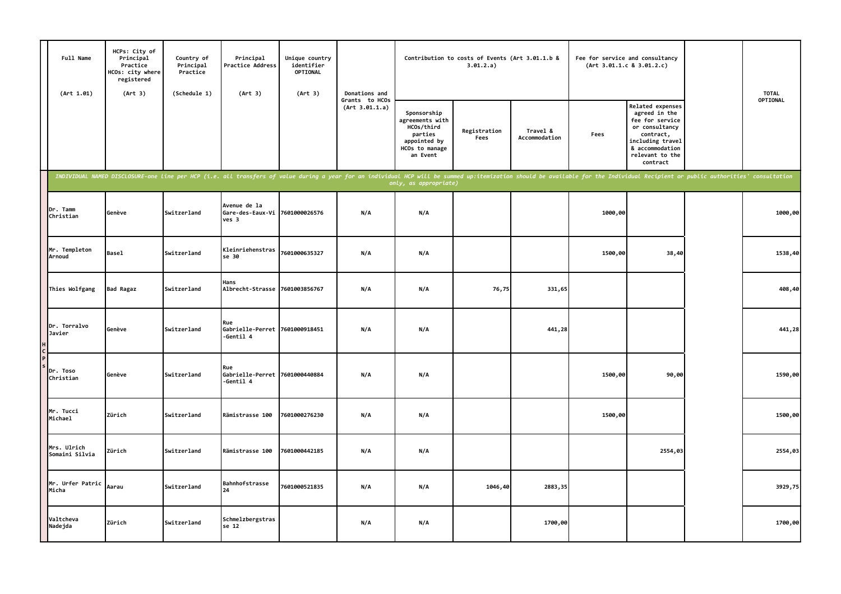| Full Name<br>(Art 1.01)       | HCPs: City of<br>Principal<br>Practice<br>HCOs: city where<br>registered<br>(Art 3) | Country of<br>Principal<br>Practice<br>(Schedule 1) | Principal<br><b>Practice Address</b><br>(Art 3)                                                                                                                                                                                | Unique country<br>identifier<br><b>OPTIONAL</b><br>(Art 3) | Donations and                    |                                                                                                       | Contribution to costs of Events (Art 3.01.1.b &<br>3.01.2.a) |                           | Fee for service and consultancy<br>(Art 3.01.1.c 8 3.01.2.c) |                                                                                                                                                           | <b>TOTAL</b> |
|-------------------------------|-------------------------------------------------------------------------------------|-----------------------------------------------------|--------------------------------------------------------------------------------------------------------------------------------------------------------------------------------------------------------------------------------|------------------------------------------------------------|----------------------------------|-------------------------------------------------------------------------------------------------------|--------------------------------------------------------------|---------------------------|--------------------------------------------------------------|-----------------------------------------------------------------------------------------------------------------------------------------------------------|--------------|
|                               |                                                                                     |                                                     |                                                                                                                                                                                                                                |                                                            | Grants to HCOs<br>(Art 3.01.1.a) | Sponsorship<br>agreements with<br>HCOs/third<br>parties<br>appointed by<br>HCOs to manage<br>an Event | Registration<br>Fees                                         | Travel &<br>Accommodation | Fees                                                         | Related expenses<br>agreed in the<br>fee for service<br>or consultancy<br>contract,<br>including travel<br>& accommodation<br>relevant to the<br>contract | OPTIONAL     |
|                               |                                                                                     |                                                     | INDIVIDUAL NAMED DISCLOSURE-one line per HCP (i.e. all transfers of value during a year for an individual HCP will be summed up:itemization should be available for the Individual Recipient or public authorities' consultati |                                                            |                                  | only, as appropriate)                                                                                 |                                                              |                           |                                                              |                                                                                                                                                           |              |
| Dr. Tamm<br>Christian         | Genève                                                                              | Switzerland                                         | Avenue de la<br>Gare-des-Eaux-Vi 7601000026576<br>ves 3                                                                                                                                                                        |                                                            | N/A                              | N/A                                                                                                   |                                                              |                           | 1000,00                                                      |                                                                                                                                                           | 1000,00      |
| Mr. Templeton<br>Arnoud       | <b>Basel</b>                                                                        | Switzerland                                         | Kleinriehenstras<br>se 30                                                                                                                                                                                                      | 7601000635327                                              | N/A                              | N/A                                                                                                   |                                                              |                           | 1500,00                                                      | 38,40                                                                                                                                                     | 1538,40      |
| Thies Wolfgang                | <b>Bad Ragaz</b>                                                                    | Switzerland                                         | Hans<br>Albrecht-Strasse 7601003856767                                                                                                                                                                                         |                                                            | N/A                              | N/A                                                                                                   | 76,75                                                        | 331,65                    |                                                              |                                                                                                                                                           | 408,40       |
| Dr. Torralvo<br>Javier        | Genève                                                                              | Switzerland                                         | Rue<br>Gabrielle-Perret 7601000918451<br>-Gentil 4                                                                                                                                                                             |                                                            | N/A                              | N/A                                                                                                   |                                                              | 441,28                    |                                                              |                                                                                                                                                           | 441,28       |
| Dr. Toso<br>Christian         | Genève                                                                              | Switzerland                                         | Rue<br>Gabrielle-Perret 7601000440884<br>-Gentil 4                                                                                                                                                                             |                                                            | N/A                              | N/A                                                                                                   |                                                              |                           | 1500,00                                                      | 90,00                                                                                                                                                     | 1590,00      |
| Mr. Tucci<br>Michael          | Zürich                                                                              | Switzerland                                         | Rämistrasse 100                                                                                                                                                                                                                | 7601000276230                                              | N/A                              | N/A                                                                                                   |                                                              |                           | 1500,00                                                      |                                                                                                                                                           | 1500,00      |
| Mrs. Ulrich<br>Somaini Silvia | Zürich                                                                              | Switzerland                                         | Rämistrasse 100                                                                                                                                                                                                                | 7601000442185                                              | N/A                              | N/A                                                                                                   |                                                              |                           |                                                              | 2554,03                                                                                                                                                   | 2554,03      |
| Mr. Urfer Patric<br>Micha     | Aarau                                                                               | Switzerland                                         | Bahnhofstrasse<br>24                                                                                                                                                                                                           | 7601000521835                                              | N/A                              | N/A                                                                                                   | 1046,40                                                      | 2883,35                   |                                                              |                                                                                                                                                           | 3929,75      |
| Valtcheva<br>Nadejda          | Zürich                                                                              | Switzerland                                         | Schmelzbergstras<br>se 12                                                                                                                                                                                                      |                                                            | N/A                              | N/A                                                                                                   |                                                              | 1700,00                   |                                                              |                                                                                                                                                           | 1700,00      |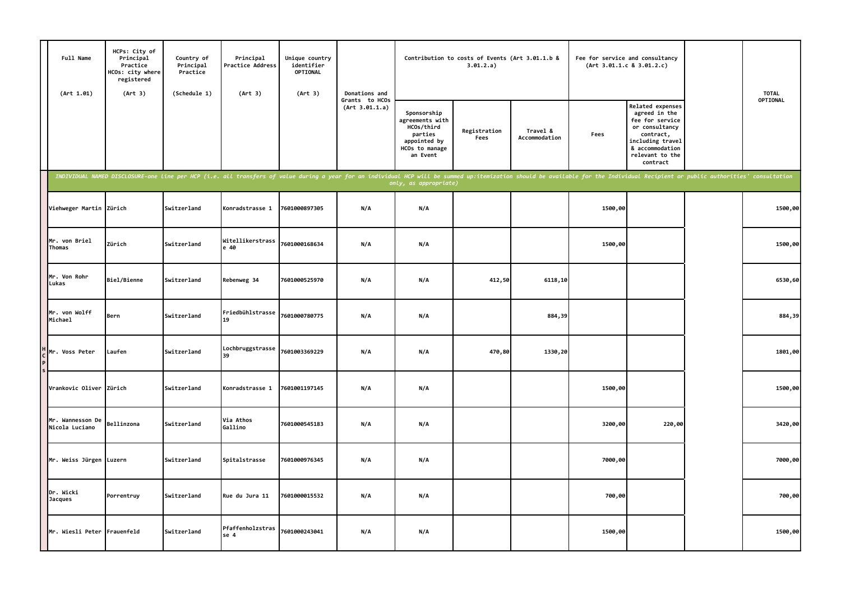| Full Name<br>(Art 1.01)            | HCPs: City of<br>Principal<br>Practice<br>HCOs: city where<br>registered<br>(Art 3) | Country of<br>Principal<br>Practice<br>(Schedule 1) | Principal<br>Practice Address<br>(Art 3) | Unique country<br>identifier<br>OPTIONAL<br>(Art 3) | Donations and                    |                                                                                                                                                                                                                                                         | Contribution to costs of Events (Art 3.01.1.b &<br>3.01.2.a) |                           | Fee for service and consultancy<br>(Art 3.01.1.c 8 3.01.2.c) |                                                                                                                                                                  | <b>TOTAL</b> |
|------------------------------------|-------------------------------------------------------------------------------------|-----------------------------------------------------|------------------------------------------|-----------------------------------------------------|----------------------------------|---------------------------------------------------------------------------------------------------------------------------------------------------------------------------------------------------------------------------------------------------------|--------------------------------------------------------------|---------------------------|--------------------------------------------------------------|------------------------------------------------------------------------------------------------------------------------------------------------------------------|--------------|
|                                    |                                                                                     |                                                     |                                          |                                                     | Grants to HCOs<br>(Art 3.01.1.a) | Sponsorship<br>agreements with<br>HCOs/third<br>parties<br>appointed by<br>HCOs to manage<br>an Event                                                                                                                                                   | Registration<br>Fees                                         | Travel &<br>Accommodation | Fees                                                         | <b>Related expenses</b><br>agreed in the<br>fee for service<br>or consultancy<br>contract,<br>including travel<br>& accommodation<br>relevant to the<br>contract | OPTIONAL     |
|                                    |                                                                                     |                                                     |                                          |                                                     |                                  | INDIVIDUAL NAMED DISCLOSURE-one line per HCP (i.e. all transfers of value during a year for an individual HCP will be summed up:itemization should be available for the Individual Recipient or public authorities' consultati<br>only, as appropriate) |                                                              |                           |                                                              |                                                                                                                                                                  |              |
| Viehweger Martin Zürich            |                                                                                     | Switzerland                                         | Konradstrasse 1                          | 7601000897305                                       | N/A                              | N/A                                                                                                                                                                                                                                                     |                                                              |                           | 1500,00                                                      |                                                                                                                                                                  | 1500,00      |
| Mr. von Briel<br>Thomas            | Zürich                                                                              | Switzerland                                         | Witellikerstrass<br>e 40                 | 7601000168634                                       | N/A                              | N/A                                                                                                                                                                                                                                                     |                                                              |                           | 1500,00                                                      |                                                                                                                                                                  | 1500,00      |
| Mr. Von Rohr<br>Lukas              | Biel/Bienne                                                                         | Switzerland                                         | Rebenweg 34                              | 7601000525970                                       | N/A                              | N/A                                                                                                                                                                                                                                                     | 412,50                                                       | 6118,10                   |                                                              |                                                                                                                                                                  | 6530,60      |
| Mr. von Wolff<br>Michael           | Bern                                                                                | Switzerland                                         | Friedbühlstrasse<br>19                   | 7601000780775                                       | N/A                              | N/A                                                                                                                                                                                                                                                     |                                                              | 884,39                    |                                                              |                                                                                                                                                                  | 884,39       |
| Mr. Voss Peter                     | Laufen                                                                              | Switzerland                                         | Lochbruggstrasse<br>39                   | 7601003369229                                       | N/A                              | N/A                                                                                                                                                                                                                                                     | 470,80                                                       | 1330,20                   |                                                              |                                                                                                                                                                  | 1801,00      |
| Vrankovic Oliver Zürich            |                                                                                     | Switzerland                                         | Konradstrasse 1                          | 7601001197145                                       | N/A                              | N/A                                                                                                                                                                                                                                                     |                                                              |                           | 1500,00                                                      |                                                                                                                                                                  | 1500,00      |
| Mr. Wannesson De<br>Nicola Luciano | Bellinzona                                                                          | Switzerland                                         | Via Athos<br>Gallino                     | 7601000545183                                       | N/A                              | N/A                                                                                                                                                                                                                                                     |                                                              |                           | 3200,00                                                      | 220,00                                                                                                                                                           | 3420,00      |
| Mr. Weiss Jürgen                   | Luzern                                                                              | Switzerland                                         | Spitalstrasse                            | 7601000976345                                       | N/A                              | N/A                                                                                                                                                                                                                                                     |                                                              |                           | 7000,00                                                      |                                                                                                                                                                  | 7000,00      |
| Dr. Wicki<br><b>Jacques</b>        | Porrentruy                                                                          | Switzerland                                         | Rue du Jura 11                           | 7601000015532                                       | N/A                              | N/A                                                                                                                                                                                                                                                     |                                                              |                           | 700,00                                                       |                                                                                                                                                                  | 700,00       |
| Mr. Wiesli Peter Frauenfeld        |                                                                                     | Switzerland                                         | Pfaffenholzstras<br>se 4                 | 7601000243041                                       | N/A                              | N/A                                                                                                                                                                                                                                                     |                                                              |                           | 1500,00                                                      |                                                                                                                                                                  | 1500,00      |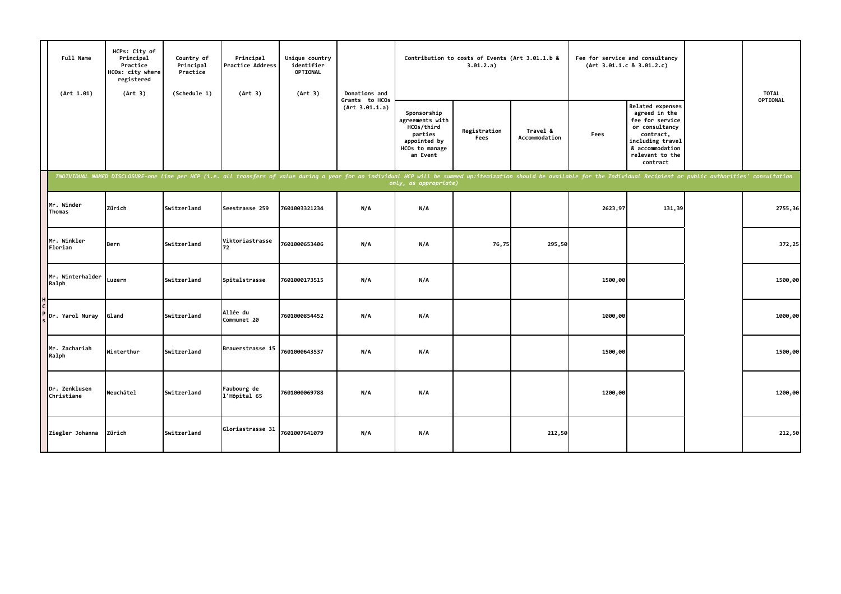| Full Name<br>(Art 1.01)     | HCPs: City of<br>Principal<br>Practice<br>HCOs: city where<br>registered<br>(Art 3) | Country of<br>Principal<br>Practice<br>(Schedule 1) | Principal<br>Practice Address<br>(Art 3) | Unique country<br>identifier<br>OPTIONAL<br>(Art 3)                                                                                                                                                                            | Donations and                    |                                                                                                       | Contribution to costs of Events (Art 3.01.1.b &<br>3.01.2.a) |                           | Fee for service and consultancy | (Art 3.01.1.c 8 3.01.2.c)                                                                                                                                 | <b>TOTAL</b>    |
|-----------------------------|-------------------------------------------------------------------------------------|-----------------------------------------------------|------------------------------------------|--------------------------------------------------------------------------------------------------------------------------------------------------------------------------------------------------------------------------------|----------------------------------|-------------------------------------------------------------------------------------------------------|--------------------------------------------------------------|---------------------------|---------------------------------|-----------------------------------------------------------------------------------------------------------------------------------------------------------|-----------------|
|                             |                                                                                     |                                                     |                                          |                                                                                                                                                                                                                                | Grants to HCOs<br>(Art 3.01.1.a) | Sponsorship<br>agreements with<br>HCOs/third<br>parties<br>appointed by<br>HCOs to manage<br>an Event | Registration<br>Fees                                         | Travel &<br>Accommodation | Fees                            | Related expenses<br>agreed in the<br>fee for service<br>or consultancy<br>contract,<br>including travel<br>& accommodation<br>relevant to the<br>contract | <b>OPTIONAL</b> |
|                             |                                                                                     |                                                     |                                          | INDIVIDUAL NAMED DISCLOSURE-one line per HCP (i.e. all transfers of value during a year for an individual HCP will be summed up:itemization should be available for the Individual Recipient or public authorities' consultati |                                  | only, as appropriate)                                                                                 |                                                              |                           |                                 |                                                                                                                                                           |                 |
| Mr. Winder<br>Thomas        | Zürich                                                                              | Switzerland                                         | Seestrasse 259                           | 7601003321234                                                                                                                                                                                                                  | N/A                              | N/A                                                                                                   |                                                              |                           | 2623,97                         | 131,39                                                                                                                                                    | 2755,36         |
| Mr. Winkler<br>Florian      | Bern                                                                                | Switzerland                                         | Viktoriastrasse<br>72                    | 7601000653406                                                                                                                                                                                                                  | N/A                              | N/A                                                                                                   | 76,75                                                        | 295,50                    |                                 |                                                                                                                                                           | 372,25          |
| Mr. Winterhalder<br>Ralph   | Luzern                                                                              | Switzerland                                         | Spitalstrasse                            | 7601000173515                                                                                                                                                                                                                  | N/A                              | N/A                                                                                                   |                                                              |                           | 1500,00                         |                                                                                                                                                           | 1500,00         |
| Dr. Yarol Nuray             | Gland                                                                               | Switzerland                                         | Allée du<br>Communet 20                  | 7601000854452                                                                                                                                                                                                                  | N/A                              | N/A                                                                                                   |                                                              |                           | 1000,00                         |                                                                                                                                                           | 1000,00         |
| Mr. Zachariah<br>Ralph      | Winterthur                                                                          | Switzerland                                         | Brauerstrasse 15                         | 7601000643537                                                                                                                                                                                                                  | N/A                              | N/A                                                                                                   |                                                              |                           | 1500,00                         |                                                                                                                                                           | 1500,00         |
| Dr. Zenklusen<br>Christiane | Neuchâtel                                                                           | Switzerland                                         | Faubourg de<br>1'Hôpital 65              | 7601000069788                                                                                                                                                                                                                  | N/A                              | N/A                                                                                                   |                                                              |                           | 1200,00                         |                                                                                                                                                           | 1200,00         |
| Ziegler Johanna             | Zürich                                                                              | Switzerland                                         | Gloriastrasse 31                         | 7601007641079                                                                                                                                                                                                                  | N/A                              | N/A                                                                                                   |                                                              | 212,50                    |                                 |                                                                                                                                                           | 212,50          |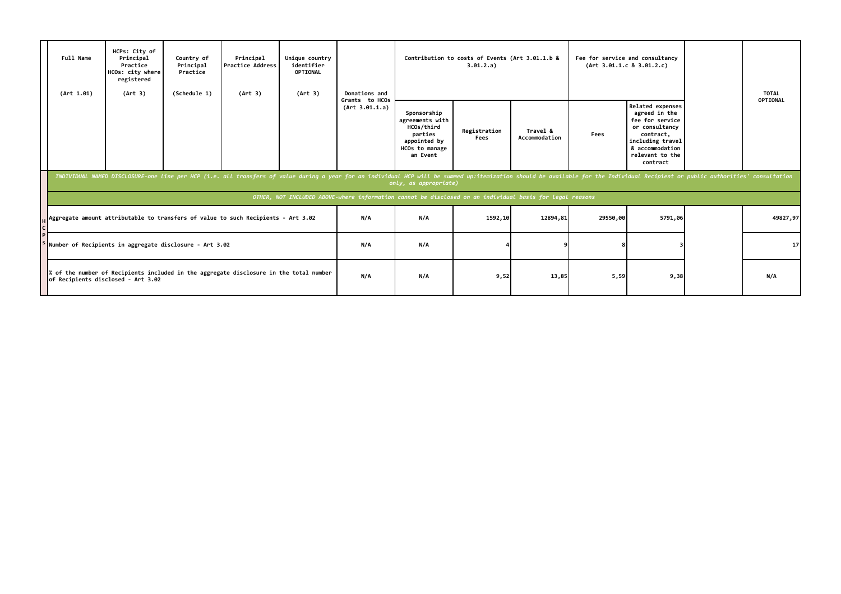| Full Name<br>(Art 1.01) | HCPs: City of<br>Principal<br>Practice<br>HCOs: city where<br>registered<br>(Art 3) | Country of<br>Principal<br>Practice<br>(Schedule 1) | Principal<br><b>Practice Address</b><br>(Art 3)                                                                                                                                                                                | Unique country<br>identifier<br><b>OPTIONAL</b><br>(Art 3) | Donations and                    |                                                                                                          | Contribution to costs of Events (Art 3.01.1.b &<br>3.01.2.a) |                           | Fee for service and consultancy<br>(Art 3.01.1.c 8 3.01.2.c) |                                                                                                                                                                  | <b>TOTAL</b> |
|-------------------------|-------------------------------------------------------------------------------------|-----------------------------------------------------|--------------------------------------------------------------------------------------------------------------------------------------------------------------------------------------------------------------------------------|------------------------------------------------------------|----------------------------------|----------------------------------------------------------------------------------------------------------|--------------------------------------------------------------|---------------------------|--------------------------------------------------------------|------------------------------------------------------------------------------------------------------------------------------------------------------------------|--------------|
|                         |                                                                                     |                                                     |                                                                                                                                                                                                                                |                                                            | Grants to HCOs<br>(Art 3.01.1.a) | Sponsorship<br>agreements with<br>HCOs/third<br>parties<br>appointed by<br>HCOs to manage<br>an Event    | Registration<br>Fees                                         | Travel &<br>Accommodation | Fees                                                         | <b>Related expenses</b><br>agreed in the<br>fee for service<br>or consultancy<br>contract,<br>including travel<br>& accommodation<br>relevant to the<br>contract | OPTIONAL     |
|                         |                                                                                     |                                                     | INDIVIDUAL NAMED DISCLOSURE-one line per HCP (i.e. all transfers of value during a year for an individual HCP will be summed up:itemization should be available for the Individual Recipient or public authorities' consultati |                                                            |                                  | only, as appropriate)                                                                                    |                                                              |                           |                                                              |                                                                                                                                                                  |              |
|                         |                                                                                     |                                                     |                                                                                                                                                                                                                                |                                                            |                                  | OTHER, NOT INCLUDED ABOVE-where information cannot be disclosed on an individual basis for legal reasons |                                                              |                           |                                                              |                                                                                                                                                                  |              |
|                         |                                                                                     |                                                     | Aggregate amount attributable to transfers of value to such Recipients - Art 3.02                                                                                                                                              |                                                            | N/A                              | N/A                                                                                                      | 1592,10                                                      | 12894,81                  | 29550,00                                                     | 5791,06                                                                                                                                                          | 49827,97     |
|                         | Number of Recipients in aggregate disclosure - Art 3.02                             |                                                     |                                                                                                                                                                                                                                |                                                            | N/A                              | N/A                                                                                                      |                                                              |                           |                                                              |                                                                                                                                                                  | 17           |
|                         | of Recipients disclosed - Art 3.02                                                  |                                                     | % of the number of Recipients included in the aggregate disclosure in the total number                                                                                                                                         |                                                            | N/A                              | N/A                                                                                                      | 9,52                                                         | 13,85                     | 5,59                                                         | 9,38                                                                                                                                                             | N/A          |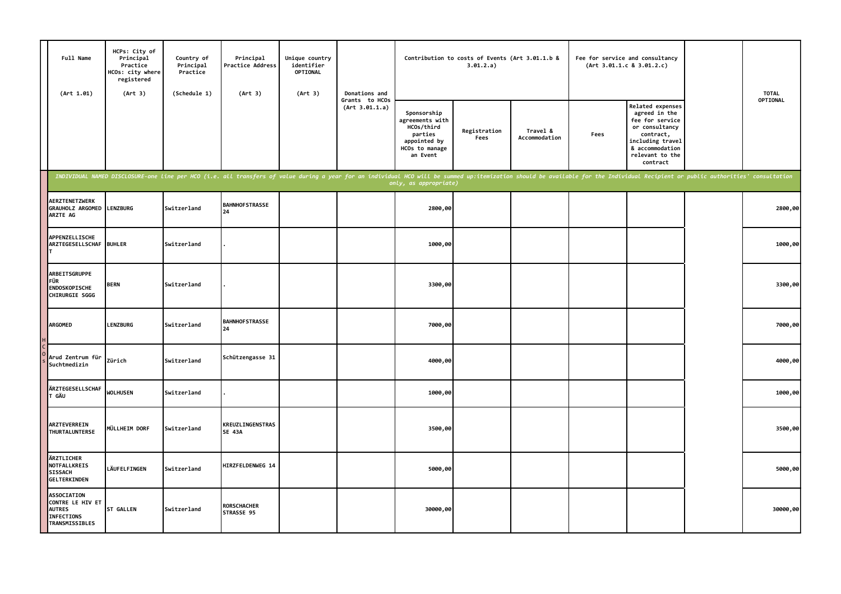| Full Name<br>(Art 1.01)                                                                        | HCPs: City of<br>Principal<br>Practice<br>HCOs: city where<br>registered<br>(Art 3) | Country of<br>Principal<br>Practice<br>(Schedule 1) | Principal<br>Practice Address<br>(Art 3)                                                                                                                                                                                       | Unique country<br>identifier<br>OPTIONAL<br>(Art 3) | Donations and                    |                                                                                                       | Contribution to costs of Events (Art 3.01.1.b &<br>3.01.2.a) |                           |      | Fee for service and consultancy<br>(Art 3.01.1.c 8 3.01.2.c)                                                                                              | <b>TOTAL</b> |
|------------------------------------------------------------------------------------------------|-------------------------------------------------------------------------------------|-----------------------------------------------------|--------------------------------------------------------------------------------------------------------------------------------------------------------------------------------------------------------------------------------|-----------------------------------------------------|----------------------------------|-------------------------------------------------------------------------------------------------------|--------------------------------------------------------------|---------------------------|------|-----------------------------------------------------------------------------------------------------------------------------------------------------------|--------------|
|                                                                                                |                                                                                     |                                                     |                                                                                                                                                                                                                                |                                                     | Grants to HCOs<br>(Art 3.01.1.a) | Sponsorship<br>agreements with<br>HCOs/third<br>parties<br>appointed by<br>HCOs to manage<br>an Event | Registration<br>Fees                                         | Travel &<br>Accommodation | Fees | Related expenses<br>agreed in the<br>fee for service<br>or consultancy<br>contract,<br>including travel<br>& accommodation<br>relevant to the<br>contract | OPTIONAL     |
|                                                                                                |                                                                                     |                                                     | INDIVIDUAL NAMED DISCLOSURE-one line per HCO (i.e. all transfers of value during a year for an individual HCO will be summed up:itemization should be available for the Individual Recipient or public authorities' consultati |                                                     |                                  |                                                                                                       |                                                              |                           |      |                                                                                                                                                           |              |
| AERZTENETZWERK<br>GRAUHOLZ ARGOMED LENZBURG<br>ARZTE AG                                        |                                                                                     | Switzerland                                         | <b>BAHNHOFSTRASSE</b><br>24                                                                                                                                                                                                    |                                                     |                                  | 2800,00                                                                                               |                                                              |                           |      |                                                                                                                                                           | 2800,00      |
| APPENZELLISCHE<br>ARZTEGESELLSCHAF BUHLER                                                      |                                                                                     | Switzerland                                         |                                                                                                                                                                                                                                |                                                     |                                  | 1000,00                                                                                               |                                                              |                           |      |                                                                                                                                                           | 1000,00      |
| <b>ARBEITSGRUPPE</b><br>FÜR<br><b>ENDOSKOPISCHE</b><br>CHIRURGIE SGGG                          | <b>BERN</b>                                                                         | Switzerland                                         |                                                                                                                                                                                                                                |                                                     |                                  | 3300,00                                                                                               |                                                              |                           |      |                                                                                                                                                           | 3300,00      |
| ARGOMED                                                                                        | <b>LENZBURG</b>                                                                     | Switzerland                                         | <b>BAHNHOFSTRASSE</b><br>24                                                                                                                                                                                                    |                                                     |                                  | 7000,00                                                                                               |                                                              |                           |      |                                                                                                                                                           | 7000,00      |
| Arud Zentrum für<br>Suchtmedizin                                                               | Zürich                                                                              | Switzerland                                         | Schützengasse 31                                                                                                                                                                                                               |                                                     |                                  | 4000,00                                                                                               |                                                              |                           |      |                                                                                                                                                           | 4000,00      |
| ÄRZTEGESELLSCHAF<br>T GÄU                                                                      | <b>WOLHUSEN</b>                                                                     | Switzerland                                         |                                                                                                                                                                                                                                |                                                     |                                  | 1000,00                                                                                               |                                                              |                           |      |                                                                                                                                                           | 1000,00      |
| ARZTEVERREIN<br>THURTALUNTERSE                                                                 | MÜLLHEIM DORF                                                                       | Switzerland                                         | <b>KREUZLINGENSTRAS</b><br><b>SE 43A</b>                                                                                                                                                                                       |                                                     |                                  | 3500,00                                                                                               |                                                              |                           |      |                                                                                                                                                           | 3500,00      |
| ÄRZTLICHER<br>NOTFALLKREIS<br><b>SISSACH</b><br><b>GELTERKINDEN</b>                            | LÄUFELFINGEN                                                                        | Switzerland                                         | HIRZFELDENWEG 14                                                                                                                                                                                                               |                                                     |                                  | 5000,00                                                                                               |                                                              |                           |      |                                                                                                                                                           | 5000,00      |
| <b>ASSOCIATION</b><br>CONTRE LE HIV ET<br><b>AUTRES</b><br><b>INFECTIONS</b><br>TRANSMISSIBLES | <b>ST GALLEN</b>                                                                    | Switzerland                                         | <b>RORSCHACHER</b><br>STRASSE 95                                                                                                                                                                                               |                                                     |                                  | 30000,00                                                                                              |                                                              |                           |      |                                                                                                                                                           | 30000,00     |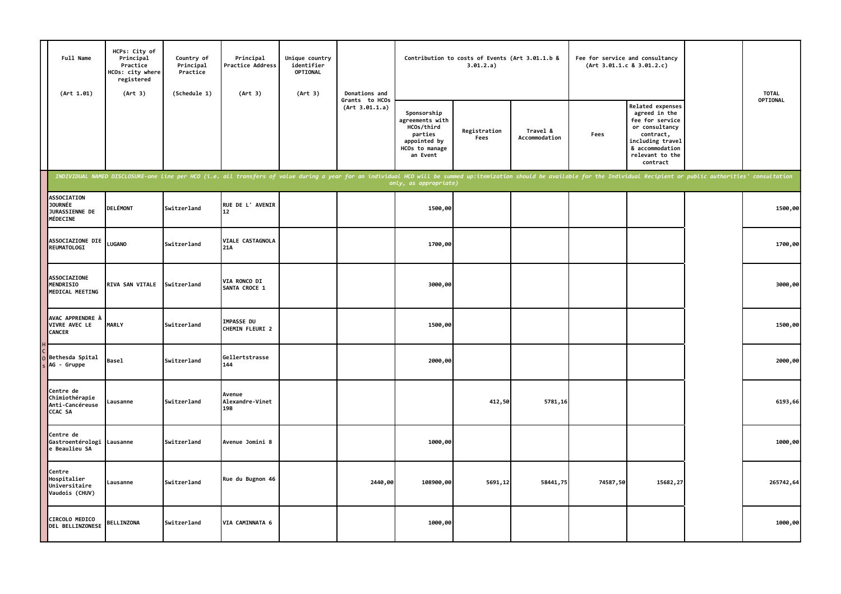| Full Name<br>(Art 1.01)                                                          | HCPs: City of<br>Principal<br>Practice<br>HCOs: city where<br>registered<br>(Art 3) | Country of<br>Principal<br>Practice<br>(Schedule 1) | Principal<br><b>Practice Address</b><br>(Art 3)                                                                                                                                                                                | Unique country<br>identifier<br>OPTIONAL<br>(Art 3) | Donations and                    |                                                                                                       | Contribution to costs of Events (Art 3.01.1.b &<br>3.01.2.a) |                           |          | Fee for service and consultancy<br>(Art 3.01.1.c 8 3.01.2.c)                                                                                                     | <b>TOTAL</b> |
|----------------------------------------------------------------------------------|-------------------------------------------------------------------------------------|-----------------------------------------------------|--------------------------------------------------------------------------------------------------------------------------------------------------------------------------------------------------------------------------------|-----------------------------------------------------|----------------------------------|-------------------------------------------------------------------------------------------------------|--------------------------------------------------------------|---------------------------|----------|------------------------------------------------------------------------------------------------------------------------------------------------------------------|--------------|
|                                                                                  |                                                                                     |                                                     |                                                                                                                                                                                                                                |                                                     | Grants to HCOs<br>(Art 3.01.1.a) | Sponsorship<br>agreements with<br>HCOs/third<br>parties<br>appointed by<br>HCOs to manage<br>an Event | Registration<br>Fees                                         | Travel &<br>Accommodation | Fees     | <b>Related expenses</b><br>agreed in the<br>fee for service<br>or consultancy<br>contract,<br>including travel<br>& accommodation<br>relevant to the<br>contract | OPTIONAL     |
|                                                                                  |                                                                                     |                                                     | INDIVIDUAL NAMED DISCLOSURE-one line per HCO (i.e. all transfers of value during a year for an individual HCO will be summed up:itemization should be available for the Individual Recipient or public authorities' consultati |                                                     |                                  | only, as appropriate)                                                                                 |                                                              |                           |          |                                                                                                                                                                  |              |
| <b>ASSOCIATION</b><br><b>JOURNÉE</b><br><b>JURASSIENNE DE</b><br><b>MÉDECINE</b> | <b>DELÉMONT</b>                                                                     | Switzerland                                         | RUE DE L'AVENIR<br>12 <sup>2</sup>                                                                                                                                                                                             |                                                     |                                  | 1500,00                                                                                               |                                                              |                           |          |                                                                                                                                                                  | 1500,00      |
| <b>ASSOCIAZIONE DIE</b><br><b>REUMATOLOGI</b>                                    | <b>LUGANO</b>                                                                       | Switzerland                                         | VIALE CASTAGNOLA<br>21A                                                                                                                                                                                                        |                                                     |                                  | 1700,00                                                                                               |                                                              |                           |          |                                                                                                                                                                  | 1700,00      |
| <b>ASSOCIAZIONE</b><br>MENDRISIO<br>MEDICAL MEETING                              | RIVA SAN VITALE                                                                     | Switzerland                                         | <b>VIA RONCO DI</b><br>SANTA CROCE 1                                                                                                                                                                                           |                                                     |                                  | 3000,00                                                                                               |                                                              |                           |          |                                                                                                                                                                  | 3000,00      |
| AVAC APPRENDRE À<br>VIVRE AVEC LE<br><b>CANCER</b>                               | <b>MARLY</b>                                                                        | Switzerland                                         | <b>IMPASSE DU</b><br>CHEMIN FLEURI 2                                                                                                                                                                                           |                                                     |                                  | 1500,00                                                                                               |                                                              |                           |          |                                                                                                                                                                  | 1500,00      |
| Bethesda Spital<br>AG - Gruppe                                                   | <b>Basel</b>                                                                        | Switzerland                                         | Gellertstrasse<br>144                                                                                                                                                                                                          |                                                     |                                  | 2000,00                                                                                               |                                                              |                           |          |                                                                                                                                                                  | 2000,00      |
| Centre de<br>Chimiothérapie<br>Anti-Cancéreuse<br><b>CCAC SA</b>                 | Lausanne                                                                            | Switzerland                                         | Avenue<br>Alexandre-Vinet<br>19B                                                                                                                                                                                               |                                                     |                                  |                                                                                                       | 412,50                                                       | 5781,16                   |          |                                                                                                                                                                  | 6193,66      |
| Centre de<br>Gastroentérologi Lausanne<br>e Beaulieu SA                          |                                                                                     | Switzerland                                         | Avenue Jomini 8                                                                                                                                                                                                                |                                                     |                                  | 1000,00                                                                                               |                                                              |                           |          |                                                                                                                                                                  | 1000,00      |
| Centre<br>Hospitalier<br>Universitaire<br>Vaudois (CHUV)                         | Lausanne                                                                            | Switzerland                                         | Rue du Bugnon 46                                                                                                                                                                                                               |                                                     | 2440,00                          | 108900,00                                                                                             | 5691,12                                                      | 58441,75                  | 74587,50 | 15682,27                                                                                                                                                         | 265742,64    |
| CIRCOLO MEDICO<br>DEL BELLINZONESE                                               | <b>BELLINZONA</b>                                                                   | Switzerland                                         | VIA CAMINNATA 6                                                                                                                                                                                                                |                                                     |                                  | 1000,00                                                                                               |                                                              |                           |          |                                                                                                                                                                  | 1000,00      |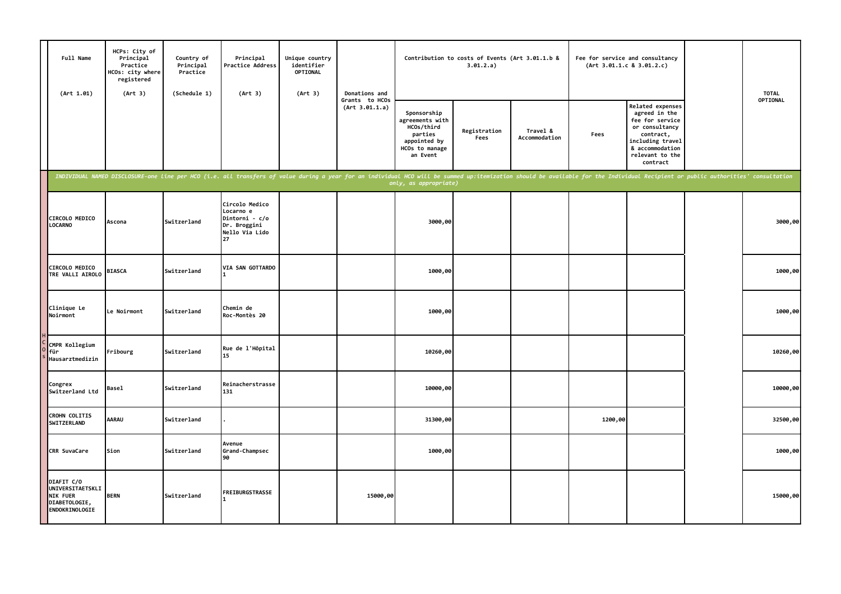| Full Name<br>(Art 1.01)                                                              | HCPs: City of<br>Principal<br>Practice<br>HCOs: city where<br>registered<br>(Art 3) | Country of<br>Principal<br>Practice<br>(Schedule 1) | Principal<br>Practice Address<br>(Art 3)                                                                                                                                                                                       | Unique country<br>identifier<br>OPTIONAL<br>(Art 3) | Donations and                    |                                                                                                       | Contribution to costs of Events (Art 3.01.1.b &<br>3.01.2.a) |                           |         | Fee for service and consultancy<br>(Art 3.01.1.c 8 3.01.2.c)                                                                                              | <b>TOTAL</b> |
|--------------------------------------------------------------------------------------|-------------------------------------------------------------------------------------|-----------------------------------------------------|--------------------------------------------------------------------------------------------------------------------------------------------------------------------------------------------------------------------------------|-----------------------------------------------------|----------------------------------|-------------------------------------------------------------------------------------------------------|--------------------------------------------------------------|---------------------------|---------|-----------------------------------------------------------------------------------------------------------------------------------------------------------|--------------|
|                                                                                      |                                                                                     |                                                     |                                                                                                                                                                                                                                |                                                     | Grants to HCOs<br>(Art 3.01.1.a) | Sponsorship<br>agreements with<br>HCOs/third<br>parties<br>appointed by<br>HCOs to manage<br>an Event | Registration<br>Fees                                         | Travel &<br>Accommodation | Fees    | Related expenses<br>agreed in the<br>fee for service<br>or consultancy<br>contract,<br>including travel<br>& accommodation<br>relevant to the<br>contract | OPTIONAL     |
|                                                                                      |                                                                                     |                                                     | INDIVIDUAL NAMED DISCLOSURE-one line per HCO (i.e. all transfers of value during a year for an individual HCO will be summed up:itemization should be available for the Individual Recipient or public authorities' consultati |                                                     |                                  | only, as appropriate)                                                                                 |                                                              |                           |         |                                                                                                                                                           |              |
| CIRCOLO MEDICO<br><b>LOCARNO</b>                                                     | Ascona                                                                              | Switzerland                                         | Circolo Medico<br>Locarno e<br>Dintorni - c/o<br>Dr. Broggini<br>Nello Via Lido<br>27                                                                                                                                          |                                                     |                                  | 3000,00                                                                                               |                                                              |                           |         |                                                                                                                                                           | 3000,00      |
| CIRCOLO MEDICO<br>TRE VALLI AIROLO                                                   | <b>BIASCA</b>                                                                       | Switzerland                                         | VIA SAN GOTTARDO                                                                                                                                                                                                               |                                                     |                                  | 1000,00                                                                                               |                                                              |                           |         |                                                                                                                                                           | 1000,00      |
| Clinique Le<br>Noirmont                                                              | <b>Le Noirmont</b>                                                                  | Switzerland                                         | Chemin de<br>Roc-Montès 20                                                                                                                                                                                                     |                                                     |                                  | 1000,00                                                                                               |                                                              |                           |         |                                                                                                                                                           | 1000,00      |
| CMPR Kollegium<br>für<br>Hausarztmedizin                                             | Fribourg                                                                            | Switzerland                                         | Rue de l'Hôpital<br>15                                                                                                                                                                                                         |                                                     |                                  | 10260,00                                                                                              |                                                              |                           |         |                                                                                                                                                           | 10260,00     |
| Congrex<br>Switzerland Ltd                                                           | Basel                                                                               | Switzerland                                         | Reinacherstrasse<br>131                                                                                                                                                                                                        |                                                     |                                  | 10000,00                                                                                              |                                                              |                           |         |                                                                                                                                                           | 10000,00     |
| <b>CROHN COLITIS</b><br>SWITZERLAND                                                  | AARAU                                                                               | Switzerland                                         |                                                                                                                                                                                                                                |                                                     |                                  | 31300,00                                                                                              |                                                              |                           | 1200,00 |                                                                                                                                                           | 32500,00     |
| <b>CRR SuvaCare</b>                                                                  | Sion                                                                                | Switzerland                                         | Avenue<br>Grand-Champsec<br>90                                                                                                                                                                                                 |                                                     |                                  | 1000,00                                                                                               |                                                              |                           |         |                                                                                                                                                           | 1000,00      |
| DIAFIT C/O<br>UNIVERSITAETSKLI<br><b>NIK FUER</b><br>DIABETOLOGIE,<br>ENDOKRINOLOGIE | <b>BERN</b>                                                                         | Switzerland                                         | FREIBURGSTRASSE                                                                                                                                                                                                                |                                                     | 15000,00                         |                                                                                                       |                                                              |                           |         |                                                                                                                                                           | 15000,00     |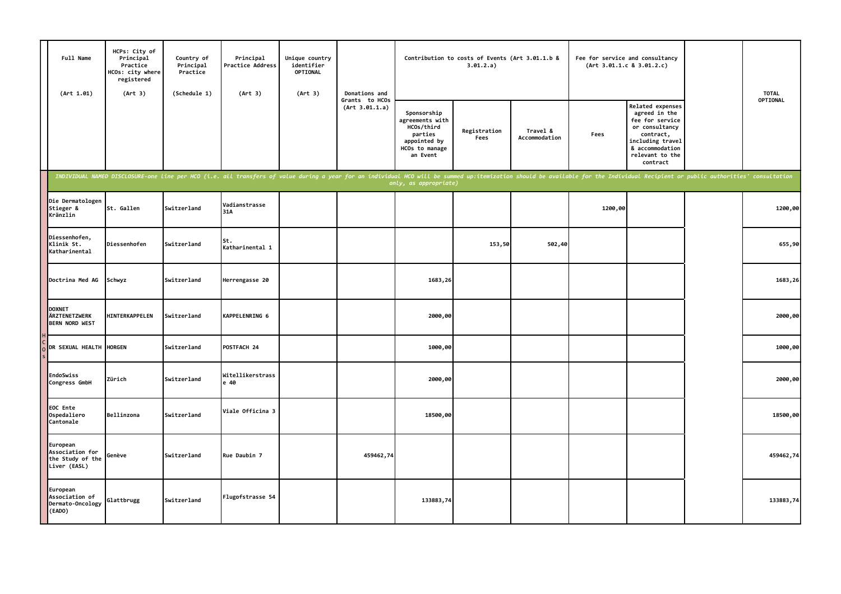| Full Name<br>(Art 1.01)                                         | HCPs: City of<br>Principal<br>Practice<br>HCOs: city where<br>registered<br>(Art 3) | Country of<br>Principal<br>Practice<br>(Schedule 1) | Principal<br><b>Practice Address</b><br>(Art 3)                                                                                                                                                                                | Unique country<br>identifier<br><b>OPTIONAL</b><br>(Art 3) | Donations and                    |                                                                                                       | Contribution to costs of Events (Art 3.01.1.b &<br>3.01.2.a) |                           |         | Fee for service and consultancy<br>(Art 3.01.1.c 8 3.01.2.c)                                                                                              | <b>TOTAL</b> |
|-----------------------------------------------------------------|-------------------------------------------------------------------------------------|-----------------------------------------------------|--------------------------------------------------------------------------------------------------------------------------------------------------------------------------------------------------------------------------------|------------------------------------------------------------|----------------------------------|-------------------------------------------------------------------------------------------------------|--------------------------------------------------------------|---------------------------|---------|-----------------------------------------------------------------------------------------------------------------------------------------------------------|--------------|
|                                                                 |                                                                                     |                                                     |                                                                                                                                                                                                                                |                                                            | Grants to HCOs<br>(Art 3.01.1.a) | Sponsorship<br>agreements with<br>HCOs/third<br>parties<br>appointed by<br>HCOs to manage<br>an Event | Registration<br>Fees                                         | Travel &<br>Accommodation | Fees    | Related expenses<br>agreed in the<br>fee for service<br>or consultancy<br>contract,<br>including travel<br>& accommodation<br>relevant to the<br>contract | OPTIONAL     |
|                                                                 |                                                                                     |                                                     | INDIVIDUAL NAMED DISCLOSURE-one line per HCO (i.e. all transfers of value during a year for an individual HCO will be summed up:itemization should be available for the Individual Recipient or public authorities' consultati |                                                            |                                  | only, as appropriate)                                                                                 |                                                              |                           |         |                                                                                                                                                           |              |
| Die Dermatologen<br>Stieger &<br>Kränzlin                       | St. Gallen                                                                          | Switzerland                                         | Vadianstrasse<br>31A                                                                                                                                                                                                           |                                                            |                                  |                                                                                                       |                                                              |                           | 1200,00 |                                                                                                                                                           | 1200,00      |
| Diessenhofen,<br>Klinik St.<br>Katharinental                    | Diessenhofen                                                                        | Switzerland                                         | St.<br>Katharinental 1                                                                                                                                                                                                         |                                                            |                                  |                                                                                                       | 153,50                                                       | 502,40                    |         |                                                                                                                                                           | 655,90       |
| Doctrina Med AG                                                 | Schwyz                                                                              | Switzerland                                         | Herrengasse 20                                                                                                                                                                                                                 |                                                            |                                  | 1683,26                                                                                               |                                                              |                           |         |                                                                                                                                                           | 1683,26      |
| <b>DOXNET</b><br>ÄRZTENETZWERK<br><b>BERN NORD WEST</b>         | HINTERKAPPELEN                                                                      | Switzerland                                         | KAPPELENRING 6                                                                                                                                                                                                                 |                                                            |                                  | 2000,00                                                                                               |                                                              |                           |         |                                                                                                                                                           | 2000,00      |
| DR SEXUAL HEALTH                                                | <b>HORGEN</b>                                                                       | Switzerland                                         | POSTFACH 24                                                                                                                                                                                                                    |                                                            |                                  | 1000,00                                                                                               |                                                              |                           |         |                                                                                                                                                           | 1000,00      |
| EndoSwiss<br>Congress GmbH                                      | Zürich                                                                              | Switzerland                                         | Witellikerstrass<br>e 40                                                                                                                                                                                                       |                                                            |                                  | 2000,00                                                                                               |                                                              |                           |         |                                                                                                                                                           | 2000,00      |
| EOC Ente<br>Ospedaliero<br>Cantonale                            | Bellinzona                                                                          | Switzerland                                         | Viale Officina 3                                                                                                                                                                                                               |                                                            |                                  | 18500,00                                                                                              |                                                              |                           |         |                                                                                                                                                           | 18500,00     |
| European<br>Association for<br>the Study of the<br>Liver (EASL) | Genève                                                                              | Switzerland                                         | Rue Daubin 7                                                                                                                                                                                                                   |                                                            | 459462,74                        |                                                                                                       |                                                              |                           |         |                                                                                                                                                           | 459462,74    |
| European<br>Association of<br>Dermato-Oncology<br>(EADO)        | Glattbrugg                                                                          | Switzerland                                         | Flugofstrasse 54                                                                                                                                                                                                               |                                                            |                                  | 133883,74                                                                                             |                                                              |                           |         |                                                                                                                                                           | 133883,74    |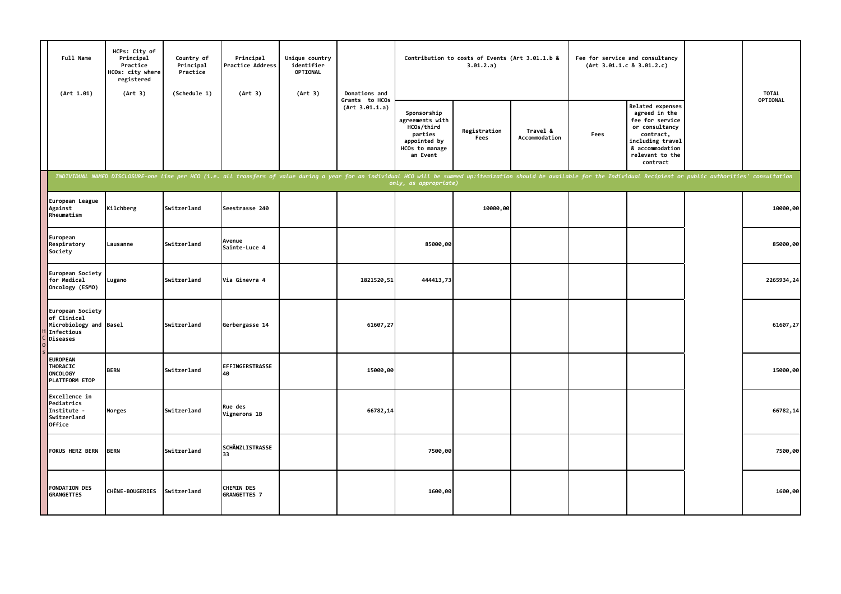| Full Name<br>(Art 1.01)                                                                    | HCPs: City of<br>Principal<br>Practice<br>HCOs: city where<br>registered<br>(Art 3) | Country of<br>Principal<br>Practice<br>(Schedule 1) | Principal<br>Practice Address<br>(Art 3) | Unique country<br>identifier<br>OPTIONAL<br>(Art 3) | Donations and                    |                                                                                                       | Contribution to costs of Events (Art 3.01.1.b &<br>3.01.2.a)                                                                                                                                                                   |                           |      | Fee for service and consultancy<br>(Art 3.01.1.c 8 3.01.2.c)                                                                                              | <b>TOTAL</b> |
|--------------------------------------------------------------------------------------------|-------------------------------------------------------------------------------------|-----------------------------------------------------|------------------------------------------|-----------------------------------------------------|----------------------------------|-------------------------------------------------------------------------------------------------------|--------------------------------------------------------------------------------------------------------------------------------------------------------------------------------------------------------------------------------|---------------------------|------|-----------------------------------------------------------------------------------------------------------------------------------------------------------|--------------|
|                                                                                            |                                                                                     |                                                     |                                          |                                                     | Grants to HCOs<br>(Art 3.01.1.a) | Sponsorship<br>agreements with<br>HCOs/third<br>parties<br>appointed by<br>HCOs to manage<br>an Event | Registration<br>Fees                                                                                                                                                                                                           | Travel &<br>Accommodation | Fees | Related expenses<br>agreed in the<br>fee for service<br>or consultancy<br>contract,<br>including travel<br>& accommodation<br>relevant to the<br>contract | OPTIONAL     |
|                                                                                            |                                                                                     |                                                     |                                          |                                                     |                                  | only, as appropriate)                                                                                 | INDIVIDUAL NAMED DISCLOSURE-one line per HCO (i.e. all transfers of value during a year for an individual HCO will be summed up:itemization should be available for the Individual Recipient or public authorities' consultati |                           |      |                                                                                                                                                           |              |
| European League<br>Against<br>Rheumatism                                                   | Kilchberg                                                                           | Switzerland                                         | Seestrasse 240                           |                                                     |                                  |                                                                                                       | 10000,00                                                                                                                                                                                                                       |                           |      |                                                                                                                                                           | 10000,00     |
| European<br>Respiratory<br>Society                                                         | Lausanne                                                                            | Switzerland                                         | Avenue<br>Sainte-Luce 4                  |                                                     |                                  | 85000,00                                                                                              |                                                                                                                                                                                                                                |                           |      |                                                                                                                                                           | 85000,00     |
| European Society<br>for Medical<br>Oncology (ESMO)                                         | Lugano                                                                              | Switzerland                                         | Via Ginevra 4                            |                                                     | 1821520,51                       | 444413,73                                                                                             |                                                                                                                                                                                                                                |                           |      |                                                                                                                                                           | 2265934,24   |
| European Society<br>of Clinical<br>Microbiology and Basel<br>Infectious<br><b>Diseases</b> |                                                                                     | Switzerland                                         | Gerbergasse 14                           |                                                     | 61607,27                         |                                                                                                       |                                                                                                                                                                                                                                |                           |      |                                                                                                                                                           | 61607,27     |
| <b>EUROPEAN</b><br><b>THORACIC</b><br><b>ONCOLOGY</b><br>PLATTFORM ETOP                    | <b>BERN</b>                                                                         | Switzerland                                         | EFFINGERSTRASSE<br>40                    |                                                     | 15000,00                         |                                                                                                       |                                                                                                                                                                                                                                |                           |      |                                                                                                                                                           | 15000,00     |
| Excellence in<br>Pediatrics<br>Institute -<br>Switzerland<br><b>Office</b>                 | Morges                                                                              | Switzerland                                         | Rue des<br>Vignerons 1B                  |                                                     | 66782,14                         |                                                                                                       |                                                                                                                                                                                                                                |                           |      |                                                                                                                                                           | 66782,14     |
| <b>FOKUS HERZ BERN</b>                                                                     | <b>BERN</b>                                                                         | Switzerland                                         | <b>SCHÄNZLISTRASSE</b><br>33             |                                                     |                                  | 7500,00                                                                                               |                                                                                                                                                                                                                                |                           |      |                                                                                                                                                           | 7500,00      |
| <b>FONDATION DES</b><br><b>GRANGETTES</b>                                                  | <b>CHÊNE-BOUGERIES</b>                                                              | Switzerland                                         | <b>CHEMIN DES</b><br>GRANGETTES 7        |                                                     |                                  | 1600,00                                                                                               |                                                                                                                                                                                                                                |                           |      |                                                                                                                                                           | 1600,00      |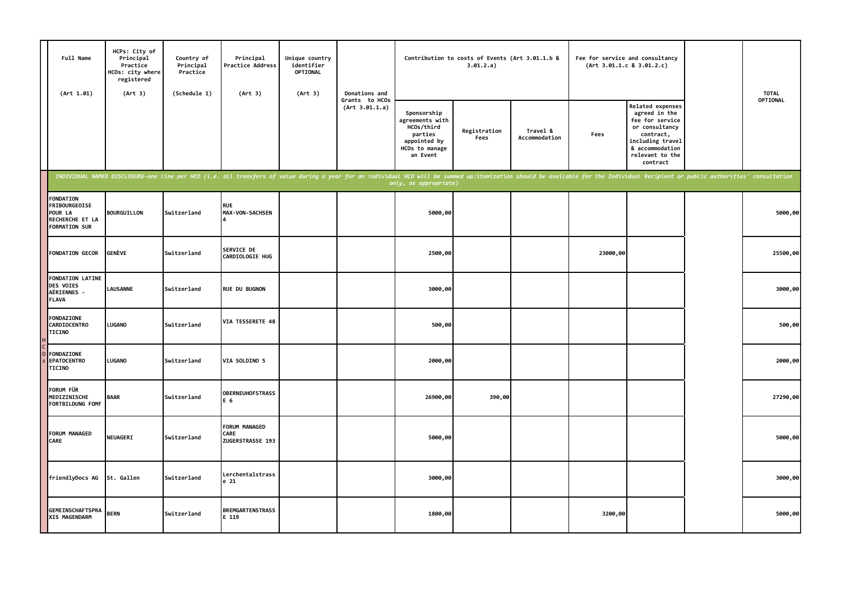| Full Name<br>(Art 1.01)                                                                        | HCPs: City of<br>Principal<br>Practice<br>HCOs: city where<br>registered<br>(Art 3) | Country of<br>Principal<br>Practice<br>(Schedule 1) | Principal<br>Practice Address<br>(Art 3)                                                                                                                                                                                       | Unique country<br>identifier<br>OPTIONAL<br>(Art 3) | Donations and                    |                                                                                                       | Contribution to costs of Events (Art 3.01.1.b &<br>3.01.2.a) |                           | Fee for service and consultancy<br>(Art 3.01.1.c 8 3.01.2.c) |                                                                                                                                                           | <b>TOTAL</b> |
|------------------------------------------------------------------------------------------------|-------------------------------------------------------------------------------------|-----------------------------------------------------|--------------------------------------------------------------------------------------------------------------------------------------------------------------------------------------------------------------------------------|-----------------------------------------------------|----------------------------------|-------------------------------------------------------------------------------------------------------|--------------------------------------------------------------|---------------------------|--------------------------------------------------------------|-----------------------------------------------------------------------------------------------------------------------------------------------------------|--------------|
|                                                                                                |                                                                                     |                                                     |                                                                                                                                                                                                                                |                                                     | Grants to HCOs<br>(Art 3.01.1.a) | Sponsorship<br>agreements with<br>HCOs/third<br>parties<br>appointed by<br>HCOs to manage<br>an Event | Registration<br>Fees                                         | Travel &<br>Accommodation | Fees                                                         | Related expenses<br>agreed in the<br>fee for service<br>or consultancy<br>contract,<br>including travel<br>& accommodation<br>relevant to the<br>contract | OPTIONAL     |
|                                                                                                |                                                                                     |                                                     | INDIVIDUAL NAMED DISCLOSURE-one line per HCO (i.e. all transfers of value during a year for an individual HCO will be summed up:itemization should be available for the Individual Recipient or public authorities' consultati |                                                     |                                  |                                                                                                       |                                                              |                           |                                                              |                                                                                                                                                           |              |
| <b>FONDATION</b><br><b>FRIBOURGEOISE</b><br>POUR LA<br>RECHERCHE ET LA<br><b>FORMATION SUR</b> | <b>BOURGUILLON</b>                                                                  | Switzerland                                         | <b>RUE</b><br><b>MAX-VON-SACHSEN</b>                                                                                                                                                                                           |                                                     |                                  | 5000,00                                                                                               |                                                              |                           |                                                              |                                                                                                                                                           | 5000,00      |
| <b>FONDATION GECOR</b>                                                                         | GENÈVE                                                                              | Switzerland                                         | SERVICE DE<br>CARDIOLOGIE HUG                                                                                                                                                                                                  |                                                     |                                  | 2500,00                                                                                               |                                                              |                           | 23000,00                                                     |                                                                                                                                                           | 25500,00     |
| <b>FONDATION LATINE</b><br>DES VOIES<br>AÉRIENNES -<br><b>FLAVA</b>                            | <b>LAUSANNE</b>                                                                     | Switzerland                                         | <b>RUE DU BUGNON</b>                                                                                                                                                                                                           |                                                     |                                  | 3000,00                                                                                               |                                                              |                           |                                                              |                                                                                                                                                           | 3000,00      |
| FONDAZIONE<br><b>CARDIOCENTRO</b><br><b>TICINO</b>                                             | LUGANO                                                                              | Switzerland                                         | VIA TESSERETE 48                                                                                                                                                                                                               |                                                     |                                  | 500,00                                                                                                |                                                              |                           |                                                              |                                                                                                                                                           | 500,00       |
| <b>FONDAZIONE</b><br><b>EPATOCENTRO</b><br><b>TICINO</b>                                       | LUGANO                                                                              | Switzerland                                         | VIA SOLDINO 5                                                                                                                                                                                                                  |                                                     |                                  | 2000,00                                                                                               |                                                              |                           |                                                              |                                                                                                                                                           | 2000,00      |
| FORUM FÜR<br>MEDIZINISCHE<br>FORTBILDUNG FOMF                                                  | <b>BAAR</b>                                                                         | Switzerland                                         | <b>OBERNEUHOFSTRASS</b><br>E 6                                                                                                                                                                                                 |                                                     |                                  | 26900,00                                                                                              | 390,00                                                       |                           |                                                              |                                                                                                                                                           | 27290,00     |
| <b>FORUM MANAGED</b><br>CARE                                                                   | <b>NEUAGERI</b>                                                                     | Switzerland                                         | FORUM MANAGED<br>CARE<br>ZUGERSTRASSE 193                                                                                                                                                                                      |                                                     |                                  | 5000,00                                                                                               |                                                              |                           |                                                              |                                                                                                                                                           | 5000,00      |
| friendlyDocs AG                                                                                | St. Gallen                                                                          | Switzerland                                         | Lerchentalstrass<br>e 21                                                                                                                                                                                                       |                                                     |                                  | 3000,00                                                                                               |                                                              |                           |                                                              |                                                                                                                                                           | 3000,00      |
| <b>GEMEINSCHAFTSPRA</b><br>XIS MAGENDARM                                                       | <b>BERN</b>                                                                         | Switzerland                                         | <b>BREMGARTENSTRASS</b><br>E 119                                                                                                                                                                                               |                                                     |                                  | 1800,00                                                                                               |                                                              |                           | 3200,00                                                      |                                                                                                                                                           | 5000,00      |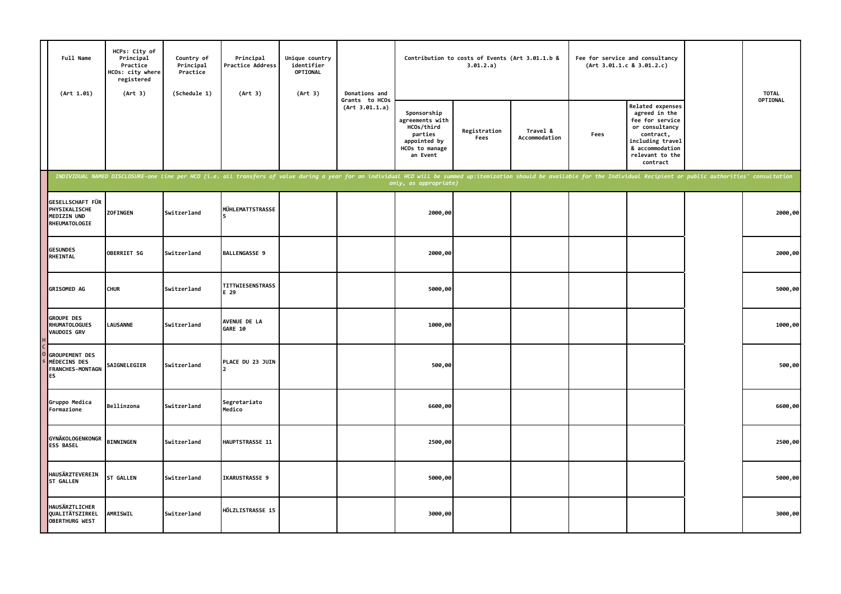| Full Name<br>(Art 1.01)                                                       | HCPs: City of<br>Principal<br>Practice<br>HCOs: city where<br>registered<br>(Art 3) | Country of<br>Principal<br>Practice<br>(Schedule 1) | Principal<br>Practice Address<br>(Art 3)                                                                                                                                                                                       | Unique country<br>identifier<br>OPTIONAL<br>(Art 3) | Donations and                    |                                                                                                       | Contribution to costs of Events (Art 3.01.1.b &<br>3.01.2.a) |                           |      | Fee for service and consultancy<br>(Art 3.01.1.c 8 3.01.2.c)                                                                                              | <b>TOTAL</b> |
|-------------------------------------------------------------------------------|-------------------------------------------------------------------------------------|-----------------------------------------------------|--------------------------------------------------------------------------------------------------------------------------------------------------------------------------------------------------------------------------------|-----------------------------------------------------|----------------------------------|-------------------------------------------------------------------------------------------------------|--------------------------------------------------------------|---------------------------|------|-----------------------------------------------------------------------------------------------------------------------------------------------------------|--------------|
|                                                                               |                                                                                     |                                                     |                                                                                                                                                                                                                                |                                                     | Grants to HCOs<br>(Art 3.01.1.a) | Sponsorship<br>agreements with<br>HCOs/third<br>parties<br>appointed by<br>HCOs to manage<br>an Event | Registration<br>Fees                                         | Travel &<br>Accommodation | Fees | Related expenses<br>agreed in the<br>fee for service<br>or consultancy<br>contract,<br>including travel<br>& accommodation<br>relevant to the<br>contract | OPTIONAL     |
|                                                                               |                                                                                     |                                                     | INDIVIDUAL NAMED DISCLOSURE-one line per HCO (i.e. all transfers of value during a year for an individual HCO will be summed up:itemization should be available for the Individual Recipient or public authorities' consultati |                                                     |                                  | only, as appropriate)                                                                                 |                                                              |                           |      |                                                                                                                                                           |              |
| GESELLSCHAFT FÜR<br>PHYSIKALISCHE<br>MEDIZIN UND<br>RHEUMATOLOGIE             | <b>ZOF INGEN</b>                                                                    | Switzerland                                         | MÜHLEMATTSTRASSE                                                                                                                                                                                                               |                                                     |                                  | 2000,00                                                                                               |                                                              |                           |      |                                                                                                                                                           | 2000,00      |
| <b>GESUNDES</b><br>RHEINTAL                                                   | <b>OBERRIET SG</b>                                                                  | Switzerland                                         | BALLENGASSE 9                                                                                                                                                                                                                  |                                                     |                                  | 2000,00                                                                                               |                                                              |                           |      |                                                                                                                                                           | 2000,00      |
| <b>GRISOMED AG</b>                                                            | <b>CHUR</b>                                                                         | Switzerland                                         | TITTWIESENSTRASS<br>E 29                                                                                                                                                                                                       |                                                     |                                  | 5000,00                                                                                               |                                                              |                           |      |                                                                                                                                                           | 5000,00      |
| <b>GROUPE DES</b><br><b>RHUMATOLOGUES</b><br><b>VAUDOIS GRV</b>               | <b>LAUSANNE</b>                                                                     | Switzerland                                         | AVENUE DE LA<br>GARE 10                                                                                                                                                                                                        |                                                     |                                  | 1000,00                                                                                               |                                                              |                           |      |                                                                                                                                                           | 1000,00      |
| <b>GROUPEMENT DES</b><br>MÉDECINS DES<br><b>FRANCHES-MONTAGN</b><br><b>ES</b> | SAIGNELEGIER                                                                        | Switzerland                                         | PLACE DU 23 JUIN                                                                                                                                                                                                               |                                                     |                                  | 500,00                                                                                                |                                                              |                           |      |                                                                                                                                                           | 500,00       |
| Gruppo Medica<br>Formazione                                                   | Bellinzona                                                                          | Switzerland                                         | Segretariato<br>Medico                                                                                                                                                                                                         |                                                     |                                  | 6600,00                                                                                               |                                                              |                           |      |                                                                                                                                                           | 6600,00      |
| GYNÄKOLOGENKONGR<br><b>ESS BASEL</b>                                          | <b>BINNINGEN</b>                                                                    | Switzerland                                         | HAUPTSTRASSE 11                                                                                                                                                                                                                |                                                     |                                  | 2500,00                                                                                               |                                                              |                           |      |                                                                                                                                                           | 2500,00      |
| HAUSÄRZTEVEREIN<br><b>ST GALLEN</b>                                           | <b>ST GALLEN</b>                                                                    | Switzerland                                         | IKARUSTRASSE 9                                                                                                                                                                                                                 |                                                     |                                  | 5000,00                                                                                               |                                                              |                           |      |                                                                                                                                                           | 5000,00      |
| HAUSÄRZTLICHER<br><b>QUALITÄTSZIRKEL</b><br><b>OBERTHURG WEST</b>             | AMRISWIL                                                                            | Switzerland                                         | HÖLZLISTRASSE 15                                                                                                                                                                                                               |                                                     |                                  | 3000,00                                                                                               |                                                              |                           |      |                                                                                                                                                           | 3000,00      |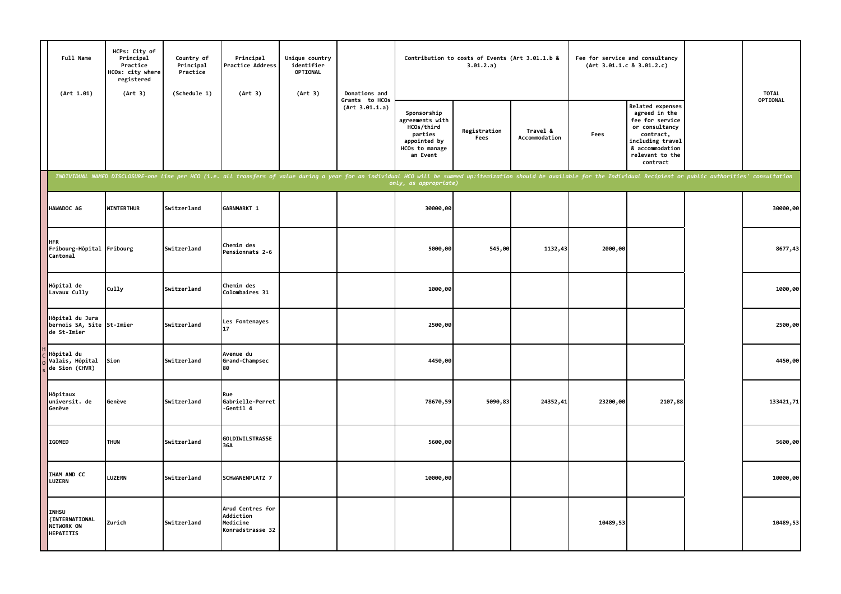| Full Name<br>(Art 1.01)                                          | HCPs: City of<br>Principal<br>Practice<br>HCOs: city where<br>registered<br>(Art 3) | Country of<br>Principal<br>Practice<br>(Schedule 1) | Principal<br>Practice Address<br>(Art 3)                                                                                                                                                                                       | Unique country<br>identifier<br>OPTIONAL<br>(Art 3) | Donations and                    |                                                                                                       | Contribution to costs of Events (Art 3.01.1.b &<br>3.01.2.a) |                           |          | Fee for service and consultancy<br>(Art 3.01.1.c 8 3.01.2.c)                                                                                              | <b>TOTAL</b> |
|------------------------------------------------------------------|-------------------------------------------------------------------------------------|-----------------------------------------------------|--------------------------------------------------------------------------------------------------------------------------------------------------------------------------------------------------------------------------------|-----------------------------------------------------|----------------------------------|-------------------------------------------------------------------------------------------------------|--------------------------------------------------------------|---------------------------|----------|-----------------------------------------------------------------------------------------------------------------------------------------------------------|--------------|
|                                                                  |                                                                                     |                                                     |                                                                                                                                                                                                                                |                                                     | Grants to HCOs<br>(Art 3.01.1.a) | Sponsorship<br>agreements with<br>HCOs/third<br>parties<br>appointed by<br>HCOs to manage<br>an Event | Registration<br>Fees                                         | Travel &<br>Accommodation | Fees     | Related expenses<br>agreed in the<br>fee for service<br>or consultancy<br>contract,<br>including travel<br>& accommodation<br>relevant to the<br>contract | OPTIONAL     |
|                                                                  |                                                                                     |                                                     | INDIVIDUAL NAMED DISCLOSURE-one line per HCO (i.e. all transfers of value during a year for an individual HCO will be summed up:itemization should be available for the Individual Recipient or public authorities' consultati |                                                     |                                  | only, as appropriate)                                                                                 |                                                              |                           |          |                                                                                                                                                           |              |
| HAWADOC AG                                                       | <b>WINTERTHUR</b>                                                                   | Switzerland                                         | GARNMARKT 1                                                                                                                                                                                                                    |                                                     |                                  | 30000,00                                                                                              |                                                              |                           |          |                                                                                                                                                           | 30000,00     |
| <b>HFR</b><br>Fribourg-Hôpital Fribourg<br>Cantonal              |                                                                                     | Switzerland                                         | Chemin des<br>Pensionnats 2-6                                                                                                                                                                                                  |                                                     |                                  | 5000,00                                                                                               | 545,00                                                       | 1132,43                   | 2000,00  |                                                                                                                                                           | 8677,43      |
| Hôpital de<br>Lavaux Cully                                       | Cully                                                                               | Switzerland                                         | Chemin des<br>Colombaires 31                                                                                                                                                                                                   |                                                     |                                  | 1000,00                                                                                               |                                                              |                           |          |                                                                                                                                                           | 1000,00      |
| Hôpital du Jura<br>bernois SA, Site<br>de St-Imier               | St-Imier                                                                            | Switzerland                                         | Les Fontenayes<br>17                                                                                                                                                                                                           |                                                     |                                  | 2500,00                                                                                               |                                                              |                           |          |                                                                                                                                                           | 2500,00      |
| Hôpital du<br>Valais, Hôpital<br>de Sion (CHVR)                  | Sion                                                                                | Switzerland                                         | Avenue du<br>Grand-Champsec<br>80                                                                                                                                                                                              |                                                     |                                  | 4450,00                                                                                               |                                                              |                           |          |                                                                                                                                                           | 4450,00      |
| Hôpitaux<br>universit. de<br>Genève                              | Genève                                                                              | Switzerland                                         | Rue<br>Gabrielle-Perret<br>-Gentil 4                                                                                                                                                                                           |                                                     |                                  | 78670,59                                                                                              | 5090,83                                                      | 24352,41                  | 23200,00 | 2107,88                                                                                                                                                   | 133421,71    |
| <b>IGOMED</b>                                                    | <b>THUN</b>                                                                         | Switzerland                                         | GOLDIWILSTRASSE<br>36A                                                                                                                                                                                                         |                                                     |                                  | 5600,00                                                                                               |                                                              |                           |          |                                                                                                                                                           | 5600,00      |
| IHAM AND CC<br><b>LUZERN</b>                                     | LUZERN                                                                              | Switzerland                                         | SCHWANENPLATZ 7                                                                                                                                                                                                                |                                                     |                                  | 10000,00                                                                                              |                                                              |                           |          |                                                                                                                                                           | 10000,00     |
| <b>INHSU</b><br>(INTERNATIONAL<br>NETWORK ON<br><b>HEPATITIS</b> | Zurich                                                                              | Switzerland                                         | Arud Centres for<br>Addiction<br>Medicine<br>Konradstrasse 32                                                                                                                                                                  |                                                     |                                  |                                                                                                       |                                                              |                           | 10489,53 |                                                                                                                                                           | 10489,53     |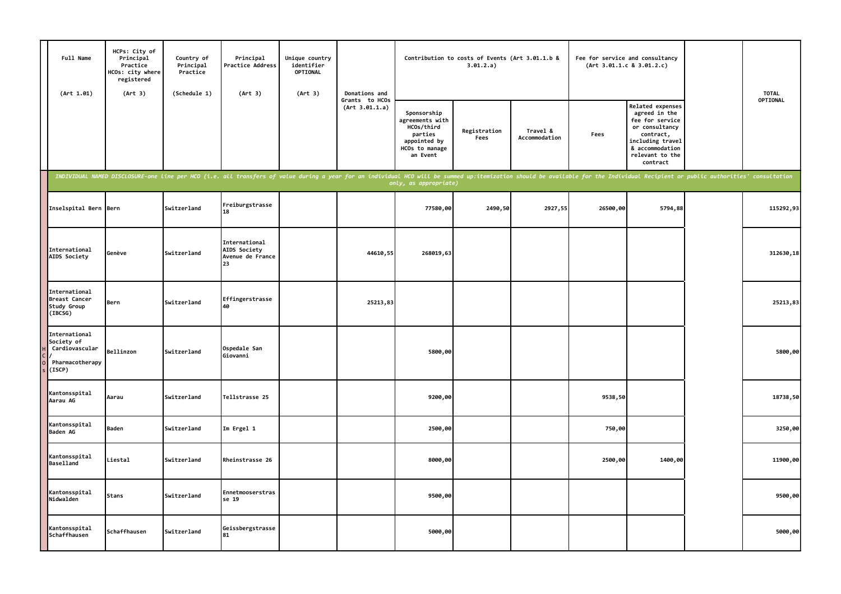| Full Name<br>(Art 1.01)                                                    | HCPs: City of<br>Principal<br>Practice<br>HCOs: city where<br>registered<br>(Art 3) | Country of<br>Principal<br>Practice<br>(Schedule 1) | Principal<br>Practice Address<br>(Art 3)                                                                                                                                                                                       | Unique country<br>identifier<br><b>OPTIONAL</b><br>(Art 3) | Donations and                    |                                                                                                       | Contribution to costs of Events (Art 3.01.1.b &<br>3.01.2.a) |                           | (Art 3.01.1.c 8 3.01.2.c) | Fee for service and consultancy                                                                                                                                  | <b>TOTAL</b> |
|----------------------------------------------------------------------------|-------------------------------------------------------------------------------------|-----------------------------------------------------|--------------------------------------------------------------------------------------------------------------------------------------------------------------------------------------------------------------------------------|------------------------------------------------------------|----------------------------------|-------------------------------------------------------------------------------------------------------|--------------------------------------------------------------|---------------------------|---------------------------|------------------------------------------------------------------------------------------------------------------------------------------------------------------|--------------|
|                                                                            |                                                                                     |                                                     |                                                                                                                                                                                                                                |                                                            | Grants to HCOs<br>(Art 3.01.1.a) | Sponsorship<br>agreements with<br>HCOs/third<br>parties<br>appointed by<br>HCOs to manage<br>an Event | Registration<br>Fees                                         | Travel &<br>Accommodation | Fees                      | <b>Related expenses</b><br>agreed in the<br>fee for service<br>or consultancy<br>contract,<br>including travel<br>& accommodation<br>relevant to the<br>contract | OPTIONAL     |
|                                                                            |                                                                                     |                                                     | INDIVIDUAL NAMED DISCLOSURE-one line per HCO (i.e. all transfers of value during a year for an individual HCO will be summed up:itemization should be available for the Individual Recipient or public authorities' consultati |                                                            |                                  | only, as appropriate)                                                                                 |                                                              |                           |                           |                                                                                                                                                                  |              |
| Inselspital Bern Bern                                                      |                                                                                     | Switzerland                                         | Freiburgstrasse<br>18                                                                                                                                                                                                          |                                                            |                                  | 77580,00                                                                                              | 2490,50                                                      | 2927,55                   | 26500,00                  | 5794,88                                                                                                                                                          | 115292,93    |
| International<br>AIDS Society                                              | Genève                                                                              | Switzerland                                         | International<br><b>AIDS Society</b><br>Avenue de France<br>23                                                                                                                                                                 |                                                            | 44610,55                         | 268019,63                                                                                             |                                                              |                           |                           |                                                                                                                                                                  | 312630,18    |
| International<br><b>Breast Cancer</b><br>Study Group<br>(IBCSG)            | Bern                                                                                | Switzerland                                         | Effingerstrasse<br>40                                                                                                                                                                                                          |                                                            | 25213,83                         |                                                                                                       |                                                              |                           |                           |                                                                                                                                                                  | 25213,83     |
| International<br>Society of<br>Cardiovascular<br>Pharmacotherapy<br>(ISCP) | Bellinzon                                                                           | Switzerland                                         | Ospedale San<br>Giovanni                                                                                                                                                                                                       |                                                            |                                  | 5800,00                                                                                               |                                                              |                           |                           |                                                                                                                                                                  | 5800,00      |
| Kantonsspital<br>Aarau AG                                                  | Aarau                                                                               | Switzerland                                         | Tellstrasse 25                                                                                                                                                                                                                 |                                                            |                                  | 9200,00                                                                                               |                                                              |                           | 9538,50                   |                                                                                                                                                                  | 18738,50     |
| Kantonsspital<br>Baden AG                                                  | <b>Baden</b>                                                                        | Switzerland                                         | Im Ergel 1                                                                                                                                                                                                                     |                                                            |                                  | 2500,00                                                                                               |                                                              |                           | 750,00                    |                                                                                                                                                                  | 3250,00      |
| Kantonsspital<br><b>Baselland</b>                                          | ∟iestal                                                                             | Switzerland                                         | Rheinstrasse 26                                                                                                                                                                                                                |                                                            |                                  | 8000,00                                                                                               |                                                              |                           | 2500,00                   | 1400,00                                                                                                                                                          | 11900,00     |
| Kantonsspital<br>Nidwalden                                                 | <b>Stans</b>                                                                        | Switzerland                                         | Ennetmooserstras<br>se 19                                                                                                                                                                                                      |                                                            |                                  | 9500,00                                                                                               |                                                              |                           |                           |                                                                                                                                                                  | 9500,00      |
| Kantonsspital<br>Schaffhausen                                              | Schaffhausen                                                                        | Switzerland                                         | Geissbergstrasse<br>81                                                                                                                                                                                                         |                                                            |                                  | 5000,00                                                                                               |                                                              |                           |                           |                                                                                                                                                                  | 5000,00      |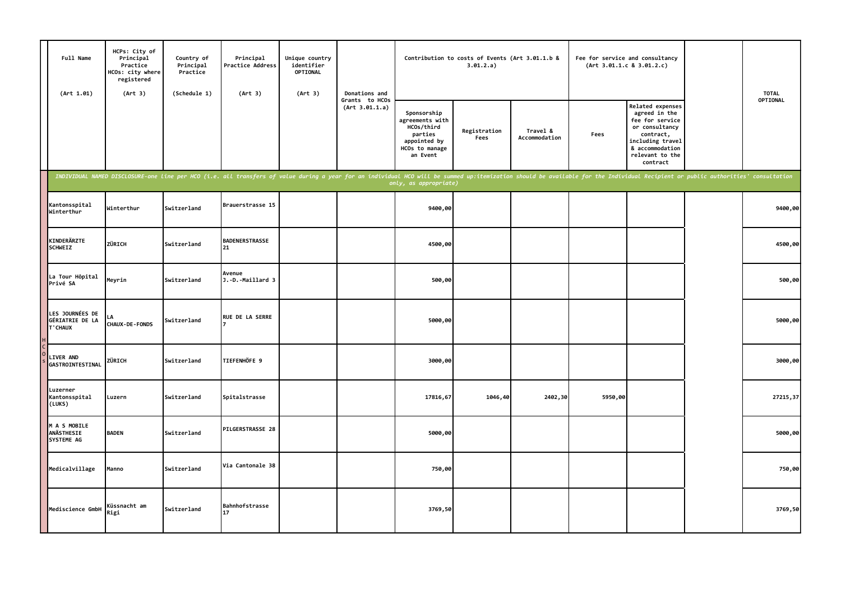| Full Name<br>(Art 1.01)                               | HCPs: City of<br>Principal<br>Practice<br>HCOs: city where<br>registered<br>(Art 3) | Country of<br>Principal<br>Practice<br>(Schedule 1) | Principal<br>Practice Address<br>(Art 3)                                                                                                                                                                                       | Unique country<br>identifier<br>OPTIONAL<br>(Art 3) | Donations and                    |                                                                                                       | Contribution to costs of Events (Art 3.01.1.b &<br>3.01.2.a) |                           |         | Fee for service and consultancy<br>(Art 3.01.1.c 8 3.01.2.c)                                                                                                     | <b>TOTAL</b> |
|-------------------------------------------------------|-------------------------------------------------------------------------------------|-----------------------------------------------------|--------------------------------------------------------------------------------------------------------------------------------------------------------------------------------------------------------------------------------|-----------------------------------------------------|----------------------------------|-------------------------------------------------------------------------------------------------------|--------------------------------------------------------------|---------------------------|---------|------------------------------------------------------------------------------------------------------------------------------------------------------------------|--------------|
|                                                       |                                                                                     |                                                     |                                                                                                                                                                                                                                |                                                     | Grants to HCOs<br>(Art 3.01.1.a) | Sponsorship<br>agreements with<br>HCOs/third<br>parties<br>appointed by<br>HCOs to manage<br>an Event | Registration<br>Fees                                         | Travel &<br>Accommodation | Fees    | <b>Related expenses</b><br>agreed in the<br>fee for service<br>or consultancy<br>contract,<br>including travel<br>& accommodation<br>relevant to the<br>contract | OPTIONAL     |
|                                                       |                                                                                     |                                                     | INDIVIDUAL NAMED DISCLOSURE-one line per HCO (i.e. all transfers of value during a year for an individual HCO will be summed up:itemization should be available for the Individual Recipient or public authorities' consultati |                                                     |                                  |                                                                                                       |                                                              |                           |         |                                                                                                                                                                  |              |
| Kantonsspital<br>Winterthur                           | Winterthur                                                                          | Switzerland                                         | Brauerstrasse 15                                                                                                                                                                                                               |                                                     |                                  | 9400,00                                                                                               |                                                              |                           |         |                                                                                                                                                                  | 9400,00      |
| KINDERÄRZTE<br><b>SCHWEIZ</b>                         | ZÜRICH                                                                              | Switzerland                                         | <b>BADENERSTRASSE</b><br>21                                                                                                                                                                                                    |                                                     |                                  | 4500,00                                                                                               |                                                              |                           |         |                                                                                                                                                                  | 4500,00      |
| La Tour Hôpital<br>Privé SA                           | Meyrin                                                                              | Switzerland                                         | Avenue<br>J.-D.-Maillard 3                                                                                                                                                                                                     |                                                     |                                  | 500,00                                                                                                |                                                              |                           |         |                                                                                                                                                                  | 500,00       |
| LES JOURNÉES DE<br><b>GÉRIATRIE DE LA</b><br>T' CHAUX | <b>CHAUX-DE-FONDS</b>                                                               | Switzerland                                         | <b>RUE DE LA SERRE</b>                                                                                                                                                                                                         |                                                     |                                  | 5000,00                                                                                               |                                                              |                           |         |                                                                                                                                                                  | 5000,00      |
| <b>LIVER AND</b><br>GASTROINTESTINAL                  | ZÜRICH                                                                              | Switzerland                                         | TIEFENHÖFE 9                                                                                                                                                                                                                   |                                                     |                                  | 3000,00                                                                                               |                                                              |                           |         |                                                                                                                                                                  | 3000,00      |
| Luzerner<br>Kantonsspital<br>(LUKS)                   | Luzern                                                                              | Switzerland                                         | Spitalstrasse                                                                                                                                                                                                                  |                                                     |                                  | 17816,67                                                                                              | 1046,40                                                      | 2402,30                   | 5950,00 |                                                                                                                                                                  | 27215,37     |
| M A S MOBILE<br><b>ANÄSTHESIE</b><br>SYSTEME AG       | <b>BADEN</b>                                                                        | Switzerland                                         | PILGERSTRASSE 28                                                                                                                                                                                                               |                                                     |                                  | 5000,00                                                                                               |                                                              |                           |         |                                                                                                                                                                  | 5000,00      |
| Medicalvillage                                        | Manno                                                                               | Switzerland                                         | Via Cantonale 38                                                                                                                                                                                                               |                                                     |                                  | 750,00                                                                                                |                                                              |                           |         |                                                                                                                                                                  | 750,00       |
| Mediscience GmbH                                      | Küssnacht am<br>Rigi                                                                | Switzerland                                         | Bahnhofstrasse<br>17                                                                                                                                                                                                           |                                                     |                                  | 3769,50                                                                                               |                                                              |                           |         |                                                                                                                                                                  | 3769,50      |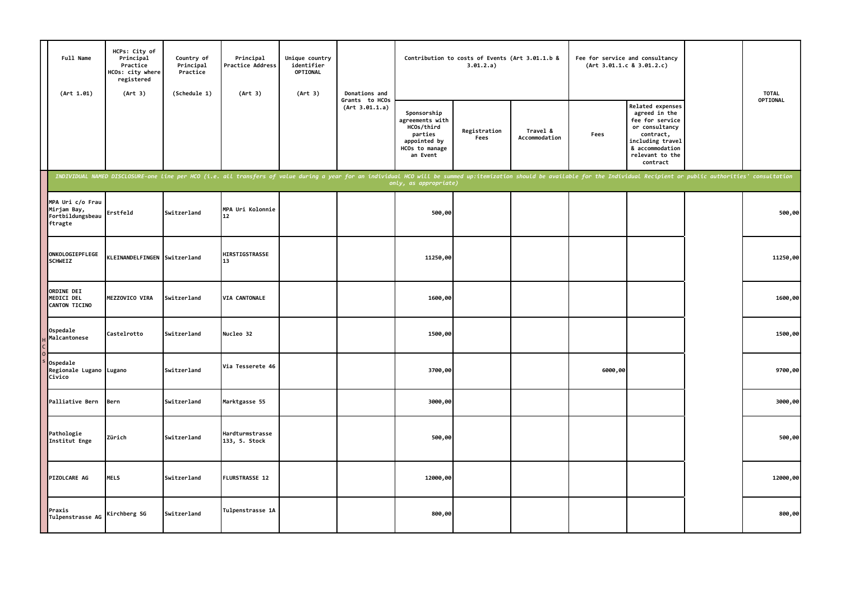| Full Name<br>(Art 1.01)                                        | HCPs: City of<br>Principal<br>Practice<br>HCOs: city where<br>registered<br>(Art 3) | Country of<br>Principal<br>Practice<br>(Schedule 1) | Principal<br><b>Practice Address</b><br>(Art 3)                                                                                                                                                                                | Unique country<br>identifier<br>OPTIONAL<br>(Art 3) | Donations and                    |                                                                                                       | Contribution to costs of Events (Art 3.01.1.b &<br>3.01.2.a) |                           |         | Fee for service and consultancy<br>(Art 3.01.1.c 8 3.01.2.c)                                                                                              | <b>TOTAL</b> |
|----------------------------------------------------------------|-------------------------------------------------------------------------------------|-----------------------------------------------------|--------------------------------------------------------------------------------------------------------------------------------------------------------------------------------------------------------------------------------|-----------------------------------------------------|----------------------------------|-------------------------------------------------------------------------------------------------------|--------------------------------------------------------------|---------------------------|---------|-----------------------------------------------------------------------------------------------------------------------------------------------------------|--------------|
|                                                                |                                                                                     |                                                     |                                                                                                                                                                                                                                |                                                     | Grants to HCOs<br>(Art 3.01.1.a) | Sponsorship<br>agreements with<br>HCOs/third<br>parties<br>appointed by<br>HCOs to manage<br>an Event | Registration<br>Fees                                         | Travel &<br>Accommodation | Fees    | Related expenses<br>agreed in the<br>fee for service<br>or consultancy<br>contract,<br>including travel<br>& accommodation<br>relevant to the<br>contract | OPTIONAL     |
|                                                                |                                                                                     |                                                     | INDIVIDUAL NAMED DISCLOSURE-one line per HCO (i.e. all transfers of value during a year for an individual HCO will be summed up:itemization should be available for the Individual Recipient or public authorities' consultati |                                                     |                                  | only, as appropriate)                                                                                 |                                                              |                           |         |                                                                                                                                                           |              |
| MPA Uri c/o Frau<br>Mirjam Bay,<br>Fortbildungsbeau<br>ftragte | Erstfeld                                                                            | Switzerland                                         | MPA Uri Kolonnie<br>12                                                                                                                                                                                                         |                                                     |                                  | 500,00                                                                                                |                                                              |                           |         |                                                                                                                                                           | 500,00       |
| ONKOLOGIEPFLEGE<br><b>SCHWEIZ</b>                              | KLEINANDELFINGEN Switzerland                                                        |                                                     | HIRSTIGSTRASSE<br>13                                                                                                                                                                                                           |                                                     |                                  | 11250,00                                                                                              |                                                              |                           |         |                                                                                                                                                           | 11250,00     |
| ORDINE DEI<br>MEDICI DEL<br>CANTON TICINO                      | MEZZOVICO VIRA                                                                      | Switzerland                                         | VIA CANTONALE                                                                                                                                                                                                                  |                                                     |                                  | 1600,00                                                                                               |                                                              |                           |         |                                                                                                                                                           | 1600,00      |
| Ospedale<br>Malcantonese                                       | Castelrotto                                                                         | Switzerland                                         | Nucleo 32                                                                                                                                                                                                                      |                                                     |                                  | 1500,00                                                                                               |                                                              |                           |         |                                                                                                                                                           | 1500,00      |
| Ospedale<br>Regionale Lugano Lugano<br>Civico                  |                                                                                     | Switzerland                                         | Via Tesserete 46                                                                                                                                                                                                               |                                                     |                                  | 3700,00                                                                                               |                                                              |                           | 6000,00 |                                                                                                                                                           | 9700,00      |
| Palliative Bern                                                | Bern                                                                                | Switzerland                                         | Marktgasse 55                                                                                                                                                                                                                  |                                                     |                                  | 3000,00                                                                                               |                                                              |                           |         |                                                                                                                                                           | 3000,00      |
| Pathologie<br>Institut Enge                                    | Zürich                                                                              | Switzerland                                         | Hardturmstrasse<br>133, 5. Stock                                                                                                                                                                                               |                                                     |                                  | 500,00                                                                                                |                                                              |                           |         |                                                                                                                                                           | 500,00       |
| PIZOLCARE AG                                                   | <b>MELS</b>                                                                         | Switzerland                                         | FLURSTRASSE 12                                                                                                                                                                                                                 |                                                     |                                  | 12000,00                                                                                              |                                                              |                           |         |                                                                                                                                                           | 12000,00     |
| Praxis<br>Tulpenstrasse AG                                     | Kirchberg SG                                                                        | Switzerland                                         | Tulpenstrasse 1A                                                                                                                                                                                                               |                                                     |                                  | 800,00                                                                                                |                                                              |                           |         |                                                                                                                                                           | 800,00       |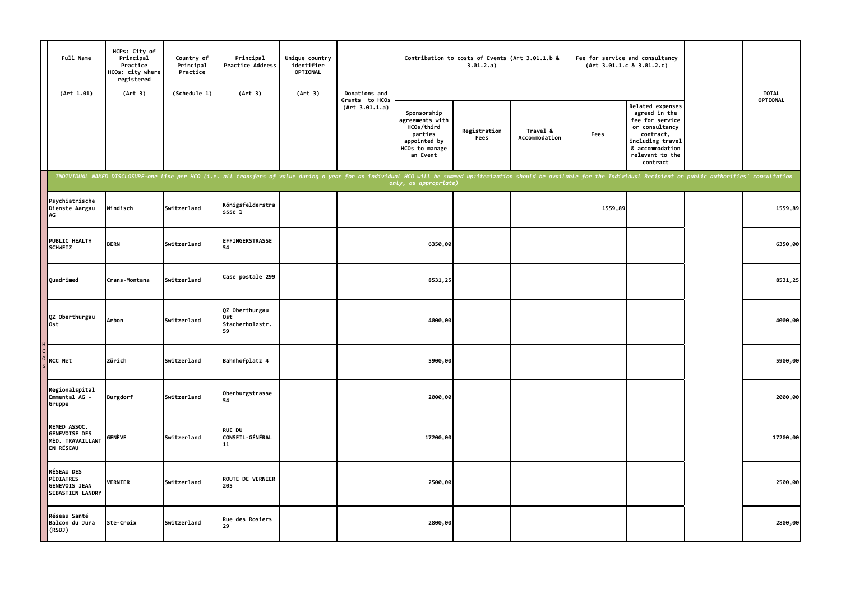| Full Name<br>(Art 1.01)                                                                  | HCPs: City of<br>Principal<br>Practice<br>HCOs: city where<br>registered<br>(Art 3) | Country of<br>Principal<br>Practice<br>(Schedule 1) | Principal<br>Practice Address<br>(Art 3)                                                                                                                                                                                       | Unique country<br>identifier<br><b>OPTIONAL</b><br>(Art 3) | Donations and                    |                                                                                                       | Contribution to costs of Events (Art 3.01.1.b &<br>3.01.2.a) |                           |         | Fee for service and consultancy<br>(Art 3.01.1.c 8 3.01.2.c)                                                                                              | <b>TOTAL</b>    |
|------------------------------------------------------------------------------------------|-------------------------------------------------------------------------------------|-----------------------------------------------------|--------------------------------------------------------------------------------------------------------------------------------------------------------------------------------------------------------------------------------|------------------------------------------------------------|----------------------------------|-------------------------------------------------------------------------------------------------------|--------------------------------------------------------------|---------------------------|---------|-----------------------------------------------------------------------------------------------------------------------------------------------------------|-----------------|
|                                                                                          |                                                                                     |                                                     |                                                                                                                                                                                                                                |                                                            | Grants to HCOs<br>(Art 3.01.1.a) | Sponsorship<br>agreements with<br>HCOs/third<br>parties<br>appointed by<br>HCOs to manage<br>an Event | Registration<br>Fees                                         | Travel &<br>Accommodation | Fees    | Related expenses<br>agreed in the<br>fee for service<br>or consultancy<br>contract,<br>including travel<br>& accommodation<br>relevant to the<br>contract | <b>OPTIONAL</b> |
|                                                                                          |                                                                                     |                                                     | INDIVIDUAL NAMED DISCLOSURE-one line per HCO (i.e. all transfers of value during a year for an individual HCO will be summed up:itemization should be available for the Individual Recipient or public authorities' consultati |                                                            |                                  | only, as appropriate)                                                                                 |                                                              |                           |         |                                                                                                                                                           |                 |
| Psychiatrische<br>Dienste Aargau<br>AG                                                   | Windisch                                                                            | Switzerland                                         | Königsfelderstra<br>ssse 1                                                                                                                                                                                                     |                                                            |                                  |                                                                                                       |                                                              |                           | 1559,89 |                                                                                                                                                           | 1559,89         |
| PUBLIC HEALTH<br><b>SCHWEIZ</b>                                                          | <b>BERN</b>                                                                         | Switzerland                                         | EFFINGERSTRASSE<br>54                                                                                                                                                                                                          |                                                            |                                  | 6350,00                                                                                               |                                                              |                           |         |                                                                                                                                                           | 6350,00         |
| Quadrimed                                                                                | Crans-Montana                                                                       | Switzerland                                         | Case postale 299                                                                                                                                                                                                               |                                                            |                                  | 8531,25                                                                                               |                                                              |                           |         |                                                                                                                                                           | 8531,25         |
| QZ Oberthurgau<br><b>Ost</b>                                                             | Arbon                                                                               | Switzerland                                         | QZ Oberthurgau<br>0st<br>Stacherholzstr.<br>59                                                                                                                                                                                 |                                                            |                                  | 4000,00                                                                                               |                                                              |                           |         |                                                                                                                                                           | 4000,00         |
| <b>RCC Net</b>                                                                           | Zürich                                                                              | Switzerland                                         | Bahnhofplatz 4                                                                                                                                                                                                                 |                                                            |                                  | 5900,00                                                                                               |                                                              |                           |         |                                                                                                                                                           | 5900,00         |
| Regionalspital<br>Emmental AG -<br>Gruppe                                                | Burgdorf                                                                            | Switzerland                                         | Oberburgstrasse<br>54                                                                                                                                                                                                          |                                                            |                                  | 2000,00                                                                                               |                                                              |                           |         |                                                                                                                                                           | 2000,00         |
| REMED ASSOC.<br><b>GENEVOISE DES</b><br>MÉD. TRAVAILLANT<br>EN RÉSEAU                    | GENÈVE                                                                              | Switzerland                                         | <b>RUE DU</b><br>CONSEIL-GÉNÉRAL<br>11                                                                                                                                                                                         |                                                            |                                  | 17200,00                                                                                              |                                                              |                           |         |                                                                                                                                                           | 17200,00        |
| <b>RÉSEAU DES</b><br><b>PÉDIATRES</b><br><b>GENEVOIS JEAN</b><br><b>SEBASTIEN LANDRY</b> | <b>VERNIER</b>                                                                      | Switzerland                                         | <b>ROUTE DE VERNIER</b><br>205                                                                                                                                                                                                 |                                                            |                                  | 2500,00                                                                                               |                                                              |                           |         |                                                                                                                                                           | 2500,00         |
| Réseau Santé<br>Balcon du Jura<br>(RSBJ)                                                 | Ste-Croix                                                                           | Switzerland                                         | <b>Rue des Rosiers</b><br>29                                                                                                                                                                                                   |                                                            |                                  | 2800,00                                                                                               |                                                              |                           |         |                                                                                                                                                           | 2800,00         |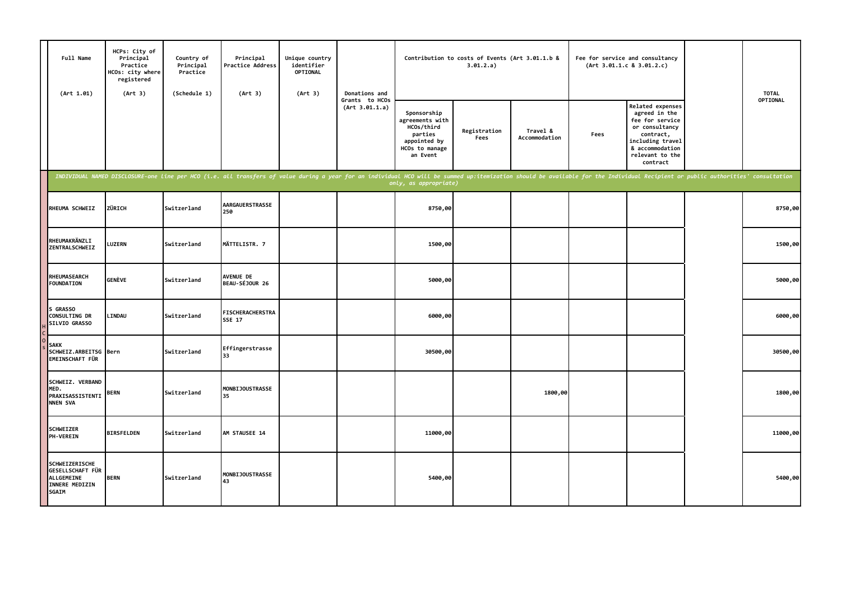| Full Name<br>(Art 1.01)                                                            | HCPs: City of<br>Principal<br>Practice<br>HCOs: city where<br>registered<br>(Art 3) | Country of<br>Principal<br>Practice<br>(Schedule 1) | Principal<br>Practice Address<br>(Art 3)                                                                                                                                                                                       | Unique country<br>identifier<br><b>OPTIONAL</b><br>(Art 3) | Donations and                    |                                                                                                       | Contribution to costs of Events (Art 3.01.1.b &<br>3.01.2.a) |                           |      | Fee for service and consultancy<br>(Art 3.01.1.c 8 3.01.2.c)                                                                                              | <b>TOTAL</b> |
|------------------------------------------------------------------------------------|-------------------------------------------------------------------------------------|-----------------------------------------------------|--------------------------------------------------------------------------------------------------------------------------------------------------------------------------------------------------------------------------------|------------------------------------------------------------|----------------------------------|-------------------------------------------------------------------------------------------------------|--------------------------------------------------------------|---------------------------|------|-----------------------------------------------------------------------------------------------------------------------------------------------------------|--------------|
|                                                                                    |                                                                                     |                                                     |                                                                                                                                                                                                                                |                                                            | Grants to HCOs<br>(Art 3.01.1.a) | Sponsorship<br>agreements with<br>HCOs/third<br>parties<br>appointed by<br>HCOs to manage<br>an Event | Registration<br>Fees                                         | Travel &<br>Accommodation | Fees | Related expenses<br>agreed in the<br>fee for service<br>or consultancy<br>contract,<br>including travel<br>& accommodation<br>relevant to the<br>contract | OPTIONAL     |
|                                                                                    |                                                                                     |                                                     | INDIVIDUAL NAMED DISCLOSURE-one line per HCO (i.e. all transfers of value during a year for an individual HCO will be summed up:itemization should be available for the Individual Recipient or public authorities' consultati |                                                            |                                  | only, as appropriate)                                                                                 |                                                              |                           |      |                                                                                                                                                           |              |
| RHEUMA SCHWEIZ                                                                     | ZÜRICH                                                                              | Switzerland                                         | <b>AARGAUERSTRASSE</b><br>250                                                                                                                                                                                                  |                                                            |                                  | 8750,00                                                                                               |                                                              |                           |      |                                                                                                                                                           | 8750,00      |
| RHEUMAKRÄNZLI<br>ZENTRALSCHWEIZ                                                    | LUZERN                                                                              | <b>Switzerland</b>                                  | MÄTTELISTR. 7                                                                                                                                                                                                                  |                                                            |                                  | 1500,00                                                                                               |                                                              |                           |      |                                                                                                                                                           | 1500,00      |
| <b>RHEUMASEARCH</b><br><b>FOUNDATION</b>                                           | <b>GENÈVE</b>                                                                       | Switzerland                                         | <b>AVENUE DE</b><br>BEAU-SÉJOUR 26                                                                                                                                                                                             |                                                            |                                  | 5000,00                                                                                               |                                                              |                           |      |                                                                                                                                                           | 5000,00      |
| S GRASSO<br>CONSULTING DR<br>SILVIO GRASSO                                         | LINDAU                                                                              | Switzerland                                         | <b>FISCHERACHERSTRA</b><br><b>SSE 17</b>                                                                                                                                                                                       |                                                            |                                  | 6000,00                                                                                               |                                                              |                           |      |                                                                                                                                                           | 6000,00      |
| <b>SAKK</b><br>SCHWEIZ.ARBEITSG Bern<br>EMEINSCHAFT FÜR                            |                                                                                     | Switzerland                                         | Effingerstrasse<br>33                                                                                                                                                                                                          |                                                            |                                  | 30500,00                                                                                              |                                                              |                           |      |                                                                                                                                                           | 30500,00     |
| SCHWEIZ. VERBAND<br>MED.<br>PRAXISASSISTENTI<br><b>NNEN SVA</b>                    | <b>BERN</b>                                                                         | Switzerland                                         | <b>MONBIJOUSTRASSE</b><br>35                                                                                                                                                                                                   |                                                            |                                  |                                                                                                       |                                                              | 1800,00                   |      |                                                                                                                                                           | 1800,00      |
| <b>SCHWEIZER</b><br>PH-VEREIN                                                      | <b>BIRSFELDEN</b>                                                                   | Switzerland                                         | AM STAUSEE 14                                                                                                                                                                                                                  |                                                            |                                  | 11000,00                                                                                              |                                                              |                           |      |                                                                                                                                                           | 11000,00     |
| <b>SCHWEIZERISCHE</b><br>GESELLSCHAFT FÜR<br>ALLGEMEINE<br>INNERE MEDIZIN<br>SGAIM | <b>BERN</b>                                                                         | Switzerland                                         | <b>MONBIJOUSTRASSE</b><br>43                                                                                                                                                                                                   |                                                            |                                  | 5400,00                                                                                               |                                                              |                           |      |                                                                                                                                                           | 5400,00      |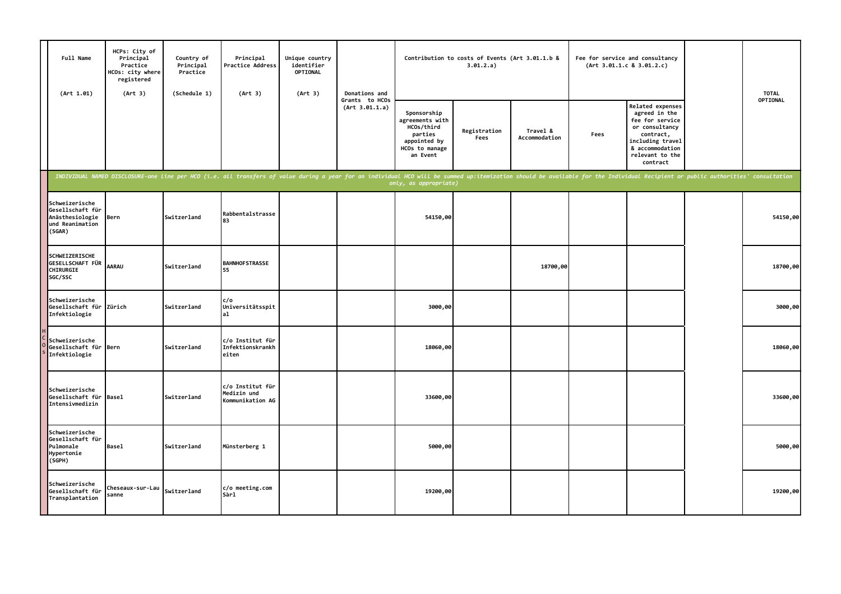| Full Name<br>(Art 1.01)                                                            | HCPs: City of<br>Principal<br>Practice<br>HCOs: city where<br>registered<br>(Art 3) | Country of<br>Principal<br>Practice<br>(Schedule 1) | Principal<br><b>Practice Address</b><br>(Art 3)     | Unique country<br>identifier<br>OPTIONAL<br>(Art 3) | Donations and                    |                                                                                                       | Contribution to costs of Events (Art 3.01.1.b &<br>3.01.2.a) |                           |      | Fee for service and consultancy<br>(Art 3.01.1.c 8 3.01.2.c)                                                                                                                                                                   | <b>TOTAL</b> |
|------------------------------------------------------------------------------------|-------------------------------------------------------------------------------------|-----------------------------------------------------|-----------------------------------------------------|-----------------------------------------------------|----------------------------------|-------------------------------------------------------------------------------------------------------|--------------------------------------------------------------|---------------------------|------|--------------------------------------------------------------------------------------------------------------------------------------------------------------------------------------------------------------------------------|--------------|
|                                                                                    |                                                                                     |                                                     |                                                     |                                                     | Grants to HCOs<br>(Art 3.01.1.a) | Sponsorship<br>agreements with<br>HCOs/third<br>parties<br>appointed by<br>HCOs to manage<br>an Event | Registration<br>Fees                                         | Travel &<br>Accommodation | Fees | Related expenses<br>agreed in the<br>fee for service<br>or consultancy<br>contract,<br>including travel<br>& accommodation<br>relevant to the<br>contract                                                                      | OPTIONAL     |
|                                                                                    |                                                                                     |                                                     |                                                     |                                                     |                                  | only, as appropriate)                                                                                 |                                                              |                           |      | INDIVIDUAL NAMED DISCLOSURE-one line per HCO (i.e. all transfers of value during a year for an individual HCO will be summed up:itemization should be available for the Individual Recipient or public authorities' consultati |              |
| Schweizerische<br>Gesellschaft für<br>Anästhesiologie<br>und Reanimation<br>(SGAR) | Bern                                                                                | Switzerland                                         | Rabbentalstrasse<br>83                              |                                                     |                                  | 54150,00                                                                                              |                                                              |                           |      |                                                                                                                                                                                                                                | 54150,00     |
| SCHWEIZERISCHE<br>GESELLSCHAFT FÜR<br>CHIRURGIE<br>SGC/SSC                         | <b>AARAU</b>                                                                        | Switzerland                                         | <b>BAHNHOFSTRASSE</b><br>55                         |                                                     |                                  |                                                                                                       |                                                              | 18700,00                  |      |                                                                                                                                                                                                                                | 18700,00     |
| Schweizerische<br>Gesellschaft für<br>Infektiologie                                | Zürich                                                                              | Switzerland                                         | c/o<br>Universitätsspit<br>al                       |                                                     |                                  | 3000,00                                                                                               |                                                              |                           |      |                                                                                                                                                                                                                                | 3000,00      |
| Schweizerische<br>Gesellschaft für Bern<br>Infektiologie                           |                                                                                     | <b>Switzerland</b>                                  | c/o Institut für<br>Infektionskrankh<br>eiten       |                                                     |                                  | 18060,00                                                                                              |                                                              |                           |      |                                                                                                                                                                                                                                | 18060,00     |
| Schweizerische<br>Gesellschaft für<br>Intensivmedizin                              | <b>Basel</b>                                                                        | Switzerland                                         | c/o Institut für<br>Medizin und<br>Kommunikation AG |                                                     |                                  | 33600,00                                                                                              |                                                              |                           |      |                                                                                                                                                                                                                                | 33600,00     |
| Schweizerische<br>Gesellschaft für<br>Pulmonale<br>Hypertonie<br>(SGPH)            | <b>Basel</b>                                                                        | Switzerland                                         | Münsterberg 1                                       |                                                     |                                  | 5000,00                                                                                               |                                                              |                           |      |                                                                                                                                                                                                                                | 5000,00      |
| Schweizerische<br>Gesellschaft für<br>Transplantation                              | Cheseaux-sur-Lau <i>Switzerland</i>  <br>sanne                                      |                                                     | c/o meeting.com<br>Sàrl                             |                                                     |                                  | 19200,00                                                                                              |                                                              |                           |      |                                                                                                                                                                                                                                | 19200,00     |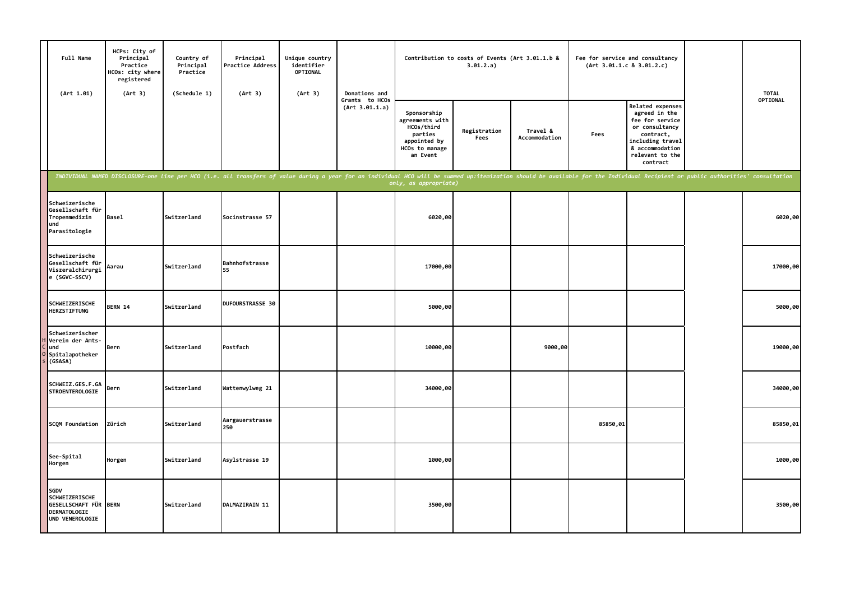| Full Name<br>(Art 1.01)                                                                          | HCPs: City of<br>Principal<br>Practice<br>HCOs: city where<br>registered<br>(Art 3) | Country of<br>Principal<br>Practice<br>(Schedule 1) | Principal<br>Practice Address<br>(Art 3)                                                                                                                                                                                       | Unique country<br>identifier<br>OPTIONAL<br>(Art 3) | Donations and                    |                                                                                                       | Contribution to costs of Events (Art 3.01.1.b &<br>3.01.2.a) |                           | (Art 3.01.1.c 8 3.01.2.c) | Fee for service and consultancy                                                                                                                                  |  | <b>TOTAL</b> |
|--------------------------------------------------------------------------------------------------|-------------------------------------------------------------------------------------|-----------------------------------------------------|--------------------------------------------------------------------------------------------------------------------------------------------------------------------------------------------------------------------------------|-----------------------------------------------------|----------------------------------|-------------------------------------------------------------------------------------------------------|--------------------------------------------------------------|---------------------------|---------------------------|------------------------------------------------------------------------------------------------------------------------------------------------------------------|--|--------------|
|                                                                                                  |                                                                                     |                                                     |                                                                                                                                                                                                                                |                                                     | Grants to HCOs<br>(Art 3.01.1.a) | Sponsorship<br>agreements with<br>HCOs/third<br>parties<br>appointed by<br>HCOs to manage<br>an Event | Registration<br>Fees                                         | Travel &<br>Accommodation | Fees                      | <b>Related expenses</b><br>agreed in the<br>fee for service<br>or consultancy<br>contract,<br>including travel<br>& accommodation<br>relevant to the<br>contract |  | OPTIONAL     |
|                                                                                                  |                                                                                     |                                                     | INDIVIDUAL NAMED DISCLOSURE-one line per HCO (i.e. all transfers of value during a year for an individual HCO will be summed up:itemization should be available for the Individual Recipient or public authorities' consultati |                                                     |                                  | only, as appropriate)                                                                                 |                                                              |                           |                           |                                                                                                                                                                  |  |              |
| Schweizerische<br>Gesellschaft für<br>Tropenmedizin<br>und<br>Parasitologie                      | <b>Basel</b>                                                                        | Switzerland                                         | Socinstrasse 57                                                                                                                                                                                                                |                                                     |                                  | 6020,00                                                                                               |                                                              |                           |                           |                                                                                                                                                                  |  | 6020,00      |
| Schweizerische<br>Gesellschaft für<br>Viszeralchirurgi<br>e (SGVC-SSCV)                          | Aarau                                                                               | Switzerland                                         | Bahnhofstrasse<br>55                                                                                                                                                                                                           |                                                     |                                  | 17000,00                                                                                              |                                                              |                           |                           |                                                                                                                                                                  |  | 17000,00     |
| SCHWEIZERISCHE<br><b>HERZSTIFTUNG</b>                                                            | BERN 14                                                                             | <b>Switzerland</b>                                  | DUFOURSTRASSE 30                                                                                                                                                                                                               |                                                     |                                  | 5000,00                                                                                               |                                                              |                           |                           |                                                                                                                                                                  |  | 5000,00      |
| Schweizerischer<br>Verein der Amts-<br>und<br>Spitalapotheker<br>(GSASA)                         | Bern                                                                                | Switzerland                                         | Postfach                                                                                                                                                                                                                       |                                                     |                                  | 10000,00                                                                                              |                                                              | 9000,00                   |                           |                                                                                                                                                                  |  | 19000,00     |
| SCHWEIZ.GES.F.GA<br><b>STROENTEROLOGIE</b>                                                       | Bern                                                                                | Switzerland                                         | Wattenwylweg 21                                                                                                                                                                                                                |                                                     |                                  | 34000,00                                                                                              |                                                              |                           |                           |                                                                                                                                                                  |  | 34000,00     |
| SCQM Foundation                                                                                  | Zürich                                                                              | Switzerland                                         | Aargauerstrasse<br>250                                                                                                                                                                                                         |                                                     |                                  |                                                                                                       |                                                              |                           | 85850,01                  |                                                                                                                                                                  |  | 85850,01     |
| See-Spital<br>Horgen                                                                             | Horgen                                                                              | Switzerland                                         | Asylstrasse 19                                                                                                                                                                                                                 |                                                     |                                  | 1000,00                                                                                               |                                                              |                           |                           |                                                                                                                                                                  |  | 1000,00      |
| SGDV<br>SCHWEIZERISCHE<br><b>GESELLSCHAFT FÜR BERN</b><br><b>DERMATOLOGIE</b><br>UND VENEROLOGIE |                                                                                     | Switzerland                                         | DALMAZIRAIN 11                                                                                                                                                                                                                 |                                                     |                                  | 3500,00                                                                                               |                                                              |                           |                           |                                                                                                                                                                  |  | 3500,00      |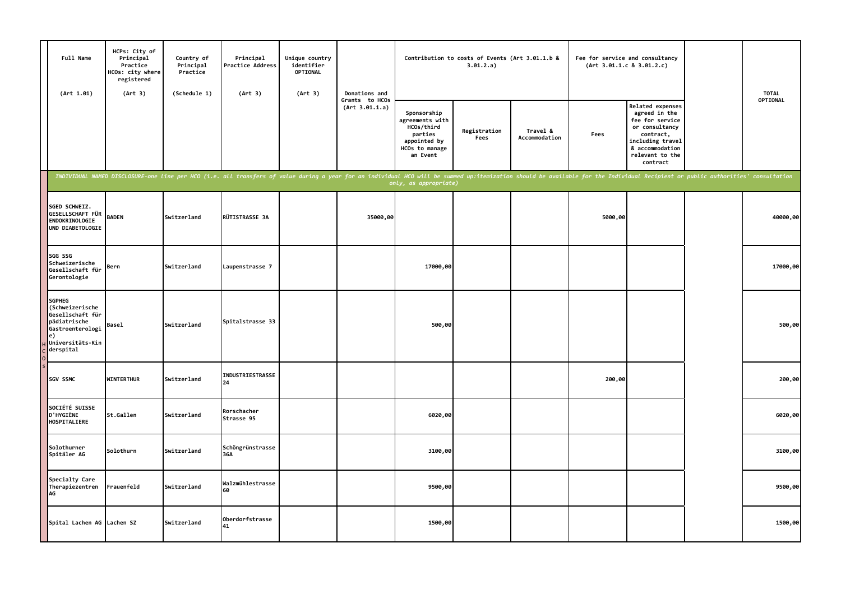| Full Name<br>(Art 1.01)                                                                                                         | HCPs: City of<br>Principal<br>Practice<br>HCOs: city where<br>registered<br>(Art 3) | Country of<br>Principal<br>Practice<br>(Schedule 1) | Principal<br><b>Practice Address</b><br>(Art 3)                                                                                                                                                                                | Unique country<br>identifier<br>OPTIONAL<br>(Art 3) | Donations and                    |                                                                                                       | 3.01.2.a)            | Contribution to costs of Events (Art 3.01.1.b &<br>Fee for service and consultancy<br>(Art 3.01.1.c 8 3.01.2.c) |         |                                                                                                                                                                  | <b>TOTAL</b> |
|---------------------------------------------------------------------------------------------------------------------------------|-------------------------------------------------------------------------------------|-----------------------------------------------------|--------------------------------------------------------------------------------------------------------------------------------------------------------------------------------------------------------------------------------|-----------------------------------------------------|----------------------------------|-------------------------------------------------------------------------------------------------------|----------------------|-----------------------------------------------------------------------------------------------------------------|---------|------------------------------------------------------------------------------------------------------------------------------------------------------------------|--------------|
|                                                                                                                                 |                                                                                     |                                                     |                                                                                                                                                                                                                                |                                                     | Grants to HCOs<br>(Art 3.01.1.a) | Sponsorship<br>agreements with<br>HCOs/third<br>parties<br>appointed by<br>HCOs to manage<br>an Event | Registration<br>Fees | Travel &<br>Accommodation                                                                                       | Fees    | <b>Related expenses</b><br>agreed in the<br>fee for service<br>or consultancy<br>contract,<br>including travel<br>& accommodation<br>relevant to the<br>contract | OPTIONAL     |
|                                                                                                                                 |                                                                                     |                                                     | INDIVIDUAL NAMED DISCLOSURE-one line per HCO (i.e. all transfers of value during a year for an individual HCO will be summed up:itemization should be available for the Individual Recipient or public authorities' consultati |                                                     |                                  | only, as appropriate)                                                                                 |                      |                                                                                                                 |         |                                                                                                                                                                  |              |
| SGED SCHWEIZ.<br>GESELLSCHAFT FÜR<br>ENDOKRINOLOGIE<br>UND DIABETOLOGIE                                                         | <b>BADEN</b>                                                                        | Switzerland                                         | RÜTISTRASSE 3A                                                                                                                                                                                                                 |                                                     | 35000,00                         |                                                                                                       |                      |                                                                                                                 | 5000,00 |                                                                                                                                                                  | 40000,00     |
| SGG SSG<br>Schweizerische<br>Gesellschaft für<br>Gerontologie                                                                   | Bern                                                                                | Switzerland                                         | Laupenstrasse 7                                                                                                                                                                                                                |                                                     |                                  | 17000,00                                                                                              |                      |                                                                                                                 |         |                                                                                                                                                                  | 17000,00     |
| <b>SGPHEG</b><br>(Schweizerische<br>Gesellschaft für<br>pädiatrische<br>Gastroenterologi<br>e)<br>Universitäts-Kin<br>derspital | <b>Basel</b>                                                                        | Switzerland                                         | Spitalstrasse 33                                                                                                                                                                                                               |                                                     |                                  | 500,00                                                                                                |                      |                                                                                                                 |         |                                                                                                                                                                  | 500,00       |
| SGV SSMC                                                                                                                        | <b>WINTERTHUR</b>                                                                   | Switzerland                                         | INDUSTRIESTRASSE<br>24                                                                                                                                                                                                         |                                                     |                                  |                                                                                                       |                      |                                                                                                                 | 200,00  |                                                                                                                                                                  | 200,00       |
| SOCIÉTÉ SUISSE<br><b>D'HYGIÈNE</b><br>HOSPITALIERE                                                                              | St.Gallen                                                                           | Switzerland                                         | Rorschacher<br>Strasse 95                                                                                                                                                                                                      |                                                     |                                  | 6020,00                                                                                               |                      |                                                                                                                 |         |                                                                                                                                                                  | 6020,00      |
| Solothurner<br>Spitäler AG                                                                                                      | Solothurn                                                                           | Switzerland                                         | Schöngrünstrasse<br>36A                                                                                                                                                                                                        |                                                     |                                  | 3100,00                                                                                               |                      |                                                                                                                 |         |                                                                                                                                                                  | 3100,00      |
| Specialty Care<br>Therapiezentren<br>AG                                                                                         | Frauenfeld                                                                          | Switzerland                                         | Walzmühlestrasse<br>60                                                                                                                                                                                                         |                                                     |                                  | 9500,00                                                                                               |                      |                                                                                                                 |         |                                                                                                                                                                  | 9500,00      |
| Spital Lachen AG Lachen SZ                                                                                                      |                                                                                     | Switzerland                                         | Oberdorfstrasse<br>41                                                                                                                                                                                                          |                                                     |                                  | 1500,00                                                                                               |                      |                                                                                                                 |         |                                                                                                                                                                  | 1500,00      |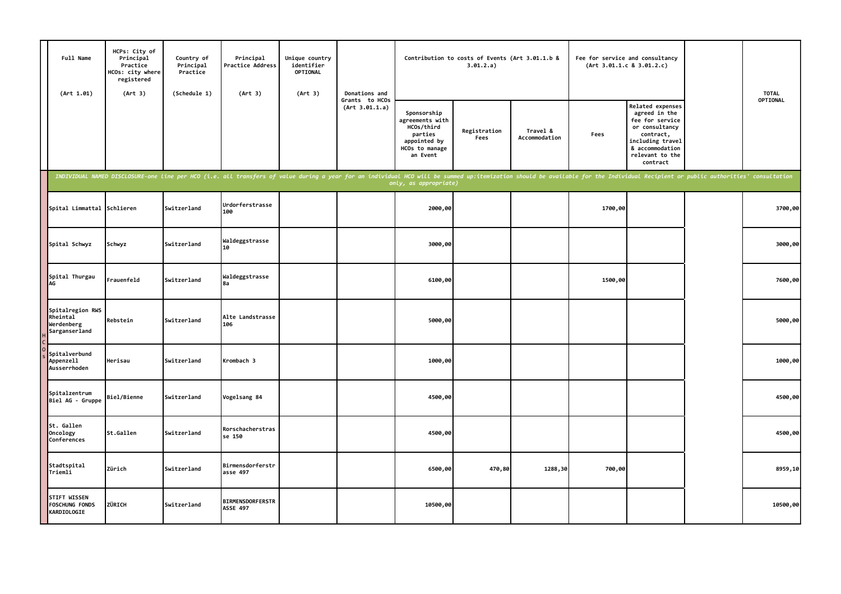| Full Name<br>(Art 1.01)                                     | HCPs: City of<br>Principal<br>Practice<br>HCOs: city where<br>registered<br>(Art 3) | Country of<br>Principal<br>Practice<br>(Schedule 1) | Principal<br>Practice Address<br>(Art 3)                                                                                                                                                                                       | Unique country<br>identifier<br>OPTIONAL<br>(Art 3) | Donations and                    |                                                                                                       | Contribution to costs of Events (Art 3.01.1.b &<br>3.01.2.a) |                           | Fee for service and consultancy<br>(Art 3.01.1.c 8 3.01.2.c) |                                                                                                                                                                  | <b>TOTAL</b><br>OPTIONAL |
|-------------------------------------------------------------|-------------------------------------------------------------------------------------|-----------------------------------------------------|--------------------------------------------------------------------------------------------------------------------------------------------------------------------------------------------------------------------------------|-----------------------------------------------------|----------------------------------|-------------------------------------------------------------------------------------------------------|--------------------------------------------------------------|---------------------------|--------------------------------------------------------------|------------------------------------------------------------------------------------------------------------------------------------------------------------------|--------------------------|
|                                                             |                                                                                     |                                                     |                                                                                                                                                                                                                                |                                                     | Grants to HCOs<br>(Art 3.01.1.a) | Sponsorship<br>agreements with<br>HCOs/third<br>parties<br>appointed by<br>HCOs to manage<br>an Event | Registration<br>Fees                                         | Travel &<br>Accommodation | Fees                                                         | <b>Related expenses</b><br>agreed in the<br>fee for service<br>or consultancy<br>contract,<br>including travel<br>& accommodation<br>relevant to the<br>contract |                          |
|                                                             |                                                                                     |                                                     | INDIVIDUAL NAMED DISCLOSURE-one line per HCO (i.e. all transfers of value during a year for an individual HCO will be summed up:itemization should be available for the Individual Recipient or public authorities' consultati |                                                     |                                  | only, as appropriate)                                                                                 |                                                              |                           |                                                              |                                                                                                                                                                  |                          |
| Spital Limmattal                                            | Schlieren                                                                           | Switzerland                                         | Urdorferstrasse<br>100                                                                                                                                                                                                         |                                                     |                                  | 2000,00                                                                                               |                                                              |                           | 1700,00                                                      |                                                                                                                                                                  | 3700,00                  |
| Spital Schwyz                                               | Schwyz                                                                              | Switzerland                                         | Waldeggstrasse<br>10                                                                                                                                                                                                           |                                                     |                                  | 3000,00                                                                                               |                                                              |                           |                                                              |                                                                                                                                                                  | 3000,00                  |
| Spital Thurgau<br><b>AG</b>                                 | Frauenfeld                                                                          | Switzerland                                         | Waldeggstrasse<br>8a                                                                                                                                                                                                           |                                                     |                                  | 6100,00                                                                                               |                                                              |                           | 1500,00                                                      |                                                                                                                                                                  | 7600,00                  |
| Spitalregion RWS<br>Rheintal<br>Werdenberg<br>Sarganserland | Rebstein                                                                            | Switzerland                                         | Alte Landstrasse<br>106                                                                                                                                                                                                        |                                                     |                                  | 5000,00                                                                                               |                                                              |                           |                                                              |                                                                                                                                                                  | 5000,00                  |
| Spitalverbund<br>Appenzell<br>Ausserrhoden                  | Herisau                                                                             | Switzerland                                         | Krombach 3                                                                                                                                                                                                                     |                                                     |                                  | 1000,00                                                                                               |                                                              |                           |                                                              |                                                                                                                                                                  | 1000,00                  |
| Spitalzentrum<br>Biel AG - Gruppe                           | <b>Biel/Bienne</b>                                                                  | Switzerland                                         | Vogelsang 84                                                                                                                                                                                                                   |                                                     |                                  | 4500,00                                                                                               |                                                              |                           |                                                              |                                                                                                                                                                  | 4500,00                  |
| St. Gallen<br>Oncology<br>Conferences                       | St.Gallen                                                                           | Switzerland                                         | Rorschacherstras<br>se 150                                                                                                                                                                                                     |                                                     |                                  | 4500,00                                                                                               |                                                              |                           |                                                              |                                                                                                                                                                  | 4500,00                  |
| Stadtspital<br>Triemli                                      | Zürich                                                                              | Switzerland                                         | Birmensdorferstr<br>asse 497                                                                                                                                                                                                   |                                                     |                                  | 6500,00                                                                                               | 470,80                                                       | 1288,30                   | 700,00                                                       |                                                                                                                                                                  | 8959,10                  |
| <b>STIFT WISSEN</b><br><b>FOSCHUNG FONDS</b><br>KARDIOLOGIE | ZÜRICH                                                                              | Switzerland                                         | <b>BIRMENSDORFERSTR</b><br><b>ASSE 497</b>                                                                                                                                                                                     |                                                     |                                  | 10500,00                                                                                              |                                                              |                           |                                                              |                                                                                                                                                                  | 10500,00                 |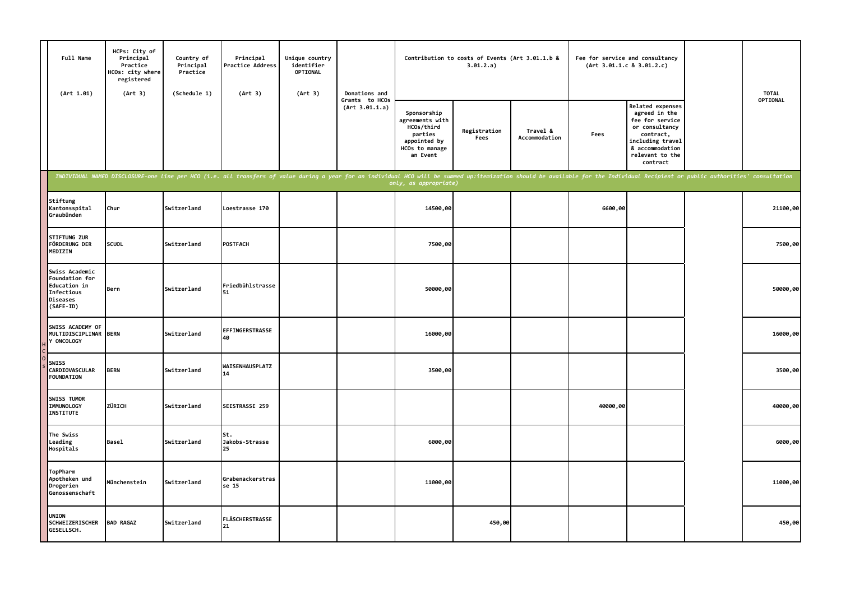| Full Name<br>(Art 1.01)                                                                 | HCPs: City of<br>Principal<br>Practice<br>HCOs: city where<br>registered<br>(Art 3) | Country of<br>Principal<br>Practice<br>(Schedule 1) | Principal<br>Practice Address<br>(Art 3)                                                                                                                                                                                       | Unique country<br>identifier<br><b>OPTIONAL</b><br>(Art 3) | Donations and                    |                                                                                                       | Contribution to costs of Events (Art 3.01.1.b &<br>3.01.2.a) |                           |          | Fee for service and consultancy<br>(Art 3.01.1.c 8 3.01.2.c)                                                                                              | <b>TOTAL</b><br>OPTIONAL |
|-----------------------------------------------------------------------------------------|-------------------------------------------------------------------------------------|-----------------------------------------------------|--------------------------------------------------------------------------------------------------------------------------------------------------------------------------------------------------------------------------------|------------------------------------------------------------|----------------------------------|-------------------------------------------------------------------------------------------------------|--------------------------------------------------------------|---------------------------|----------|-----------------------------------------------------------------------------------------------------------------------------------------------------------|--------------------------|
|                                                                                         |                                                                                     |                                                     |                                                                                                                                                                                                                                |                                                            | Grants to HCOs<br>(Art 3.01.1.a) | Sponsorship<br>agreements with<br>HCOs/third<br>parties<br>appointed by<br>HCOs to manage<br>an Event | Registration<br>Fees                                         | Travel &<br>Accommodation | Fees     | Related expenses<br>agreed in the<br>fee for service<br>or consultancy<br>contract,<br>including travel<br>& accommodation<br>relevant to the<br>contract |                          |
|                                                                                         |                                                                                     |                                                     | INDIVIDUAL NAMED DISCLOSURE-one line per HCO (i.e. all transfers of value during a year for an individual HCO will be summed up:itemization should be available for the Individual Recipient or public authorities' consultati |                                                            |                                  | only, as appropriate)                                                                                 |                                                              |                           |          |                                                                                                                                                           |                          |
| Stiftung<br>Kantonsspital<br>Graubünden                                                 | Chur                                                                                | Switzerland                                         | Loestrasse 170                                                                                                                                                                                                                 |                                                            |                                  | 14500,00                                                                                              |                                                              |                           | 6600,00  |                                                                                                                                                           | 21100,00                 |
| STIFTUNG ZUR<br>FÖRDERUNG DER<br>MEDIZIN                                                | <b>SCUOL</b>                                                                        | Switzerland                                         | POSTFACH                                                                                                                                                                                                                       |                                                            |                                  | 7500,00                                                                                               |                                                              |                           |          |                                                                                                                                                           | 7500,00                  |
| Swiss Academic<br>Foundation for<br>Education in<br>Infectious<br>Diseases<br>(SAFE-ID) | Bern                                                                                | Switzerland                                         | Friedbühlstrasse<br>51                                                                                                                                                                                                         |                                                            |                                  | 50000,00                                                                                              |                                                              |                           |          |                                                                                                                                                           | 50000,00                 |
| SWISS ACADEMY OF<br>MULTIDISCIPLINAR BERN<br>Y ONCOLOGY                                 |                                                                                     | Switzerland                                         | EFFINGERSTRASSE<br>40                                                                                                                                                                                                          |                                                            |                                  | 16000,00                                                                                              |                                                              |                           |          |                                                                                                                                                           | 16000,00                 |
| <b>SWISS</b><br>CARDIOVASCULAR<br><b>FOUNDATION</b>                                     | <b>BERN</b>                                                                         | Switzerland                                         | WAISENHAUSPLATZ<br>14                                                                                                                                                                                                          |                                                            |                                  | 3500,00                                                                                               |                                                              |                           |          |                                                                                                                                                           | 3500,00                  |
| SWISS TUMOR<br><b>IMMUNOLOGY</b><br><b>INSTITUTE</b>                                    | ZÜRICH                                                                              | Switzerland                                         | <b>SEESTRASSE 259</b>                                                                                                                                                                                                          |                                                            |                                  |                                                                                                       |                                                              |                           | 40000,00 |                                                                                                                                                           | 40000,00                 |
| The Swiss<br>Leading<br>Hospitals                                                       | <b>Basel</b>                                                                        | Switzerland                                         | St.<br>Jakobs-Strasse<br>25                                                                                                                                                                                                    |                                                            |                                  | 6000,00                                                                                               |                                                              |                           |          |                                                                                                                                                           | 6000,00                  |
| TopPharm<br>Apotheken und<br>Drogerien<br>Genossenschaft                                | Münchenstein                                                                        | Switzerland                                         | Grabenackerstras<br>se 15                                                                                                                                                                                                      |                                                            |                                  | 11000,00                                                                                              |                                                              |                           |          |                                                                                                                                                           | 11000,00                 |
| <b>UNION</b><br><b>SCHWEIZERISCHER</b><br>GESELLSCH.                                    | <b>BAD RAGAZ</b>                                                                    | Switzerland                                         | FLÄSCHERSTRASSE<br>21                                                                                                                                                                                                          |                                                            |                                  |                                                                                                       | 450,00                                                       |                           |          |                                                                                                                                                           | 450,00                   |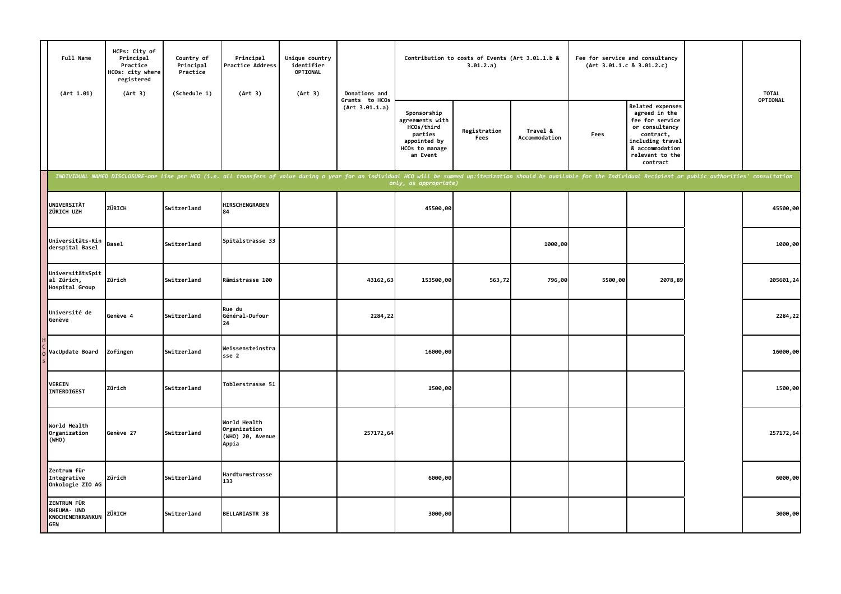| Full Name<br>(Art 1.01)                                             | HCPs: City of<br>Principal<br>Practice<br>HCOs: city where<br>registered<br>(Art 3) | Country of<br>Principal<br>Practice<br>(Schedule 1) | Principal<br><b>Practice Address</b><br>(Art 3)                                                                                                                                                                                | Unique country<br>identifier<br>OPTIONAL<br>(Art 3) | Donations and<br>Grants to HCOs<br>(Art 3.01.1.a) |                                                                                                       | Contribution to costs of Events (Art 3.01.1.b &<br>3.01.2.a) |                           |         | Fee for service and consultancy<br>(Art 3.01.1.c 8 3.01.2.c)                                                                                              |  | <b>TOTAL</b> |
|---------------------------------------------------------------------|-------------------------------------------------------------------------------------|-----------------------------------------------------|--------------------------------------------------------------------------------------------------------------------------------------------------------------------------------------------------------------------------------|-----------------------------------------------------|---------------------------------------------------|-------------------------------------------------------------------------------------------------------|--------------------------------------------------------------|---------------------------|---------|-----------------------------------------------------------------------------------------------------------------------------------------------------------|--|--------------|
|                                                                     |                                                                                     |                                                     |                                                                                                                                                                                                                                |                                                     |                                                   | Sponsorship<br>agreements with<br>HCOs/third<br>parties<br>appointed by<br>HCOs to manage<br>an Event | Registration<br>Fees                                         | Travel &<br>Accommodation | Fees    | Related expenses<br>agreed in the<br>fee for service<br>or consultancy<br>contract,<br>including travel<br>& accommodation<br>relevant to the<br>contract |  | OPTIONAL     |
|                                                                     |                                                                                     |                                                     | INDIVIDUAL NAMED DISCLOSURE-one line per HCO (i.e. all transfers of value during a year for an individual HCO will be summed up:itemization should be available for the Individual Recipient or public authorities' consultati |                                                     |                                                   | only, as appropriate)                                                                                 |                                                              |                           |         |                                                                                                                                                           |  |              |
| UNIVERSITÄT<br>ZÜRICH UZH                                           | ZÜRICH                                                                              | Switzerland                                         | HIRSCHENGRABEN<br>84                                                                                                                                                                                                           |                                                     |                                                   | 45500,00                                                                                              |                                                              |                           |         |                                                                                                                                                           |  | 45500,00     |
| Universitäts-Kin<br>derspital Basel                                 | <b>Basel</b>                                                                        | Switzerland                                         | Spitalstrasse 33                                                                                                                                                                                                               |                                                     |                                                   |                                                                                                       |                                                              | 1000,00                   |         |                                                                                                                                                           |  | 1000,00      |
| UniversitätsSpit<br>al Zürich,<br>Hospital Group                    | Zürich                                                                              | Switzerland                                         | Rämistrasse 100                                                                                                                                                                                                                |                                                     | 43162,63                                          | 153500,00                                                                                             | 563,72                                                       | 796,00                    | 5500,00 | 2078,89                                                                                                                                                   |  | 205601,24    |
| Université de<br>Genève                                             | Genève 4                                                                            | Switzerland                                         | Rue du<br>Général-Dufour<br>24                                                                                                                                                                                                 |                                                     | 2284,22                                           |                                                                                                       |                                                              |                           |         |                                                                                                                                                           |  | 2284,22      |
| VacUpdate Board                                                     | Zofingen                                                                            | Switzerland                                         | Weissensteinstra<br>sse 2                                                                                                                                                                                                      |                                                     |                                                   | 16000,00                                                                                              |                                                              |                           |         |                                                                                                                                                           |  | 16000,00     |
| <b>VEREIN</b><br>INTERDIGEST                                        | Zürich                                                                              | Switzerland                                         | Toblerstrasse 51                                                                                                                                                                                                               |                                                     |                                                   | 1500,00                                                                                               |                                                              |                           |         |                                                                                                                                                           |  | 1500,00      |
| World Health<br>Organization<br>(WHO)                               | Genève 27                                                                           | Switzerland                                         | World Health<br>Organization<br>(WHO) 20, Avenue<br>Appia                                                                                                                                                                      |                                                     | 257172,64                                         |                                                                                                       |                                                              |                           |         |                                                                                                                                                           |  | 257172,64    |
| Zentrum für<br>Integrative<br>Onkologie ZIO AG                      | Zürich                                                                              | Switzerland                                         | Hardturmstrasse<br>133                                                                                                                                                                                                         |                                                     |                                                   | 6000,00                                                                                               |                                                              |                           |         |                                                                                                                                                           |  | 6000,00      |
| <b>ZENTRUM FÜR</b><br>RHEUMA- UND<br>KNOCHENERKRANKUN<br><b>GEN</b> | ZÜRICH                                                                              | Switzerland                                         | <b>BELLARIASTR 38</b>                                                                                                                                                                                                          |                                                     |                                                   | 3000,00                                                                                               |                                                              |                           |         |                                                                                                                                                           |  | 3000,00      |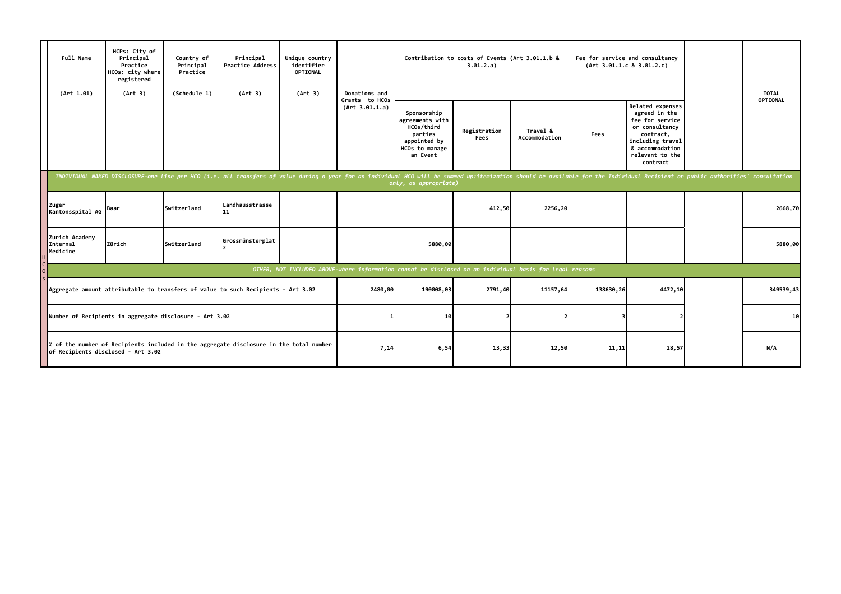|                                                                                                                                              | Full Name<br>(Art 1.01)                                                                                                      | HCPs: City of<br>Principal<br>Practice<br>HCOs: city where<br>registered<br>(Art 3) | Country of<br>Principal<br>Practice<br>(Schedule 1) | Principal<br><b>Practice Address</b><br>(Art 3)                                                                                                                                                                                | Unique country<br>identifier<br>OPTIONAL<br>(Art 3) | Donations and                    |                                                                                                       | Contribution to costs of Events (Art 3.01.1.b &<br>3.01.2.a) |                                                                                                          | Fee for service and consultancy<br>(Art 3.01.1.c 8 3.01.2.c) |                                                                                                                                                           | <b>TOTAL</b>    |
|----------------------------------------------------------------------------------------------------------------------------------------------|------------------------------------------------------------------------------------------------------------------------------|-------------------------------------------------------------------------------------|-----------------------------------------------------|--------------------------------------------------------------------------------------------------------------------------------------------------------------------------------------------------------------------------------|-----------------------------------------------------|----------------------------------|-------------------------------------------------------------------------------------------------------|--------------------------------------------------------------|----------------------------------------------------------------------------------------------------------|--------------------------------------------------------------|-----------------------------------------------------------------------------------------------------------------------------------------------------------|-----------------|
|                                                                                                                                              |                                                                                                                              |                                                                                     |                                                     |                                                                                                                                                                                                                                |                                                     | Grants to HCOs<br>(Art 3.01.1.a) | Sponsorship<br>agreements with<br>HCOs/third<br>parties<br>appointed by<br>HCOs to manage<br>an Event | Registration<br>Fees                                         | Travel &<br>Accommodation                                                                                | Fees                                                         | Related expenses<br>agreed in the<br>fee for service<br>or consultancy<br>contract,<br>including travel<br>& accommodation<br>relevant to the<br>contract | OPTIONAL        |
|                                                                                                                                              |                                                                                                                              |                                                                                     |                                                     | INDIVIDUAL NAMED DISCLOSURE-one line per HCO (i.e. all transfers of value during a year for an individual HCO will be summed up:itemization should be available for the Individual Recipient or public authorities' consultati |                                                     |                                  | only, as appropriate)                                                                                 |                                                              |                                                                                                          |                                                              |                                                                                                                                                           |                 |
|                                                                                                                                              | Zuger<br>Kantonsspital AG                                                                                                    | Baar                                                                                | <b>Switzerland</b>                                  | Landhausstrasse<br>11                                                                                                                                                                                                          |                                                     |                                  |                                                                                                       | 412,50                                                       | 2256,20                                                                                                  |                                                              |                                                                                                                                                           | 2668,70         |
|                                                                                                                                              | Zurich Academy<br>Internal<br>Medicine                                                                                       | Zürich                                                                              | <b>Switzerland</b>                                  | Grossmünsterplat                                                                                                                                                                                                               |                                                     |                                  | 5880,00                                                                                               |                                                              |                                                                                                          |                                                              |                                                                                                                                                           | 5880,00         |
|                                                                                                                                              |                                                                                                                              |                                                                                     |                                                     |                                                                                                                                                                                                                                |                                                     |                                  |                                                                                                       |                                                              | OTHER, NOT INCLUDED ABOVE-where information cannot be disclosed on an individual basis for legal reasons |                                                              |                                                                                                                                                           |                 |
| Aggregate amount attributable to transfers of value to such Recipients - Art 3.02<br>Number of Recipients in aggregate disclosure - Art 3.02 |                                                                                                                              |                                                                                     |                                                     |                                                                                                                                                                                                                                |                                                     | 2480,00                          | 190008,03                                                                                             | 2791,40                                                      | 11157,64                                                                                                 | 138630,26                                                    | 4472,10                                                                                                                                                   | 349539,43       |
|                                                                                                                                              |                                                                                                                              |                                                                                     |                                                     |                                                                                                                                                                                                                                |                                                     |                                  | 10                                                                                                    |                                                              |                                                                                                          |                                                              |                                                                                                                                                           | 10 <sup>1</sup> |
|                                                                                                                                              | % of the number of Recipients included in the aggregate disclosure in the total number<br>of Recipients disclosed - Art 3.02 |                                                                                     |                                                     |                                                                                                                                                                                                                                |                                                     |                                  | 7,14<br>6,54                                                                                          | 13,33                                                        | 12,50                                                                                                    | 11,11                                                        | 28,57                                                                                                                                                     | N/A             |